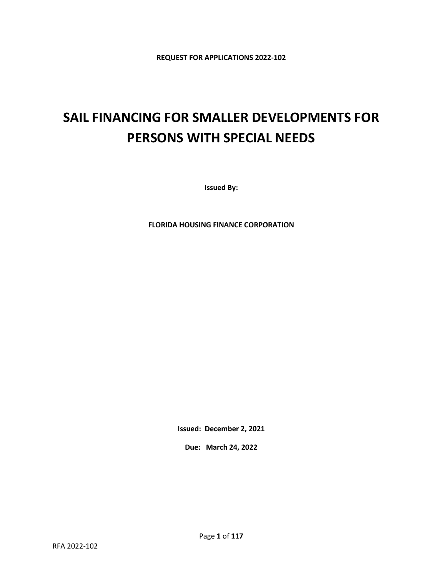**REQUEST FOR APPLICATIONS 2022-102**

# **SAIL FINANCING FOR SMALLER DEVELOPMENTS FOR PERSONS WITH SPECIAL NEEDS**

**Issued By:**

**FLORIDA HOUSING FINANCE CORPORATION**

**Issued: December 2, 2021**

**Due: March 24, 2022**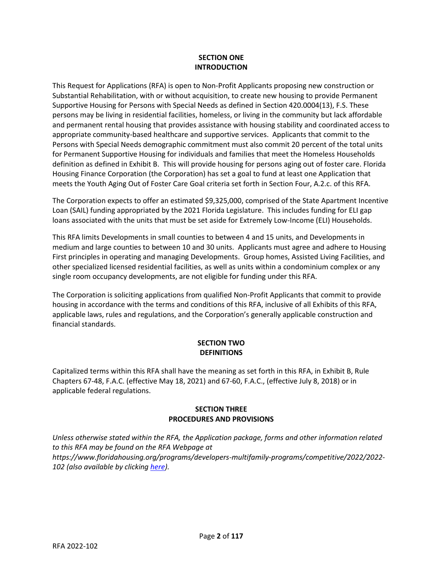## **SECTION ONE INTRODUCTION**

This Request for Applications (RFA) is open to Non-Profit Applicants proposing new construction or Substantial Rehabilitation, with or without acquisition, to create new housing to provide Permanent Supportive Housing for Persons with Special Needs as defined in Section 420.0004(13), F.S. These persons may be living in residential facilities, homeless, or living in the community but lack affordable and permanent rental housing that provides assistance with housing stability and coordinated access to appropriate community-based healthcare and supportive services. Applicants that commit to the Persons with Special Needs demographic commitment must also commit 20 percent of the total units for Permanent Supportive Housing for individuals and families that meet the Homeless Households definition as defined in Exhibit B. This will provide housing for persons aging out of foster care. Florida Housing Finance Corporation (the Corporation) has set a goal to fund at least one Application that meets the Youth Aging Out of Foster Care Goal criteria set forth in Section Four, A.2.c. of this RFA.

The Corporation expects to offer an estimated \$9,325,000, comprised of the State Apartment Incentive Loan (SAIL) funding appropriated by the 2021 Florida Legislature. This includes funding for ELI gap loans associated with the units that must be set aside for Extremely Low-Income (ELI) Households.

This RFA limits Developments in small counties to between 4 and 15 units, and Developments in medium and large counties to between 10 and 30 units. Applicants must agree and adhere to Housing First principles in operating and managing Developments. Group homes, Assisted Living Facilities, and other specialized licensed residential facilities, as well as units within a condominium complex or any single room occupancy developments, are not eligible for funding under this RFA.

The Corporation is soliciting applications from qualified Non-Profit Applicants that commit to provide housing in accordance with the terms and conditions of this RFA, inclusive of all Exhibits of this RFA, applicable laws, rules and regulations, and the Corporation's generally applicable construction and financial standards.

# **SECTION TWO DEFINITIONS**

Capitalized terms within this RFA shall have the meaning as set forth in this RFA, in Exhibit B, Rule Chapters 67-48, F.A.C. (effective May 18, 2021) and 67-60, F.A.C., (effective July 8, 2018) or in applicable federal regulations.

# **SECTION THREE PROCEDURES AND PROVISIONS**

*Unless otherwise stated within the RFA, the Application package, forms and other information related to this RFA may be found on the RFA Webpage at https://www.floridahousing.org/programs/developers-multifamily-programs/competitive/2022/2022- 102 (also available by clickin[g here\)](https://www.floridahousing.org/programs/developers-multifamily-programs/competitive/2022/2022-102).*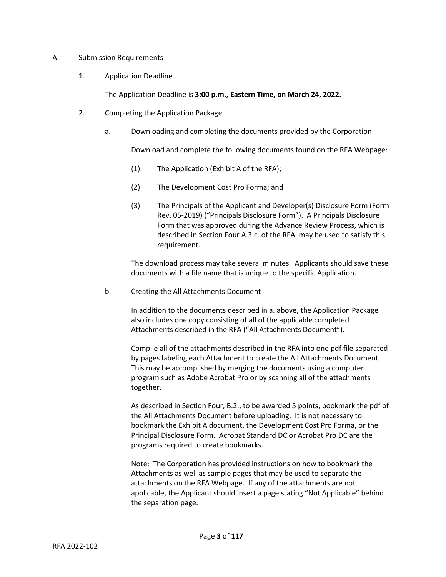#### A. Submission Requirements

1. Application Deadline

The Application Deadline is **3:00 p.m., Eastern Time, on March 24, 2022.**

- 2. Completing the Application Package
	- a. Downloading and completing the documents provided by the Corporation

Download and complete the following documents found on the RFA Webpage:

- (1) The Application (Exhibit A of the RFA);
- (2) The Development Cost Pro Forma; and
- (3) The Principals of the Applicant and Developer(s) Disclosure Form (Form Rev. 05-2019) ("Principals Disclosure Form"). A Principals Disclosure Form that was approved during the Advance Review Process, which is described in Section Four A.3.c. of the RFA, may be used to satisfy this requirement.

The download process may take several minutes. Applicants should save these documents with a file name that is unique to the specific Application.

b. Creating the All Attachments Document

In addition to the documents described in a. above, the Application Package also includes one copy consisting of all of the applicable completed Attachments described in the RFA ("All Attachments Document").

Compile all of the attachments described in the RFA into one pdf file separated by pages labeling each Attachment to create the All Attachments Document. This may be accomplished by merging the documents using a computer program such as Adobe Acrobat Pro or by scanning all of the attachments together.

As described in Section Four, B.2., to be awarded 5 points, bookmark the pdf of the All Attachments Document before uploading. It is not necessary to bookmark the Exhibit A document, the Development Cost Pro Forma, or the Principal Disclosure Form. Acrobat Standard DC or Acrobat Pro DC are the programs required to create bookmarks.

Note: The Corporation has provided instructions on how to bookmark the Attachments as well as sample pages that may be used to separate the attachments on the RFA Webpage. If any of the attachments are not applicable, the Applicant should insert a page stating "Not Applicable" behind the separation page.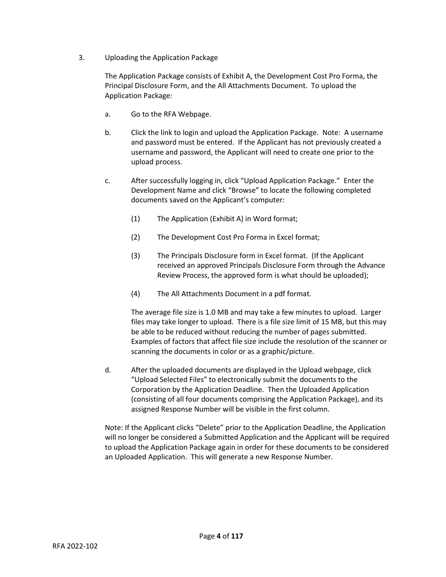3. Uploading the Application Package

The Application Package consists of Exhibit A, the Development Cost Pro Forma, the Principal Disclosure Form, and the All Attachments Document. To upload the Application Package:

- a. Go to the RFA Webpage.
- b. Click the link to login and upload the Application Package. Note: A username and password must be entered. If the Applicant has not previously created a username and password, the Applicant will need to create one prior to the upload process.
- c. After successfully logging in, click "Upload Application Package." Enter the Development Name and click "Browse" to locate the following completed documents saved on the Applicant's computer:
	- (1) The Application (Exhibit A) in Word format;
	- (2) The Development Cost Pro Forma in Excel format;
	- (3) The Principals Disclosure form in Excel format. (If the Applicant received an approved Principals Disclosure Form through the Advance Review Process, the approved form is what should be uploaded);
	- (4) The All Attachments Document in a pdf format.

The average file size is 1.0 MB and may take a few minutes to upload. Larger files may take longer to upload. There is a file size limit of 15 MB, but this may be able to be reduced without reducing the number of pages submitted. Examples of factors that affect file size include the resolution of the scanner or scanning the documents in color or as a graphic/picture.

d. After the uploaded documents are displayed in the Upload webpage, click "Upload Selected Files" to electronically submit the documents to the Corporation by the Application Deadline. Then the Uploaded Application (consisting of all four documents comprising the Application Package), and its assigned Response Number will be visible in the first column.

Note: If the Applicant clicks "Delete" prior to the Application Deadline, the Application will no longer be considered a Submitted Application and the Applicant will be required to upload the Application Package again in order for these documents to be considered an Uploaded Application. This will generate a new Response Number.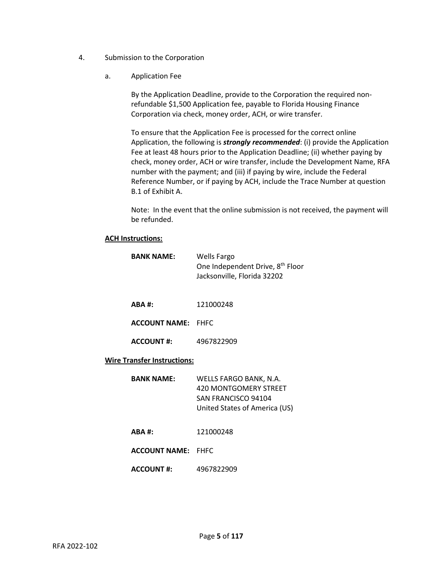- 4. Submission to the Corporation
	- a. Application Fee

By the Application Deadline, provide to the Corporation the required nonrefundable \$1,500 Application fee, payable to Florida Housing Finance Corporation via check, money order, ACH, or wire transfer.

To ensure that the Application Fee is processed for the correct online Application, the following is *strongly recommended*: (i) provide the Application Fee at least 48 hours prior to the Application Deadline; (ii) whether paying by check, money order, ACH or wire transfer, include the Development Name, RFA number with the payment; and (iii) if paying by wire, include the Federal Reference Number, or if paying by ACH, include the Trace Number at question B.1 of Exhibit A.

Note: In the event that the online submission is not received, the payment will be refunded.

#### **ACH Instructions:**

| <b>BANK NAME:</b>                  | <b>Wells Fargo</b><br>One Independent Drive, 8 <sup>th</sup> Floor<br>Jacksonville, Florida 32202              |
|------------------------------------|----------------------------------------------------------------------------------------------------------------|
| $ABA$ #:                           | 121000248                                                                                                      |
| <b>ACCOUNT NAME: FHFC</b>          |                                                                                                                |
| <b>ACCOUNT #:</b>                  | 4967822909                                                                                                     |
| <b>Wire Transfer Instructions:</b> |                                                                                                                |
| <b>BANK NAME:</b>                  | WELLS FARGO BANK, N.A.<br>420 MONTGOMERY STREET<br><b>SAN FRANCISCO 94104</b><br>United States of America (US) |
| $ABA$ #:                           | 121000248                                                                                                      |
| <b>ACCOUNT NAME: FHFC</b>          |                                                                                                                |
| <b>ACCOUNT #:</b>                  | 4967822909                                                                                                     |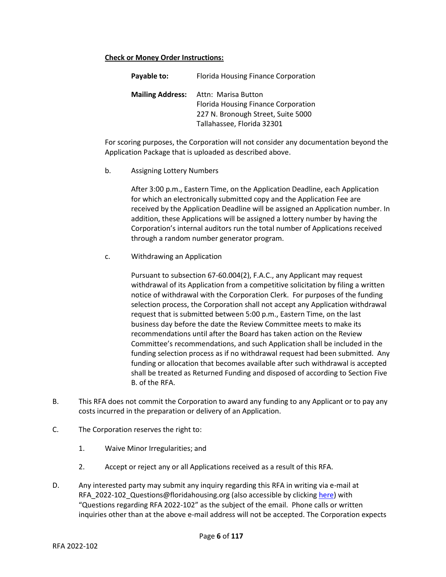#### **Check or Money Order Instructions:**

|                                                                                                                                                           | Payable to: |
|-----------------------------------------------------------------------------------------------------------------------------------------------------------|-------------|
| <b>Mailing Address:</b><br>Attn: Marisa Button<br>Florida Housing Finance Corporation<br>227 N. Bronough Street, Suite 5000<br>Tallahassee, Florida 32301 |             |

For scoring purposes, the Corporation will not consider any documentation beyond the Application Package that is uploaded as described above.

b. Assigning Lottery Numbers

After 3:00 p.m., Eastern Time, on the Application Deadline, each Application for which an electronically submitted copy and the Application Fee are received by the Application Deadline will be assigned an Application number. In addition, these Applications will be assigned a lottery number by having the Corporation's internal auditors run the total number of Applications received through a random number generator program.

c. Withdrawing an Application

Pursuant to subsection 67-60.004(2), F.A.C., any Applicant may request withdrawal of its Application from a competitive solicitation by filing a written notice of withdrawal with the Corporation Clerk. For purposes of the funding selection process, the Corporation shall not accept any Application withdrawal request that is submitted between 5:00 p.m., Eastern Time, on the last business day before the date the Review Committee meets to make its recommendations until after the Board has taken action on the Review Committee's recommendations, and such Application shall be included in the funding selection process as if no withdrawal request had been submitted. Any funding or allocation that becomes available after such withdrawal is accepted shall be treated as Returned Funding and disposed of according to Section Five B. of the RFA.

- B. This RFA does not commit the Corporation to award any funding to any Applicant or to pay any costs incurred in the preparation or delivery of an Application.
- C. The Corporation reserves the right to:
	- 1. Waive Minor Irregularities; and
	- 2. Accept or reject any or all Applications received as a result of this RFA.
- D. Any interested party may submit any inquiry regarding this RFA in writing via e-mail at RFA\_2022-102\_Questions@floridahousing.org (also accessible by clickin[g here\)](mailto:RFA_2022-102_Questions@floridahousing.org?subject=Questions%20regarding%20RFA%202022-102) with "Questions regarding RFA 2022-102" as the subject of the email. Phone calls or written inquiries other than at the above e-mail address will not be accepted. The Corporation expects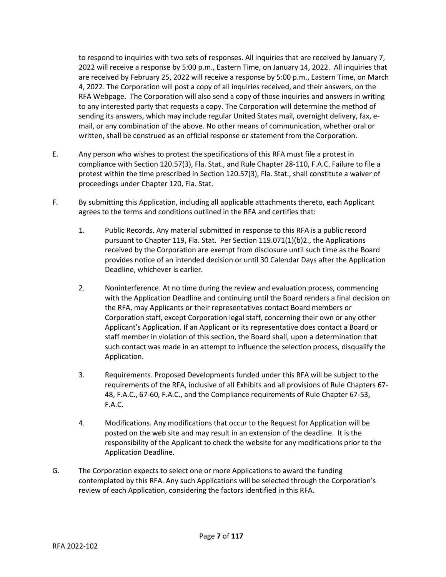to respond to inquiries with two sets of responses. All inquiries that are received by January 7, 2022 will receive a response by 5:00 p.m., Eastern Time, on January 14, 2022. All inquiries that are received by February 25, 2022 will receive a response by 5:00 p.m., Eastern Time, on March 4, 2022. The Corporation will post a copy of all inquiries received, and their answers, on the RFA Webpage. The Corporation will also send a copy of those inquiries and answers in writing to any interested party that requests a copy. The Corporation will determine the method of sending its answers, which may include regular United States mail, overnight delivery, fax, email, or any combination of the above. No other means of communication, whether oral or written, shall be construed as an official response or statement from the Corporation.

- E. Any person who wishes to protest the specifications of this RFA must file a protest in compliance with Section 120.57(3), Fla. Stat., and Rule Chapter 28-110, F.A.C. Failure to file a protest within the time prescribed in Section 120.57(3), Fla. Stat., shall constitute a waiver of proceedings under Chapter 120, Fla. Stat.
- F. By submitting this Application, including all applicable attachments thereto, each Applicant agrees to the terms and conditions outlined in the RFA and certifies that:
	- 1. Public Records. Any material submitted in response to this RFA is a public record pursuant to Chapter 119, Fla. Stat. Per Section 119.071(1)(b)2., the Applications received by the Corporation are exempt from disclosure until such time as the Board provides notice of an intended decision or until 30 Calendar Days after the Application Deadline, whichever is earlier.
	- 2. Noninterference. At no time during the review and evaluation process, commencing with the Application Deadline and continuing until the Board renders a final decision on the RFA, may Applicants or their representatives contact Board members or Corporation staff, except Corporation legal staff, concerning their own or any other Applicant's Application. If an Applicant or its representative does contact a Board or staff member in violation of this section, the Board shall, upon a determination that such contact was made in an attempt to influence the selection process, disqualify the Application.
	- 3. Requirements. Proposed Developments funded under this RFA will be subject to the requirements of the RFA, inclusive of all Exhibits and all provisions of Rule Chapters 67- 48, F.A.C., 67-60, F.A.C., and the Compliance requirements of Rule Chapter 67-53, F.A.C.
	- 4. Modifications. Any modifications that occur to the Request for Application will be posted on the web site and may result in an extension of the deadline. It is the responsibility of the Applicant to check the website for any modifications prior to the Application Deadline.
- G. The Corporation expects to select one or more Applications to award the funding contemplated by this RFA. Any such Applications will be selected through the Corporation's review of each Application, considering the factors identified in this RFA.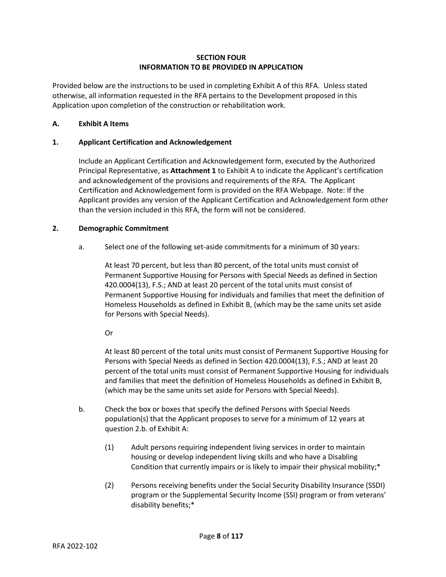# **SECTION FOUR INFORMATION TO BE PROVIDED IN APPLICATION**

Provided below are the instructions to be used in completing Exhibit A of this RFA. Unless stated otherwise, all information requested in the RFA pertains to the Development proposed in this Application upon completion of the construction or rehabilitation work.

#### **A. Exhibit A Items**

## **1. Applicant Certification and Acknowledgement**

Include an Applicant Certification and Acknowledgement form, executed by the Authorized Principal Representative, as **Attachment 1** to Exhibit A to indicate the Applicant's certification and acknowledgement of the provisions and requirements of the RFA. The Applicant Certification and Acknowledgement form is provided on the RFA Webpage. Note: If the Applicant provides any version of the Applicant Certification and Acknowledgement form other than the version included in this RFA, the form will not be considered.

## **2. Demographic Commitment**

a. Select one of the following set-aside commitments for a minimum of 30 years:

At least 70 percent, but less than 80 percent, of the total units must consist of Permanent Supportive Housing for Persons with Special Needs as defined in Section 420.0004(13), F.S.; AND at least 20 percent of the total units must consist of Permanent Supportive Housing for individuals and families that meet the definition of Homeless Households as defined in Exhibit B, (which may be the same units set aside for Persons with Special Needs).

Or

At least 80 percent of the total units must consist of Permanent Supportive Housing for Persons with Special Needs as defined in Section 420.0004(13), F.S.; AND at least 20 percent of the total units must consist of Permanent Supportive Housing for individuals and families that meet the definition of Homeless Households as defined in Exhibit B, (which may be the same units set aside for Persons with Special Needs).

- b. Check the box or boxes that specify the defined Persons with Special Needs population(s) that the Applicant proposes to serve for a minimum of 12 years at question 2.b. of Exhibit A:
	- (1) Adult persons requiring independent living services in order to maintain housing or develop independent living skills and who have a Disabling Condition that currently impairs or is likely to impair their physical mobility;\*
	- (2) Persons receiving benefits under the Social Security Disability Insurance (SSDI) program or the Supplemental Security Income (SSI) program or from veterans' disability benefits;\*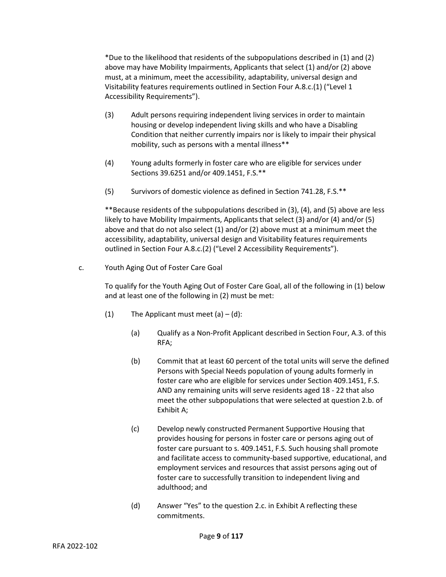\*Due to the likelihood that residents of the subpopulations described in (1) and (2) above may have Mobility Impairments, Applicants that select (1) and/or (2) above must, at a minimum, meet the accessibility, adaptability, universal design and Visitability features requirements outlined in Section Four A.8.c.(1) ("Level 1 Accessibility Requirements").

- (3) Adult persons requiring independent living services in order to maintain housing or develop independent living skills and who have a Disabling Condition that neither currently impairs nor is likely to impair their physical mobility, such as persons with a mental illness\*\*
- (4) Young adults formerly in foster care who are eligible for services under Sections 39.6251 and/or 409.1451, F.S.\*\*
- (5) Survivors of domestic violence as defined in Section 741.28, F.S.\*\*

\*\*Because residents of the subpopulations described in (3), (4), and (5) above are less likely to have Mobility Impairments, Applicants that select (3) and/or (4) and/or (5) above and that do not also select (1) and/or (2) above must at a minimum meet the accessibility, adaptability, universal design and Visitability features requirements outlined in Section Four A.8.c.(2) ("Level 2 Accessibility Requirements").

c. Youth Aging Out of Foster Care Goal

To qualify for the Youth Aging Out of Foster Care Goal, all of the following in (1) below and at least one of the following in (2) must be met:

- (1) The Applicant must meet  $(a) (d)$ :
	- (a) Qualify as a Non-Profit Applicant described in Section Four, A.3. of this RFA;
	- (b) Commit that at least 60 percent of the total units will serve the defined Persons with Special Needs population of young adults formerly in foster care who are eligible for services under Section 409.1451, F.S. AND any remaining units will serve residents aged 18 - 22 that also meet the other subpopulations that were selected at question 2.b. of Exhibit A;
	- (c) Develop newly constructed Permanent Supportive Housing that provides housing for persons in foster care or persons aging out of foster care pursuant to s. 409.1451, F.S. Such housing shall promote and facilitate access to community-based supportive, educational, and employment services and resources that assist persons aging out of foster care to successfully transition to independent living and adulthood; and
	- (d) Answer "Yes" to the question 2.c. in Exhibit A reflecting these commitments.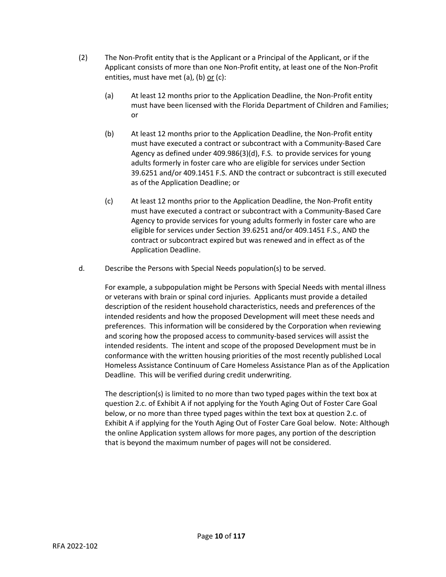- (2) The Non-Profit entity that is the Applicant or a Principal of the Applicant, or if the Applicant consists of more than one Non-Profit entity, at least one of the Non-Profit entities, must have met (a), (b) or (c):
	- (a) At least 12 months prior to the Application Deadline, the Non-Profit entity must have been licensed with the Florida Department of Children and Families; or
	- (b) At least 12 months prior to the Application Deadline, the Non-Profit entity must have executed a contract or subcontract with a Community-Based Care Agency as defined under 409.986(3)(d), F.S. to provide services for young adults formerly in foster care who are eligible for services under Section 39.6251 and/or 409.1451 F.S. AND the contract or subcontract is still executed as of the Application Deadline; or
	- (c) At least 12 months prior to the Application Deadline, the Non-Profit entity must have executed a contract or subcontract with a Community-Based Care Agency to provide services for young adults formerly in foster care who are eligible for services under Section 39.6251 and/or 409.1451 F.S., AND the contract or subcontract expired but was renewed and in effect as of the Application Deadline.
- d. Describe the Persons with Special Needs population(s) to be served.

For example, a subpopulation might be Persons with Special Needs with mental illness or veterans with brain or spinal cord injuries. Applicants must provide a detailed description of the resident household characteristics, needs and preferences of the intended residents and how the proposed Development will meet these needs and preferences. This information will be considered by the Corporation when reviewing and scoring how the proposed access to community-based services will assist the intended residents. The intent and scope of the proposed Development must be in conformance with the written housing priorities of the most recently published Local Homeless Assistance Continuum of Care Homeless Assistance Plan as of the Application Deadline. This will be verified during credit underwriting.

The description(s) is limited to no more than two typed pages within the text box at question 2.c. of Exhibit A if not applying for the Youth Aging Out of Foster Care Goal below, or no more than three typed pages within the text box at question 2.c. of Exhibit A if applying for the Youth Aging Out of Foster Care Goal below. Note: Although the online Application system allows for more pages, any portion of the description that is beyond the maximum number of pages will not be considered.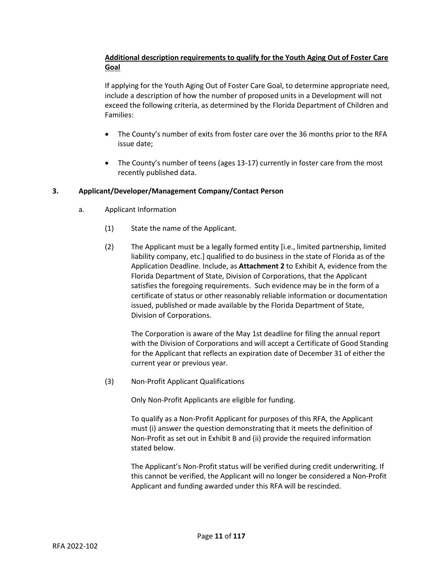# **Additional description requirements to qualify for the Youth Aging Out of Foster Care Goal**

If applying for the Youth Aging Out of Foster Care Goal, to determine appropriate need, include a description of how the number of proposed units in a Development will not exceed the following criteria, as determined by the Florida Department of Children and Families:

- The County's number of exits from foster care over the 36 months prior to the RFA issue date;
- The County's number of teens (ages 13-17) currently in foster care from the most recently published data.

# **3. Applicant/Developer/Management Company/Contact Person**

- a. Applicant Information
	- (1) State the name of the Applicant.
	- (2) The Applicant must be a legally formed entity [i.e., limited partnership, limited liability company, etc.] qualified to do business in the state of Florida as of the Application Deadline. Include, as **Attachment 2** to Exhibit A, evidence from the Florida Department of State, Division of Corporations, that the Applicant satisfies the foregoing requirements. Such evidence may be in the form of a certificate of status or other reasonably reliable information or documentation issued, published or made available by the Florida Department of State, Division of Corporations.

The Corporation is aware of the May 1st deadline for filing the annual report with the Division of Corporations and will accept a Certificate of Good Standing for the Applicant that reflects an expiration date of December 31 of either the current year or previous year.

(3) Non-Profit Applicant Qualifications

Only Non-Profit Applicants are eligible for funding.

To qualify as a Non-Profit Applicant for purposes of this RFA, the Applicant must (i) answer the question demonstrating that it meets the definition of Non-Profit as set out in Exhibit B and (ii) provide the required information stated below.

The Applicant's Non-Profit status will be verified during credit underwriting. If this cannot be verified, the Applicant will no longer be considered a Non-Profit Applicant and funding awarded under this RFA will be rescinded.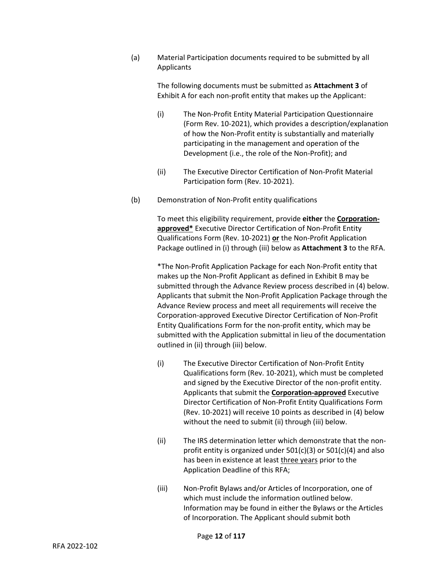(a) Material Participation documents required to be submitted by all **Applicants** 

> The following documents must be submitted as **Attachment 3** of Exhibit A for each non-profit entity that makes up the Applicant:

- (i) The Non-Profit Entity Material Participation Questionnaire (Form Rev. 10-2021), which provides a description/explanation of how the Non-Profit entity is substantially and materially participating in the management and operation of the Development (i.e., the role of the Non-Profit); and
- (ii) The Executive Director Certification of Non-Profit Material Participation form (Rev. 10-2021).
- (b) Demonstration of Non-Profit entity qualifications

To meet this eligibility requirement, provide **either** the **Corporationapproved\*** Executive Director Certification of Non-Profit Entity Qualifications Form (Rev. 10-2021) **or** the Non-Profit Application Package outlined in (i) through (iii) below as **Attachment 3** to the RFA.

\*The Non-Profit Application Package for each Non-Profit entity that makes up the Non-Profit Applicant as defined in Exhibit B may be submitted through the Advance Review process described in (4) below. Applicants that submit the Non-Profit Application Package through the Advance Review process and meet all requirements will receive the Corporation-approved Executive Director Certification of Non-Profit Entity Qualifications Form for the non-profit entity, which may be submitted with the Application submittal in lieu of the documentation outlined in (ii) through (iii) below.

- (i) The Executive Director Certification of Non-Profit Entity Qualifications form (Rev. 10-2021), which must be completed and signed by the Executive Director of the non-profit entity. Applicants that submit the **Corporation-approved** Executive Director Certification of Non-Profit Entity Qualifications Form (Rev. 10-2021) will receive 10 points as described in (4) below without the need to submit (ii) through (iii) below.
- (ii) The IRS determination letter which demonstrate that the nonprofit entity is organized under 501(c)(3) or 501(c)(4) and also has been in existence at least three years prior to the Application Deadline of this RFA;
- (iii) Non-Profit Bylaws and/or Articles of Incorporation, one of which must include the information outlined below. Information may be found in either the Bylaws or the Articles of Incorporation. The Applicant should submit both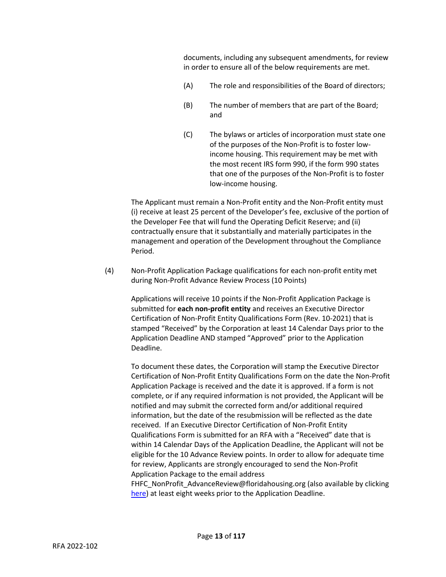documents, including any subsequent amendments, for review in order to ensure all of the below requirements are met.

- (A) The role and responsibilities of the Board of directors;
- (B) The number of members that are part of the Board; and
- (C) The bylaws or articles of incorporation must state one of the purposes of the Non-Profit is to foster lowincome housing. This requirement may be met with the most recent IRS form 990, if the form 990 states that one of the purposes of the Non-Profit is to foster low-income housing.

The Applicant must remain a Non-Profit entity and the Non-Profit entity must (i) receive at least 25 percent of the Developer's fee, exclusive of the portion of the Developer Fee that will fund the Operating Deficit Reserve; and (ii) contractually ensure that it substantially and materially participates in the management and operation of the Development throughout the Compliance Period.

(4) Non-Profit Application Package qualifications for each non-profit entity met during Non-Profit Advance Review Process (10 Points)

Applications will receive 10 points if the Non-Profit Application Package is submitted for **each non-profit entity** and receives an Executive Director Certification of Non-Profit Entity Qualifications Form (Rev. 10-2021) that is stamped "Received" by the Corporation at least 14 Calendar Days prior to the Application Deadline AND stamped "Approved" prior to the Application Deadline.

To document these dates, the Corporation will stamp the Executive Director Certification of Non-Profit Entity Qualifications Form on the date the Non-Profit Application Package is received and the date it is approved. If a form is not complete, or if any required information is not provided, the Applicant will be notified and may submit the corrected form and/or additional required information, but the date of the resubmission will be reflected as the date received. If an Executive Director Certification of Non-Profit Entity Qualifications Form is submitted for an RFA with a "Received" date that is within 14 Calendar Days of the Application Deadline, the Applicant will not be eligible for the 10 Advance Review points. In order to allow for adequate time for review, Applicants are strongly encouraged to send the Non-Profit Application Package to the email address

FHFC\_NonProfit\_AdvanceReview@floridahousing.org (also available by clicking [here\)](mailto:FHFC_NonProfit_AdvanceReview@floridahousing.org?subject=Non-Profit%20Entity%20Advance%20Review) at least eight weeks prior to the Application Deadline.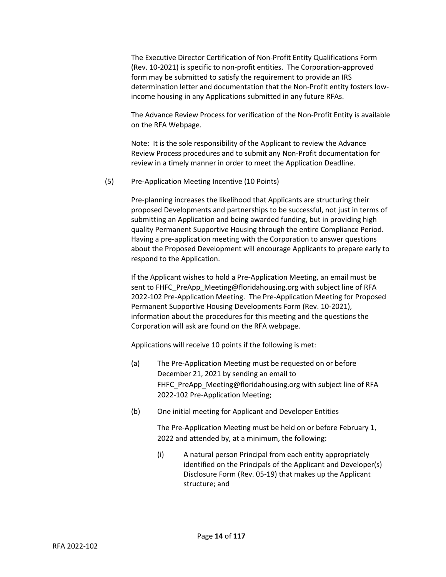The Executive Director Certification of Non-Profit Entity Qualifications Form (Rev. 10-2021) is specific to non-profit entities. The Corporation-approved form may be submitted to satisfy the requirement to provide an IRS determination letter and documentation that the Non-Profit entity fosters lowincome housing in any Applications submitted in any future RFAs.

The Advance Review Process for verification of the Non-Profit Entity is available on the RFA Webpage.

Note: It is the sole responsibility of the Applicant to review the Advance Review Process procedures and to submit any Non-Profit documentation for review in a timely manner in order to meet the Application Deadline.

#### (5) Pre-Application Meeting Incentive (10 Points)

Pre-planning increases the likelihood that Applicants are structuring their proposed Developments and partnerships to be successful, not just in terms of submitting an Application and being awarded funding, but in providing high quality Permanent Supportive Housing through the entire Compliance Period. Having a pre-application meeting with the Corporation to answer questions about the Proposed Development will encourage Applicants to prepare early to respond to the Application.

If the Applicant wishes to hold a Pre-Application Meeting, an email must be sent to FHFC\_PreApp\_Meeting@floridahousing.org with subject line of RFA 2022-102 Pre-Application Meeting. The Pre-Application Meeting for Proposed Permanent Supportive Housing Developments Form (Rev. 10-2021), information about the procedures for this meeting and the questions the Corporation will ask are found on the RFA webpage.

Applications will receive 10 points if the following is met:

- (a) The Pre-Application Meeting must be requested on or before December 21, 2021 by sending an email to FHFC\_PreApp\_Meeting@floridahousing.org with subject line of RFA 2022-102 Pre-Application Meeting;
- (b) One initial meeting for Applicant and Developer Entities

The Pre-Application Meeting must be held on or before February 1, 2022 and attended by, at a minimum, the following:

(i) A natural person Principal from each entity appropriately identified on the Principals of the Applicant and Developer(s) Disclosure Form (Rev. 05-19) that makes up the Applicant structure; and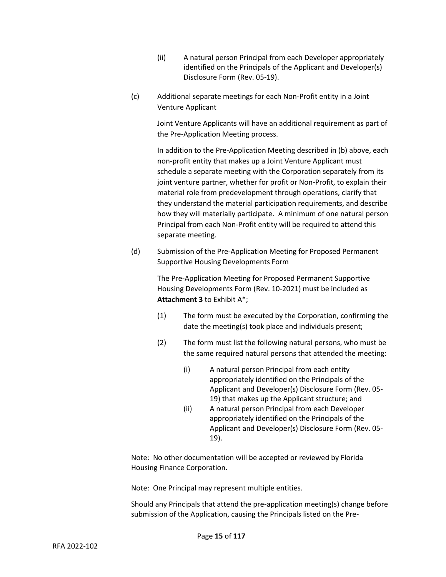- (ii) A natural person Principal from each Developer appropriately identified on the Principals of the Applicant and Developer(s) Disclosure Form (Rev. 05-19).
- (c) Additional separate meetings for each Non-Profit entity in a Joint Venture Applicant

Joint Venture Applicants will have an additional requirement as part of the Pre-Application Meeting process.

In addition to the Pre-Application Meeting described in (b) above, each non-profit entity that makes up a Joint Venture Applicant must schedule a separate meeting with the Corporation separately from its joint venture partner, whether for profit or Non-Profit, to explain their material role from predevelopment through operations, clarify that they understand the material participation requirements, and describe how they will materially participate. A minimum of one natural person Principal from each Non-Profit entity will be required to attend this separate meeting.

(d) Submission of the Pre-Application Meeting for Proposed Permanent Supportive Housing Developments Form

> The Pre-Application Meeting for Proposed Permanent Supportive Housing Developments Form (Rev. 10-2021) must be included as **Attachment 3** to Exhibit A\*;

- (1) The form must be executed by the Corporation, confirming the date the meeting(s) took place and individuals present;
- (2) The form must list the following natural persons, who must be the same required natural persons that attended the meeting:
	- (i) A natural person Principal from each entity appropriately identified on the Principals of the Applicant and Developer(s) Disclosure Form (Rev. 05- 19) that makes up the Applicant structure; and
	- (ii) A natural person Principal from each Developer appropriately identified on the Principals of the Applicant and Developer(s) Disclosure Form (Rev. 05- 19).

Note: No other documentation will be accepted or reviewed by Florida Housing Finance Corporation.

Note: One Principal may represent multiple entities.

Should any Principals that attend the pre-application meeting(s) change before submission of the Application, causing the Principals listed on the Pre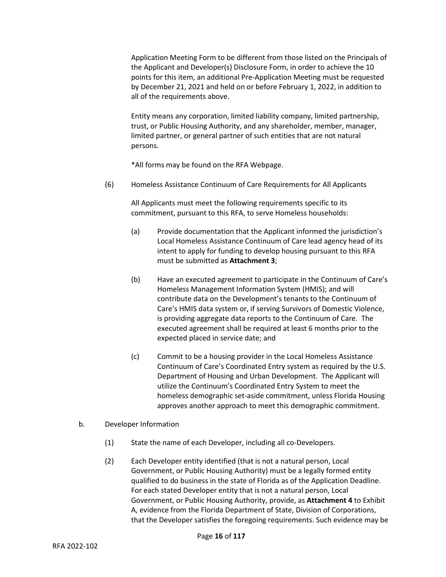Application Meeting Form to be different from those listed on the Principals of the Applicant and Developer(s) Disclosure Form, in order to achieve the 10 points for this item, an additional Pre-Application Meeting must be requested by December 21, 2021 and held on or before February 1, 2022, in addition to all of the requirements above.

Entity means any corporation, limited liability company, limited partnership, trust, or Public Housing Authority, and any shareholder, member, manager, limited partner, or general partner of such entities that are not natural persons.

\*All forms may be found on the RFA Webpage.

(6) Homeless Assistance Continuum of Care Requirements for All Applicants

All Applicants must meet the following requirements specific to its commitment, pursuant to this RFA, to serve Homeless households:

- (a) Provide documentation that the Applicant informed the jurisdiction's Local Homeless Assistance Continuum of Care lead agency head of its intent to apply for funding to develop housing pursuant to this RFA must be submitted as **Attachment 3**;
- (b) Have an executed agreement to participate in the Continuum of Care's Homeless Management Information System (HMIS); and will contribute data on the Development's tenants to the Continuum of Care's HMIS data system or, if serving Survivors of Domestic Violence, is providing aggregate data reports to the Continuum of Care. The executed agreement shall be required at least 6 months prior to the expected placed in service date; and
- (c) Commit to be a housing provider in the Local Homeless Assistance Continuum of Care's Coordinated Entry system as required by the U.S. Department of Housing and Urban Development. The Applicant will utilize the Continuum's Coordinated Entry System to meet the homeless demographic set-aside commitment, unless Florida Housing approves another approach to meet this demographic commitment.
- b. Developer Information
	- (1) State the name of each Developer, including all co-Developers.
	- (2) Each Developer entity identified (that is not a natural person, Local Government, or Public Housing Authority) must be a legally formed entity qualified to do business in the state of Florida as of the Application Deadline. For each stated Developer entity that is not a natural person, Local Government, or Public Housing Authority, provide, as **Attachment 4** to Exhibit A, evidence from the Florida Department of State, Division of Corporations, that the Developer satisfies the foregoing requirements. Such evidence may be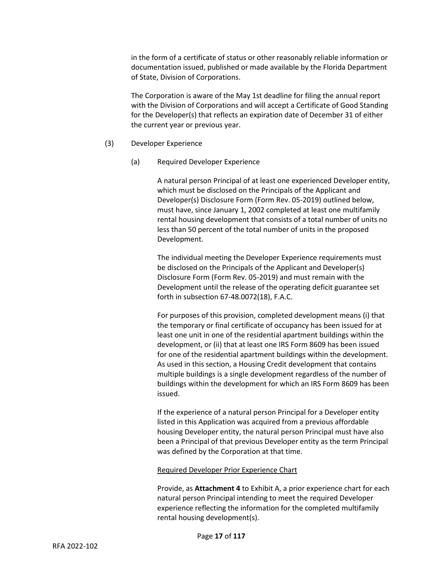in the form of a certificate of status or other reasonably reliable information or documentation issued, published or made available by the Florida Department of State, Division of Corporations.

The Corporation is aware of the May 1st deadline for filing the annual report with the Division of Corporations and will accept a Certificate of Good Standing for the Developer(s) that reflects an expiration date of December 31 of either the current year or previous year.

- (3) Developer Experience
	- (a) Required Developer Experience

A natural person Principal of at least one experienced Developer entity, which must be disclosed on the Principals of the Applicant and Developer(s) Disclosure Form (Form Rev. 05-2019) outlined below, must have, since January 1, 2002 completed at least one multifamily rental housing development that consists of a total number of units no less than 50 percent of the total number of units in the proposed Development.

The individual meeting the Developer Experience requirements must be disclosed on the Principals of the Applicant and Developer(s) Disclosure Form (Form Rev. 05-2019) and must remain with the Development until the release of the operating deficit guarantee set forth in subsection 67-48.0072(18), F.A.C.

For purposes of this provision, completed development means (i) that the temporary or final certificate of occupancy has been issued for at least one unit in one of the residential apartment buildings within the development, or (ii) that at least one IRS Form 8609 has been issued for one of the residential apartment buildings within the development. As used in this section, a Housing Credit development that contains multiple buildings is a single development regardless of the number of buildings within the development for which an IRS Form 8609 has been issued.

If the experience of a natural person Principal for a Developer entity listed in this Application was acquired from a previous affordable housing Developer entity, the natural person Principal must have also been a Principal of that previous Developer entity as the term Principal was defined by the Corporation at that time.

#### Required Developer Prior Experience Chart

Provide, as **Attachment 4** to Exhibit A, a prior experience chart for each natural person Principal intending to meet the required Developer experience reflecting the information for the completed multifamily rental housing development(s).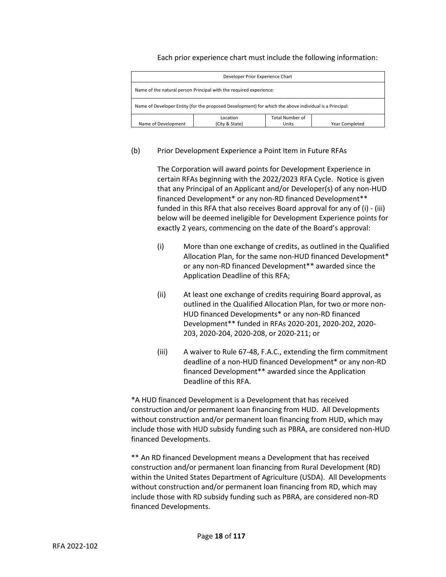Each prior experience chart must include the following information:

| Developer Prior Experience Chart                                                                       |                            |                                 |                       |  |
|--------------------------------------------------------------------------------------------------------|----------------------------|---------------------------------|-----------------------|--|
| Name of the natural person Principal with the required experience:                                     |                            |                                 |                       |  |
| Name of Developer Entity (for the proposed Development) for which the above individual is a Principal: |                            |                                 |                       |  |
| Name of Development                                                                                    | Location<br>(City & State) | <b>Total Number of</b><br>Units | <b>Year Completed</b> |  |

#### (b) Prior Development Experience a Point Item in Future RFAs

The Corporation will award points for Development Experience in certain RFAs beginning with the 2022/2023 RFA Cycle. Notice is given that any Principal of an Applicant and/or Developer(s) of any non-HUD financed Development\* or any non-RD financed Development\*\* funded in this RFA that also receives Board approval for any of (i) - (iii) below will be deemed ineligible for Development Experience points for exactly 2 years, commencing on the date of the Board's approval:

- (i) More than one exchange of credits, as outlined in the Qualified Allocation Plan, for the same non-HUD financed Development\* or any non-RD financed Development\*\* awarded since the Application Deadline of this RFA;
- (ii) At least one exchange of credits requiring Board approval, as outlined in the Qualified Allocation Plan, for two or more non-HUD financed Developments\* or any non-RD financed Development\*\* funded in RFAs 2020-201, 2020-202, 2020- 203, 2020-204, 2020-208, or 2020-211; or
- (iii) A waiver to Rule 67-48, F.A.C., extending the firm commitment deadline of a non-HUD financed Development\* or any non-RD financed Development\*\* awarded since the Application Deadline of this RFA.

\*A HUD financed Development is a Development that has received construction and/or permanent loan financing from HUD. All Developments without construction and/or permanent loan financing from HUD, which may include those with HUD subsidy funding such as PBRA, are considered non-HUD financed Developments.

\*\* An RD financed Development means a Development that has received construction and/or permanent loan financing from Rural Development (RD) within the United States Department of Agriculture (USDA). All Developments without construction and/or permanent loan financing from RD, which may include those with RD subsidy funding such as PBRA, are considered non-RD financed Developments.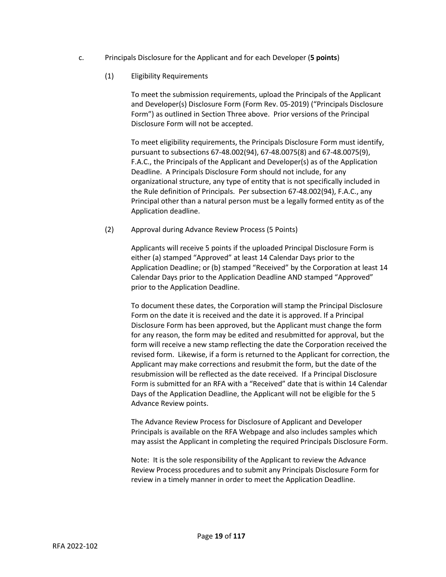- c. Principals Disclosure for the Applicant and for each Developer (**5 points**)
	- (1) Eligibility Requirements

To meet the submission requirements, upload the Principals of the Applicant and Developer(s) Disclosure Form (Form Rev. 05-2019) ("Principals Disclosure Form") as outlined in Section Three above. Prior versions of the Principal Disclosure Form will not be accepted.

To meet eligibility requirements, the Principals Disclosure Form must identify, pursuant to subsections 67-48.002(94), 67-48.0075(8) and 67-48.0075(9), F.A.C., the Principals of the Applicant and Developer(s) as of the Application Deadline. A Principals Disclosure Form should not include, for any organizational structure, any type of entity that is not specifically included in the Rule definition of Principals. Per subsection 67-48.002(94), F.A.C., any Principal other than a natural person must be a legally formed entity as of the Application deadline.

(2) Approval during Advance Review Process (5 Points)

Applicants will receive 5 points if the uploaded Principal Disclosure Form is either (a) stamped "Approved" at least 14 Calendar Days prior to the Application Deadline; or (b) stamped "Received" by the Corporation at least 14 Calendar Days prior to the Application Deadline AND stamped "Approved" prior to the Application Deadline.

To document these dates, the Corporation will stamp the Principal Disclosure Form on the date it is received and the date it is approved. If a Principal Disclosure Form has been approved, but the Applicant must change the form for any reason, the form may be edited and resubmitted for approval, but the form will receive a new stamp reflecting the date the Corporation received the revised form. Likewise, if a form is returned to the Applicant for correction, the Applicant may make corrections and resubmit the form, but the date of the resubmission will be reflected as the date received. If a Principal Disclosure Form is submitted for an RFA with a "Received" date that is within 14 Calendar Days of the Application Deadline, the Applicant will not be eligible for the 5 Advance Review points.

The Advance Review Process for Disclosure of Applicant and Developer Principals is available on the RFA Webpage and also includes samples which may assist the Applicant in completing the required Principals Disclosure Form.

Note: It is the sole responsibility of the Applicant to review the Advance Review Process procedures and to submit any Principals Disclosure Form for review in a timely manner in order to meet the Application Deadline.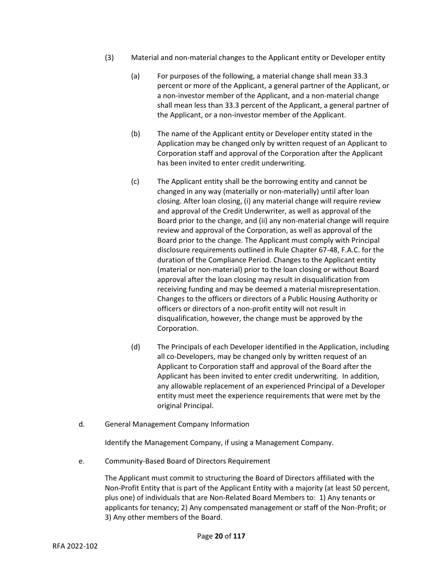- (3) Material and non-material changes to the Applicant entity or Developer entity
	- (a) For purposes of the following, a material change shall mean 33.3 percent or more of the Applicant, a general partner of the Applicant, or a non-investor member of the Applicant, and a non-material change shall mean less than 33.3 percent of the Applicant, a general partner of the Applicant, or a non-investor member of the Applicant.
	- (b) The name of the Applicant entity or Developer entity stated in the Application may be changed only by written request of an Applicant to Corporation staff and approval of the Corporation after the Applicant has been invited to enter credit underwriting.
	- (c) The Applicant entity shall be the borrowing entity and cannot be changed in any way (materially or non-materially) until after loan closing. After loan closing, (i) any material change will require review and approval of the Credit Underwriter, as well as approval of the Board prior to the change, and (ii) any non-material change will require review and approval of the Corporation, as well as approval of the Board prior to the change. The Applicant must comply with Principal disclosure requirements outlined in Rule Chapter 67-48, F.A.C. for the duration of the Compliance Period. Changes to the Applicant entity (material or non-material) prior to the loan closing or without Board approval after the loan closing may result in disqualification from receiving funding and may be deemed a material misrepresentation. Changes to the officers or directors of a Public Housing Authority or officers or directors of a non-profit entity will not result in disqualification, however, the change must be approved by the Corporation.
	- (d) The Principals of each Developer identified in the Application, including all co-Developers, may be changed only by written request of an Applicant to Corporation staff and approval of the Board after the Applicant has been invited to enter credit underwriting. In addition, any allowable replacement of an experienced Principal of a Developer entity must meet the experience requirements that were met by the original Principal.
- d. General Management Company Information

Identify the Management Company, if using a Management Company.

e. Community-Based Board of Directors Requirement

The Applicant must commit to structuring the Board of Directors affiliated with the Non-Profit Entity that is part of the Applicant Entity with a majority (at least 50 percent, plus one) of individuals that are Non-Related Board Members to: 1) Any tenants or applicants for tenancy; 2) Any compensated management or staff of the Non-Profit; or 3) Any other members of the Board.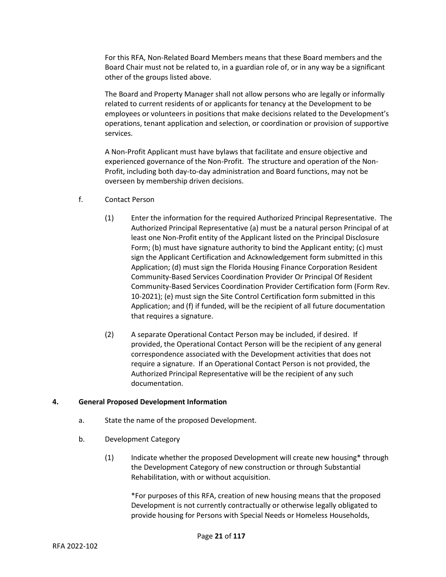For this RFA, Non-Related Board Members means that these Board members and the Board Chair must not be related to, in a guardian role of, or in any way be a significant other of the groups listed above.

The Board and Property Manager shall not allow persons who are legally or informally related to current residents of or applicants for tenancy at the Development to be employees or volunteers in positions that make decisions related to the Development's operations, tenant application and selection, or coordination or provision of supportive services.

A Non-Profit Applicant must have bylaws that facilitate and ensure objective and experienced governance of the Non-Profit. The structure and operation of the Non-Profit, including both day-to-day administration and Board functions, may not be overseen by membership driven decisions.

- f. Contact Person
	- (1) Enter the information for the required Authorized Principal Representative. The Authorized Principal Representative (a) must be a natural person Principal of at least one Non-Profit entity of the Applicant listed on the Principal Disclosure Form; (b) must have signature authority to bind the Applicant entity; (c) must sign the Applicant Certification and Acknowledgement form submitted in this Application; (d) must sign the Florida Housing Finance Corporation Resident Community-Based Services Coordination Provider Or Principal Of Resident Community-Based Services Coordination Provider Certification form (Form Rev. 10-2021); (e) must sign the Site Control Certification form submitted in this Application; and (f) if funded, will be the recipient of all future documentation that requires a signature.
	- (2) A separate Operational Contact Person may be included, if desired. If provided, the Operational Contact Person will be the recipient of any general correspondence associated with the Development activities that does not require a signature. If an Operational Contact Person is not provided, the Authorized Principal Representative will be the recipient of any such documentation.

#### **4. General Proposed Development Information**

- a. State the name of the proposed Development.
- b. Development Category
	- (1) Indicate whether the proposed Development will create new housing\* through the Development Category of new construction or through Substantial Rehabilitation, with or without acquisition.

\*For purposes of this RFA, creation of new housing means that the proposed Development is not currently contractually or otherwise legally obligated to provide housing for Persons with Special Needs or Homeless Households,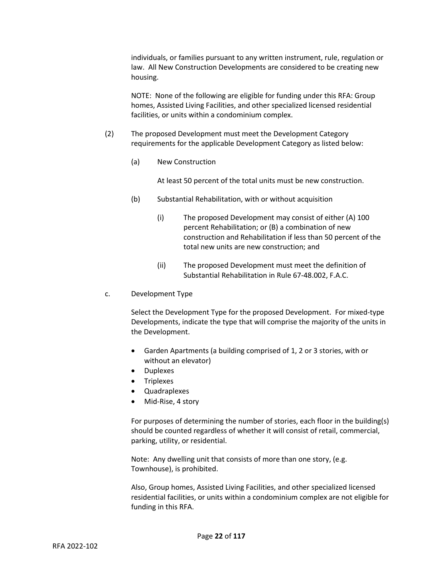individuals, or families pursuant to any written instrument, rule, regulation or law. All New Construction Developments are considered to be creating new housing.

NOTE: None of the following are eligible for funding under this RFA: Group homes, Assisted Living Facilities, and other specialized licensed residential facilities, or units within a condominium complex.

- (2) The proposed Development must meet the Development Category requirements for the applicable Development Category as listed below:
	- (a) New Construction

At least 50 percent of the total units must be new construction.

- (b) Substantial Rehabilitation, with or without acquisition
	- (i) The proposed Development may consist of either (A) 100 percent Rehabilitation; or (B) a combination of new construction and Rehabilitation if less than 50 percent of the total new units are new construction; and
	- (ii) The proposed Development must meet the definition of Substantial Rehabilitation in Rule 67-48.002, F.A.C.
- c. Development Type

Select the Development Type for the proposed Development. For mixed-type Developments, indicate the type that will comprise the majority of the units in the Development.

- Garden Apartments (a building comprised of 1, 2 or 3 stories, with or without an elevator)
- Duplexes
- Triplexes
- Quadraplexes
- Mid-Rise, 4 story

For purposes of determining the number of stories, each floor in the building(s) should be counted regardless of whether it will consist of retail, commercial, parking, utility, or residential.

Note: Any dwelling unit that consists of more than one story, (e.g. Townhouse), is prohibited.

Also, Group homes, Assisted Living Facilities, and other specialized licensed residential facilities, or units within a condominium complex are not eligible for funding in this RFA.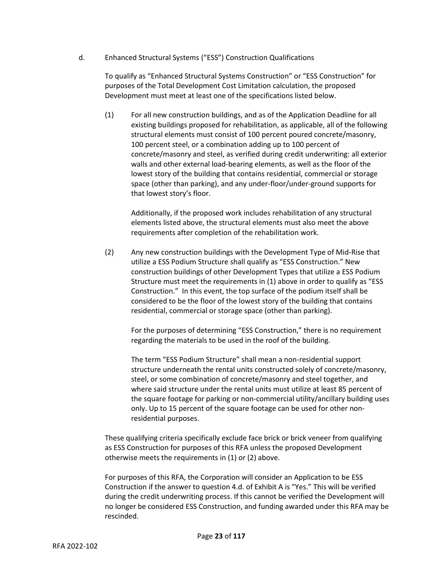d. Enhanced Structural Systems ("ESS") Construction Qualifications

To qualify as "Enhanced Structural Systems Construction" or "ESS Construction" for purposes of the Total Development Cost Limitation calculation, the proposed Development must meet at least one of the specifications listed below.

(1) For all new construction buildings, and as of the Application Deadline for all existing buildings proposed for rehabilitation, as applicable, all of the following structural elements must consist of 100 percent poured concrete/masonry, 100 percent steel, or a combination adding up to 100 percent of concrete/masonry and steel, as verified during credit underwriting: all exterior walls and other external load-bearing elements, as well as the floor of the lowest story of the building that contains residential, commercial or storage space (other than parking), and any under-floor/under-ground supports for that lowest story's floor.

Additionally, if the proposed work includes rehabilitation of any structural elements listed above, the structural elements must also meet the above requirements after completion of the rehabilitation work.

(2) Any new construction buildings with the Development Type of Mid-Rise that utilize a ESS Podium Structure shall qualify as "ESS Construction." New construction buildings of other Development Types that utilize a ESS Podium Structure must meet the requirements in (1) above in order to qualify as "ESS Construction." In this event, the top surface of the podium itself shall be considered to be the floor of the lowest story of the building that contains residential, commercial or storage space (other than parking).

For the purposes of determining "ESS Construction," there is no requirement regarding the materials to be used in the roof of the building.

The term "ESS Podium Structure" shall mean a non-residential support structure underneath the rental units constructed solely of concrete/masonry, steel, or some combination of concrete/masonry and steel together, and where said structure under the rental units must utilize at least 85 percent of the square footage for parking or non-commercial utility/ancillary building uses only. Up to 15 percent of the square footage can be used for other nonresidential purposes.

These qualifying criteria specifically exclude face brick or brick veneer from qualifying as ESS Construction for purposes of this RFA unless the proposed Development otherwise meets the requirements in (1) or (2) above.

For purposes of this RFA, the Corporation will consider an Application to be ESS Construction if the answer to question 4.d. of Exhibit A is "Yes." This will be verified during the credit underwriting process. If this cannot be verified the Development will no longer be considered ESS Construction, and funding awarded under this RFA may be rescinded.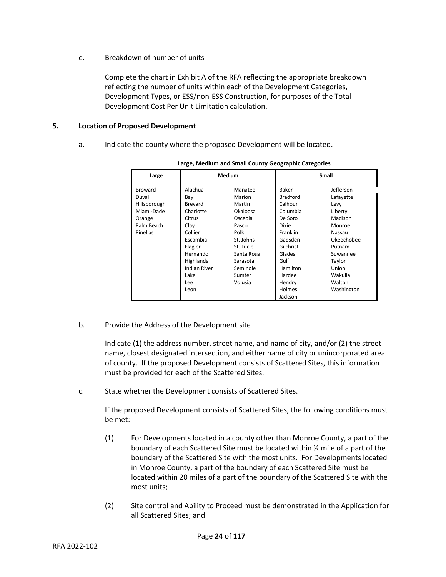e. Breakdown of number of units

Complete the chart in Exhibit A of the RFA reflecting the appropriate breakdown reflecting the number of units within each of the Development Categories, Development Types, or ESS/non-ESS Construction, for purposes of the Total Development Cost Per Unit Limitation calculation.

#### **5. Location of Proposed Development**

a. Indicate the county where the proposed Development will be located.

| Large        | <b>Medium</b>       |            | <b>Small</b>    |            |
|--------------|---------------------|------------|-----------------|------------|
|              |                     |            |                 |            |
| Broward      | Alachua             | Manatee    | Baker           | Jefferson  |
| Duval        | Bay                 | Marion     | <b>Bradford</b> | Lafayette  |
| Hillsborough | Brevard             | Martin     | Calhoun         | Levy       |
| Miami-Dade   | Charlotte           | Okaloosa   | Columbia        | Liberty    |
| Orange       | Citrus              | Osceola    | De Soto         | Madison    |
| Palm Beach   | Clay                | Pasco      | Dixie           | Monroe     |
| Pinellas     | Collier             | Polk       | Franklin        | Nassau     |
|              | Escambia            | St. Johns  | Gadsden         | Okeechobee |
|              | Flagler             | St. Lucie  | Gilchrist       | Putnam     |
|              | Hernando            | Santa Rosa | Glades          | Suwannee   |
|              | Highlands           | Sarasota   | Gulf            | Taylor     |
|              | <b>Indian River</b> | Seminole   | Hamilton        | Union      |
|              | Lake                | Sumter     | Hardee          | Wakulla    |
|              | Lee                 | Volusia    | Hendry          | Walton     |
|              | Leon                |            | Holmes          | Washington |
|              |                     |            | Jackson         |            |

**Large, Medium and Small County Geographic Categories**

b. Provide the Address of the Development site

Indicate (1) the address number, street name, and name of city, and/or (2) the street name, closest designated intersection, and either name of city or unincorporated area of county. If the proposed Development consists of Scattered Sites, this information must be provided for each of the Scattered Sites.

c. State whether the Development consists of Scattered Sites.

If the proposed Development consists of Scattered Sites, the following conditions must be met:

- (1) For Developments located in a county other than Monroe County, a part of the boundary of each Scattered Site must be located within ½ mile of a part of the boundary of the Scattered Site with the most units. For Developments located in Monroe County, a part of the boundary of each Scattered Site must be located within 20 miles of a part of the boundary of the Scattered Site with the most units;
- (2) Site control and Ability to Proceed must be demonstrated in the Application for all Scattered Sites; and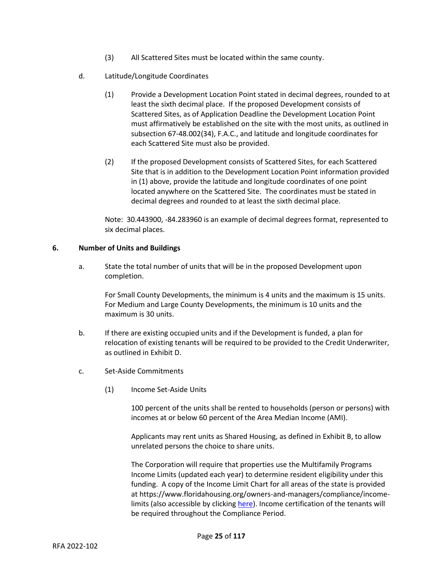- (3) All Scattered Sites must be located within the same county.
- d. Latitude/Longitude Coordinates
	- (1) Provide a Development Location Point stated in decimal degrees, rounded to at least the sixth decimal place. If the proposed Development consists of Scattered Sites, as of Application Deadline the Development Location Point must affirmatively be established on the site with the most units, as outlined in subsection 67-48.002(34), F.A.C., and latitude and longitude coordinates for each Scattered Site must also be provided.
	- (2) If the proposed Development consists of Scattered Sites, for each Scattered Site that is in addition to the Development Location Point information provided in (1) above, provide the latitude and longitude coordinates of one point located anywhere on the Scattered Site. The coordinates must be stated in decimal degrees and rounded to at least the sixth decimal place.

Note: 30.443900, -84.283960 is an example of decimal degrees format, represented to six decimal places.

#### **6. Number of Units and Buildings**

a. State the total number of units that will be in the proposed Development upon completion.

For Small County Developments, the minimum is 4 units and the maximum is 15 units. For Medium and Large County Developments, the minimum is 10 units and the maximum is 30 units.

- b. If there are existing occupied units and if the Development is funded, a plan for relocation of existing tenants will be required to be provided to the Credit Underwriter, as outlined in Exhibit D.
- c. Set-Aside Commitments
	- (1) Income Set-Aside Units

100 percent of the units shall be rented to households (person or persons) with incomes at or below 60 percent of the Area Median Income (AMI).

Applicants may rent units as Shared Housing, as defined in Exhibit B, to allow unrelated persons the choice to share units.

The Corporation will require that properties use the Multifamily Programs Income Limits (updated each year) to determine resident eligibility under this funding. A copy of the Income Limit Chart for all areas of the state is provided at https://www.floridahousing.org/owners-and-managers/compliance/incomelimits (also accessible by clickin[g here\)](https://www.floridahousing.org/owners-and-managers/compliance/income-limits). Income certification of the tenants will be required throughout the Compliance Period.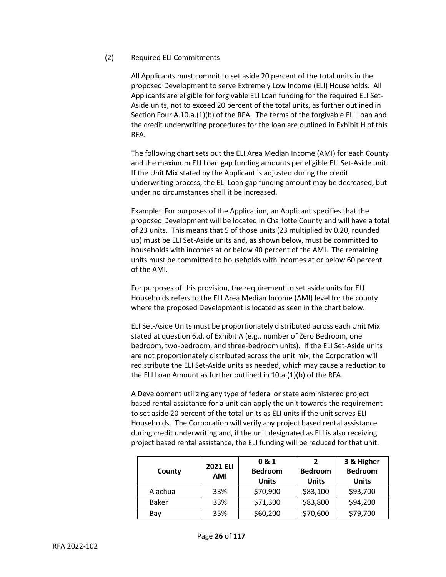#### (2) Required ELI Commitments

All Applicants must commit to set aside 20 percent of the total units in the proposed Development to serve Extremely Low Income (ELI) Households. All Applicants are eligible for forgivable ELI Loan funding for the required ELI Set-Aside units, not to exceed 20 percent of the total units, as further outlined in Section Four A.10.a.(1)(b) of the RFA. The terms of the forgivable ELI Loan and the credit underwriting procedures for the loan are outlined in Exhibit H of this RFA.

The following chart sets out the ELI Area Median Income (AMI) for each County and the maximum ELI Loan gap funding amounts per eligible ELI Set-Aside unit. If the Unit Mix stated by the Applicant is adjusted during the credit underwriting process, the ELI Loan gap funding amount may be decreased, but under no circumstances shall it be increased.

Example: For purposes of the Application, an Applicant specifies that the proposed Development will be located in Charlotte County and will have a total of 23 units. This means that 5 of those units (23 multiplied by 0.20, rounded up) must be ELI Set-Aside units and, as shown below, must be committed to households with incomes at or below 40 percent of the AMI. The remaining units must be committed to households with incomes at or below 60 percent of the AMI.

For purposes of this provision, the requirement to set aside units for ELI Households refers to the ELI Area Median Income (AMI) level for the county where the proposed Development is located as seen in the chart below.

ELI Set-Aside Units must be proportionately distributed across each Unit Mix stated at question 6.d. of Exhibit A (e.g., number of Zero Bedroom, one bedroom, two-bedroom, and three-bedroom units). If the ELI Set-Aside units are not proportionately distributed across the unit mix, the Corporation will redistribute the ELI Set-Aside units as needed, which may cause a reduction to the ELI Loan Amount as further outlined in 10.a.(1)(b) of the RFA.

A Development utilizing any type of federal or state administered project based rental assistance for a unit can apply the unit towards the requirement to set aside 20 percent of the total units as ELI units if the unit serves ELI Households. The Corporation will verify any project based rental assistance during credit underwriting and, if the unit designated as ELI is also receiving project based rental assistance, the ELI funding will be reduced for that unit.

| County       | <b>2021 ELI</b><br><b>AMI</b> | 0 & 1<br><b>Bedroom</b><br><b>Units</b> | $\overline{\phantom{a}}$<br><b>Bedroom</b><br><b>Units</b> | 3 & Higher<br><b>Bedroom</b><br><b>Units</b> |
|--------------|-------------------------------|-----------------------------------------|------------------------------------------------------------|----------------------------------------------|
| Alachua      | 33%                           | \$70,900                                | \$83,100                                                   | \$93,700                                     |
| <b>Baker</b> | 33%                           | \$71,300                                | \$83,800                                                   | \$94,200                                     |
| Bay          | 35%                           | \$60,200                                | \$70,600                                                   | \$79,700                                     |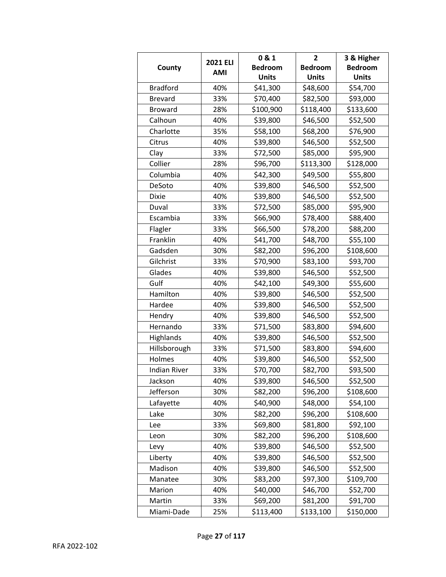| County              | <b>2021 ELI</b><br><b>AMI</b> | 0 & 1          | 2              | 3 & Higher     |
|---------------------|-------------------------------|----------------|----------------|----------------|
|                     |                               | <b>Bedroom</b> | <b>Bedroom</b> | <b>Bedroom</b> |
|                     |                               | <b>Units</b>   | <b>Units</b>   | <b>Units</b>   |
| <b>Bradford</b>     | 40%                           | \$41,300       | \$48,600       | \$54,700       |
| <b>Brevard</b>      | 33%                           | \$70,400       | \$82,500       | \$93,000       |
| <b>Broward</b>      | 28%                           | \$100,900      | \$118,400      | \$133,600      |
| Calhoun             | 40%                           | \$39,800       | \$46,500       | \$52,500       |
| Charlotte           | 35%                           | \$58,100       | \$68,200       | \$76,900       |
| Citrus              | 40%                           | \$39,800       | \$46,500       | \$52,500       |
| Clay                | 33%                           | \$72,500       | \$85,000       | \$95,900       |
| Collier             | 28%                           | \$96,700       | \$113,300      | \$128,000      |
| Columbia            | 40%                           | \$42,300       | \$49,500       | \$55,800       |
| DeSoto              | 40%                           | \$39,800       | \$46,500       | \$52,500       |
| Dixie               | 40%                           | \$39,800       | \$46,500       | \$52,500       |
| Duval               | 33%                           | \$72,500       | \$85,000       | \$95,900       |
| Escambia            | 33%                           | \$66,900       | \$78,400       | \$88,400       |
| Flagler             | 33%                           | \$66,500       | \$78,200       | \$88,200       |
| Franklin            | 40%                           | \$41,700       | \$48,700       | \$55,100       |
| Gadsden             | 30%                           | \$82,200       | \$96,200       | \$108,600      |
| Gilchrist           | 33%                           | \$70,900       | \$83,100       | \$93,700       |
| Glades              | 40%                           | \$39,800       | \$46,500       | \$52,500       |
| Gulf                | 40%                           | \$42,100       | \$49,300       | \$55,600       |
| Hamilton            | 40%                           | \$39,800       | \$46,500       | \$52,500       |
| Hardee              | 40%                           | \$39,800       | \$46,500       | \$52,500       |
| Hendry              | 40%                           | \$39,800       | \$46,500       | \$52,500       |
| Hernando            | 33%                           | \$71,500       | \$83,800       | \$94,600       |
| Highlands           | 40%                           | \$39,800       | \$46,500       | \$52,500       |
| Hillsborough        | 33%                           | \$71,500       | \$83,800       | \$94,600       |
| Holmes              | 40%                           | \$39,800       | \$46,500       | \$52,500       |
| <b>Indian River</b> | 33%                           | \$70,700       | \$82,700       | \$93,500       |
| Jackson             | 40%                           | \$39,800       | \$46,500       | \$52,500       |
| Jefferson           | 30%                           | \$82,200       | \$96,200       | \$108,600      |
| Lafayette           | 40%                           | \$40,900       | \$48,000       | \$54,100       |
| Lake                | 30%                           | \$82,200       | \$96,200       | \$108,600      |
| Lee                 | 33%                           | \$69,800       | \$81,800       | \$92,100       |
| Leon                | 30%                           | \$82,200       | \$96,200       | \$108,600      |
| Levy                | 40%                           | \$39,800       | \$46,500       | \$52,500       |
| Liberty             | 40%                           | \$39,800       | \$46,500       | \$52,500       |
| Madison             | 40%                           | \$39,800       | \$46,500       | \$52,500       |
| Manatee             | 30%                           | \$83,200       | \$97,300       | \$109,700      |
| Marion              | 40%                           | \$40,000       | \$46,700       | \$52,700       |
| Martin              | 33%                           | \$69,200       | \$81,200       | \$91,700       |
| Miami-Dade          | 25%                           | \$113,400      | \$133,100      | \$150,000      |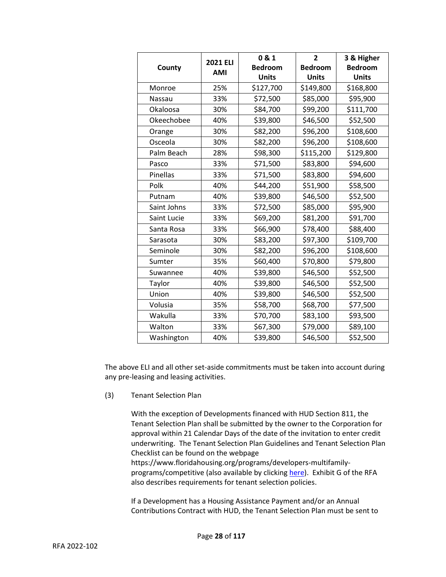| County        | <b>2021 ELI</b><br><b>AMI</b> | 0 & 1          | $\overline{2}$ | 3 & Higher     |
|---------------|-------------------------------|----------------|----------------|----------------|
|               |                               | <b>Bedroom</b> | <b>Bedroom</b> | <b>Bedroom</b> |
|               |                               | <b>Units</b>   | <b>Units</b>   | <b>Units</b>   |
| Monroe        | 25%                           | \$127,700      | \$149,800      | \$168,800      |
| <b>Nassau</b> | 33%                           | \$72,500       | \$85,000       | \$95,900       |
| Okaloosa      | 30%                           | \$84,700       | \$99,200       | \$111,700      |
| Okeechobee    | 40%                           | \$39,800       | \$46,500       | \$52,500       |
| Orange        | 30%                           | \$82,200       | \$96,200       | \$108,600      |
| Osceola       | 30%                           | \$82,200       | \$96,200       | \$108,600      |
| Palm Beach    | 28%                           | \$98,300       | \$115,200      | \$129,800      |
| Pasco         | 33%                           | \$71,500       | \$83,800       | \$94,600       |
| Pinellas      | 33%                           | \$71,500       | \$83,800       | \$94,600       |
| Polk          | 40%                           | \$44,200       | \$51,900       | \$58,500       |
| Putnam        | 40%                           | \$39,800       | \$46,500       | \$52,500       |
| Saint Johns   | 33%                           | \$72,500       | \$85,000       | \$95,900       |
| Saint Lucie   | 33%                           | \$69,200       | \$81,200       | \$91,700       |
| Santa Rosa    | 33%                           | \$66,900       | \$78,400       | \$88,400       |
| Sarasota      | 30%                           | \$83,200       | \$97,300       | \$109,700      |
| Seminole      | 30%                           | \$82,200       | \$96,200       | \$108,600      |
| Sumter        | 35%                           | \$60,400       | \$70,800       | \$79,800       |
| Suwannee      | 40%                           | \$39,800       | \$46,500       | \$52,500       |
| Taylor        | 40%                           | \$39,800       | \$46,500       | \$52,500       |
| Union         | 40%                           | \$39,800       | \$46,500       | \$52,500       |
| Volusia       | 35%                           | \$58,700       | \$68,700       | \$77,500       |
| Wakulla       | 33%                           | \$70,700       | \$83,100       | \$93,500       |
| Walton        | 33%                           | \$67,300       | \$79,000       | \$89,100       |
| Washington    | 40%                           | \$39,800       | \$46,500       | \$52,500       |

The above ELI and all other set-aside commitments must be taken into account during any pre-leasing and leasing activities.

(3) Tenant Selection Plan

With the exception of Developments financed with HUD Section 811, the Tenant Selection Plan shall be submitted by the owner to the Corporation for approval within 21 Calendar Days of the date of the invitation to enter credit underwriting. The Tenant Selection Plan Guidelines and Tenant Selection Plan Checklist can be found on the webpage

https://www.floridahousing.org/programs/developers-multifamilyprograms/competitive (also available by clicking [here\)](https://www.floridahousing.org/programs/developers-multifamily-programs/competitive). Exhibit G of the RFA also describes requirements for tenant selection policies.

If a Development has a Housing Assistance Payment and/or an Annual Contributions Contract with HUD, the Tenant Selection Plan must be sent to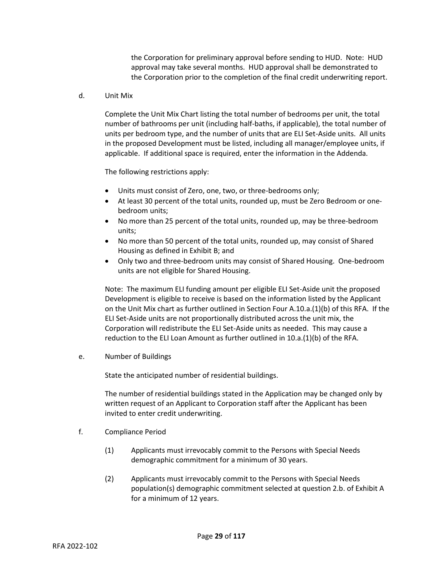the Corporation for preliminary approval before sending to HUD. Note: HUD approval may take several months. HUD approval shall be demonstrated to the Corporation prior to the completion of the final credit underwriting report.

#### d. Unit Mix

Complete the Unit Mix Chart listing the total number of bedrooms per unit, the total number of bathrooms per unit (including half-baths, if applicable), the total number of units per bedroom type, and the number of units that are ELI Set-Aside units. All units in the proposed Development must be listed, including all manager/employee units, if applicable. If additional space is required, enter the information in the Addenda.

The following restrictions apply:

- Units must consist of Zero, one, two, or three-bedrooms only;
- At least 30 percent of the total units, rounded up, must be Zero Bedroom or onebedroom units;
- No more than 25 percent of the total units, rounded up, may be three-bedroom units;
- No more than 50 percent of the total units, rounded up, may consist of Shared Housing as defined in Exhibit B; and
- Only two and three-bedroom units may consist of Shared Housing. One-bedroom units are not eligible for Shared Housing.

Note: The maximum ELI funding amount per eligible ELI Set-Aside unit the proposed Development is eligible to receive is based on the information listed by the Applicant on the Unit Mix chart as further outlined in Section Four A.10.a.(1)(b) of this RFA. If the ELI Set-Aside units are not proportionally distributed across the unit mix, the Corporation will redistribute the ELI Set-Aside units as needed. This may cause a reduction to the ELI Loan Amount as further outlined in  $10.a.(1)(b)$  of the RFA.

e. Number of Buildings

State the anticipated number of residential buildings.

The number of residential buildings stated in the Application may be changed only by written request of an Applicant to Corporation staff after the Applicant has been invited to enter credit underwriting.

- f. Compliance Period
	- (1) Applicants must irrevocably commit to the Persons with Special Needs demographic commitment for a minimum of 30 years.
	- (2) Applicants must irrevocably commit to the Persons with Special Needs population(s) demographic commitment selected at question 2.b. of Exhibit A for a minimum of 12 years.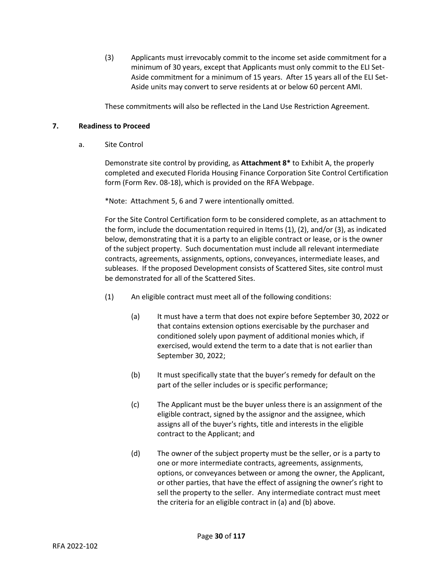(3) Applicants must irrevocably commit to the income set aside commitment for a minimum of 30 years, except that Applicants must only commit to the ELI Set-Aside commitment for a minimum of 15 years. After 15 years all of the ELI Set-Aside units may convert to serve residents at or below 60 percent AMI.

These commitments will also be reflected in the Land Use Restriction Agreement.

#### **7. Readiness to Proceed**

a. Site Control

Demonstrate site control by providing, as **Attachment 8\*** to Exhibit A, the properly completed and executed Florida Housing Finance Corporation Site Control Certification form (Form Rev. 08-18), which is provided on the RFA Webpage.

\*Note: Attachment 5, 6 and 7 were intentionally omitted.

For the Site Control Certification form to be considered complete, as an attachment to the form, include the documentation required in Items (1), (2), and/or (3), as indicated below, demonstrating that it is a party to an eligible contract or lease, or is the owner of the subject property. Such documentation must include all relevant intermediate contracts, agreements, assignments, options, conveyances, intermediate leases, and subleases. If the proposed Development consists of Scattered Sites, site control must be demonstrated for all of the Scattered Sites.

- (1) An eligible contract must meet all of the following conditions:
	- (a) It must have a term that does not expire before September 30, 2022 or that contains extension options exercisable by the purchaser and conditioned solely upon payment of additional monies which, if exercised, would extend the term to a date that is not earlier than September 30, 2022;
	- (b) It must specifically state that the buyer's remedy for default on the part of the seller includes or is specific performance;
	- (c) The Applicant must be the buyer unless there is an assignment of the eligible contract, signed by the assignor and the assignee, which assigns all of the buyer's rights, title and interests in the eligible contract to the Applicant; and
	- (d) The owner of the subject property must be the seller, or is a party to one or more intermediate contracts, agreements, assignments, options, or conveyances between or among the owner, the Applicant, or other parties, that have the effect of assigning the owner's right to sell the property to the seller. Any intermediate contract must meet the criteria for an eligible contract in (a) and (b) above.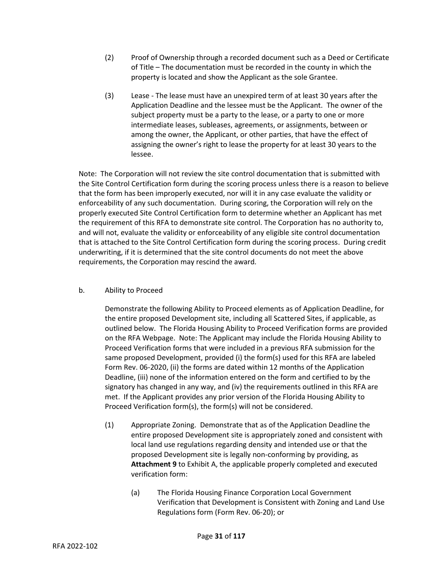- (2) Proof of Ownership through a recorded document such as a Deed or Certificate of Title – The documentation must be recorded in the county in which the property is located and show the Applicant as the sole Grantee.
- (3) Lease The lease must have an unexpired term of at least 30 years after the Application Deadline and the lessee must be the Applicant. The owner of the subject property must be a party to the lease, or a party to one or more intermediate leases, subleases, agreements, or assignments, between or among the owner, the Applicant, or other parties, that have the effect of assigning the owner's right to lease the property for at least 30 years to the lessee.

Note: The Corporation will not review the site control documentation that is submitted with the Site Control Certification form during the scoring process unless there is a reason to believe that the form has been improperly executed, nor will it in any case evaluate the validity or enforceability of any such documentation. During scoring, the Corporation will rely on the properly executed Site Control Certification form to determine whether an Applicant has met the requirement of this RFA to demonstrate site control. The Corporation has no authority to, and will not, evaluate the validity or enforceability of any eligible site control documentation that is attached to the Site Control Certification form during the scoring process. During credit underwriting, if it is determined that the site control documents do not meet the above requirements, the Corporation may rescind the award.

# b. Ability to Proceed

Demonstrate the following Ability to Proceed elements as of Application Deadline, for the entire proposed Development site, including all Scattered Sites, if applicable, as outlined below. The Florida Housing Ability to Proceed Verification forms are provided on the RFA Webpage. Note: The Applicant may include the Florida Housing Ability to Proceed Verification forms that were included in a previous RFA submission for the same proposed Development, provided (i) the form(s) used for this RFA are labeled Form Rev. 06-2020, (ii) the forms are dated within 12 months of the Application Deadline, (iii) none of the information entered on the form and certified to by the signatory has changed in any way, and (iv) the requirements outlined in this RFA are met. If the Applicant provides any prior version of the Florida Housing Ability to Proceed Verification form(s), the form(s) will not be considered.

- (1) Appropriate Zoning. Demonstrate that as of the Application Deadline the entire proposed Development site is appropriately zoned and consistent with local land use regulations regarding density and intended use or that the proposed Development site is legally non-conforming by providing, as **Attachment 9** to Exhibit A, the applicable properly completed and executed verification form:
	- (a) The Florida Housing Finance Corporation Local Government Verification that Development is Consistent with Zoning and Land Use Regulations form (Form Rev. 06-20); or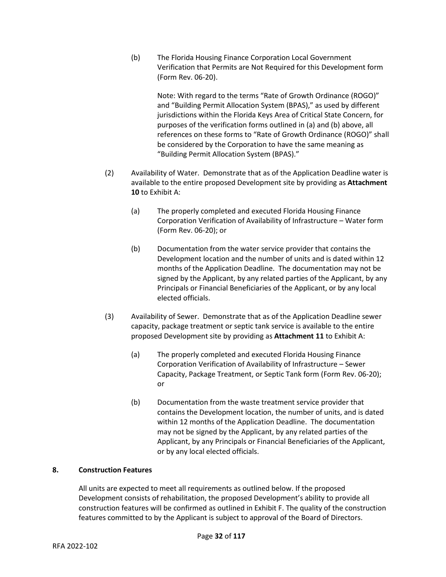(b) The Florida Housing Finance Corporation Local Government Verification that Permits are Not Required for this Development form (Form Rev. 06-20).

> Note: With regard to the terms "Rate of Growth Ordinance (ROGO)" and "Building Permit Allocation System (BPAS)," as used by different jurisdictions within the Florida Keys Area of Critical State Concern, for purposes of the verification forms outlined in (a) and (b) above, all references on these forms to "Rate of Growth Ordinance (ROGO)" shall be considered by the Corporation to have the same meaning as "Building Permit Allocation System (BPAS)."

- (2) Availability of Water. Demonstrate that as of the Application Deadline water is available to the entire proposed Development site by providing as **Attachment 10** to Exhibit A:
	- (a) The properly completed and executed Florida Housing Finance Corporation Verification of Availability of Infrastructure – Water form (Form Rev. 06-20); or
	- (b) Documentation from the water service provider that contains the Development location and the number of units and is dated within 12 months of the Application Deadline. The documentation may not be signed by the Applicant, by any related parties of the Applicant, by any Principals or Financial Beneficiaries of the Applicant, or by any local elected officials.
- (3) Availability of Sewer. Demonstrate that as of the Application Deadline sewer capacity, package treatment or septic tank service is available to the entire proposed Development site by providing as **Attachment 11** to Exhibit A:
	- (a) The properly completed and executed Florida Housing Finance Corporation Verification of Availability of Infrastructure – Sewer Capacity, Package Treatment, or Septic Tank form (Form Rev. 06-20); or
	- (b) Documentation from the waste treatment service provider that contains the Development location, the number of units, and is dated within 12 months of the Application Deadline. The documentation may not be signed by the Applicant, by any related parties of the Applicant, by any Principals or Financial Beneficiaries of the Applicant, or by any local elected officials.

#### **8. Construction Features**

All units are expected to meet all requirements as outlined below. If the proposed Development consists of rehabilitation, the proposed Development's ability to provide all construction features will be confirmed as outlined in Exhibit F. The quality of the construction features committed to by the Applicant is subject to approval of the Board of Directors.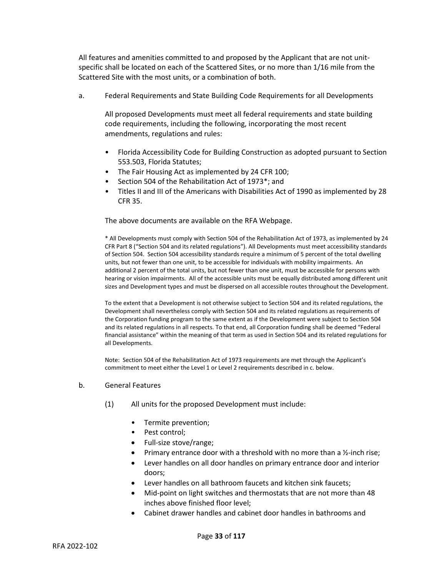All features and amenities committed to and proposed by the Applicant that are not unitspecific shall be located on each of the Scattered Sites, or no more than 1/16 mile from the Scattered Site with the most units, or a combination of both.

a. Federal Requirements and State Building Code Requirements for all Developments

All proposed Developments must meet all federal requirements and state building code requirements, including the following, incorporating the most recent amendments, regulations and rules:

- Florida Accessibility Code for Building Construction as adopted pursuant to Section 553.503, Florida Statutes;
- The Fair Housing Act as implemented by 24 CFR 100;
- Section 504 of the Rehabilitation Act of 1973\*; and
- Titles II and III of the Americans with Disabilities Act of 1990 as implemented by 28 CFR 35.

The above documents are available on the RFA Webpage.

\* All Developments must comply with Section 504 of the Rehabilitation Act of 1973, as implemented by 24 CFR Part 8 ("Section 504 and its related regulations"). All Developments must meet accessibility standards of Section 504. Section 504 accessibility standards require a minimum of 5 percent of the total dwelling units, but not fewer than one unit, to be accessible for individuals with mobility impairments. An additional 2 percent of the total units, but not fewer than one unit, must be accessible for persons with hearing or vision impairments. All of the accessible units must be equally distributed among different unit sizes and Development types and must be dispersed on all accessible routes throughout the Development.

To the extent that a Development is not otherwise subject to Section 504 and its related regulations, the Development shall nevertheless comply with Section 504 and its related regulations as requirements of the Corporation funding program to the same extent as if the Development were subject to Section 504 and its related regulations in all respects. To that end, all Corporation funding shall be deemed "Federal financial assistance" within the meaning of that term as used in Section 504 and its related regulations for all Developments.

Note: Section 504 of the Rehabilitation Act of 1973 requirements are met through the Applicant's commitment to meet either the Level 1 or Level 2 requirements described in c. below.

- b. General Features
	- (1) All units for the proposed Development must include:
		- Termite prevention;
		- Pest control;
		- Full-size stove/range;
		- Primary entrance door with a threshold with no more than a  $\frac{1}{2}$ -inch rise;
		- Lever handles on all door handles on primary entrance door and interior doors;
		- Lever handles on all bathroom faucets and kitchen sink faucets;
		- Mid-point on light switches and thermostats that are not more than 48 inches above finished floor level;
		- Cabinet drawer handles and cabinet door handles in bathrooms and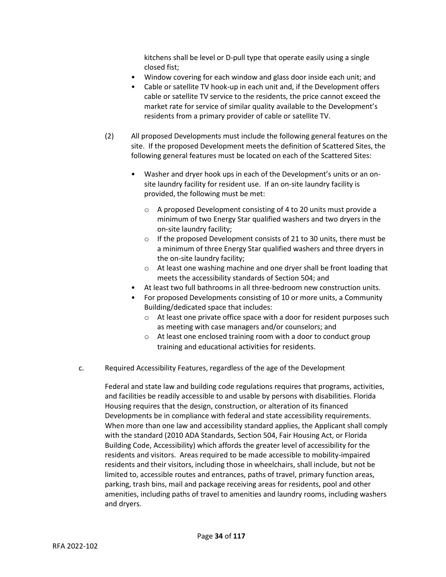kitchens shall be level or D-pull type that operate easily using a single closed fist;

- Window covering for each window and glass door inside each unit; and
- Cable or satellite TV hook-up in each unit and, if the Development offers cable or satellite TV service to the residents, the price cannot exceed the market rate for service of similar quality available to the Development's residents from a primary provider of cable or satellite TV.
- (2) All proposed Developments must include the following general features on the site. If the proposed Development meets the definition of Scattered Sites, the following general features must be located on each of the Scattered Sites:
	- Washer and dryer hook ups in each of the Development's units or an onsite laundry facility for resident use. If an on-site laundry facility is provided, the following must be met:
		- o A proposed Development consisting of 4 to 20 units must provide a minimum of two Energy Star qualified washers and two dryers in the on-site laundry facility;
		- o If the proposed Development consists of 21 to 30 units, there must be a minimum of three Energy Star qualified washers and three dryers in the on-site laundry facility;
		- o At least one washing machine and one dryer shall be front loading that meets the accessibility standards of Section 504; and
	- At least two full bathrooms in all three-bedroom new construction units.
	- For proposed Developments consisting of 10 or more units, a Community Building/dedicated space that includes:
		- $\circ$  At least one private office space with a door for resident purposes such as meeting with case managers and/or counselors; and
		- o At least one enclosed training room with a door to conduct group training and educational activities for residents.
- c. Required Accessibility Features, regardless of the age of the Development

Federal and state law and building code regulations requires that programs, activities, and facilities be readily accessible to and usable by persons with disabilities. Florida Housing requires that the design, construction, or alteration of its financed Developments be in compliance with federal and state accessibility requirements. When more than one law and accessibility standard applies, the Applicant shall comply with the standard (2010 ADA Standards, Section 504, Fair Housing Act, or Florida Building Code, Accessibility) which affords the greater level of accessibility for the residents and visitors. Areas required to be made accessible to mobility-impaired residents and their visitors, including those in wheelchairs, shall include, but not be limited to, accessible routes and entrances, paths of travel, primary function areas, parking, trash bins, mail and package receiving areas for residents, pool and other amenities, including paths of travel to amenities and laundry rooms, including washers and dryers.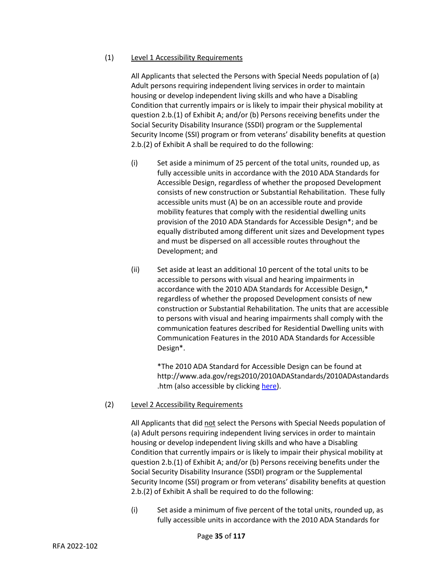#### (1) Level 1 Accessibility Requirements

All Applicants that selected the Persons with Special Needs population of (a) Adult persons requiring independent living services in order to maintain housing or develop independent living skills and who have a Disabling Condition that currently impairs or is likely to impair their physical mobility at question 2.b.(1) of Exhibit A; and/or (b) Persons receiving benefits under the Social Security Disability Insurance (SSDI) program or the Supplemental Security Income (SSI) program or from veterans' disability benefits at question 2.b.(2) of Exhibit A shall be required to do the following:

- $(i)$  Set aside a minimum of 25 percent of the total units, rounded up, as fully accessible units in accordance with the 2010 ADA Standards for Accessible Design, regardless of whether the proposed Development consists of new construction or Substantial Rehabilitation. These fully accessible units must (A) be on an accessible route and provide mobility features that comply with the residential dwelling units provision of the 2010 ADA Standards for Accessible Design\*; and be equally distributed among different unit sizes and Development types and must be dispersed on all accessible routes throughout the Development; and
- (ii) Set aside at least an additional 10 percent of the total units to be accessible to persons with visual and hearing impairments in accordance with the 2010 ADA Standards for Accessible Design,\* regardless of whether the proposed Development consists of new construction or Substantial Rehabilitation. The units that are accessible to persons with visual and hearing impairments shall comply with the communication features described for Residential Dwelling units with Communication Features in the 2010 ADA Standards for Accessible Design\*.

\*The 2010 ADA Standard for Accessible Design can be found at http://www.ada.gov/regs2010/2010ADAStandards/2010ADAstandards .htm (also accessible by clicking [here\)](http://www.ada.gov/regs2010/2010ADAStandards/2010ADAstandards.htm).

#### (2) Level 2 Accessibility Requirements

All Applicants that did not select the Persons with Special Needs population of (a) Adult persons requiring independent living services in order to maintain housing or develop independent living skills and who have a Disabling Condition that currently impairs or is likely to impair their physical mobility at question 2.b.(1) of Exhibit A; and/or (b) Persons receiving benefits under the Social Security Disability Insurance (SSDI) program or the Supplemental Security Income (SSI) program or from veterans' disability benefits at question 2.b.(2) of Exhibit A shall be required to do the following:

(i) Set aside a minimum of five percent of the total units, rounded up, as fully accessible units in accordance with the 2010 ADA Standards for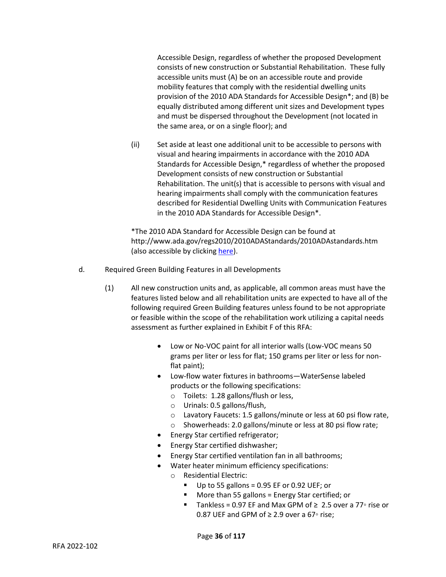Accessible Design, regardless of whether the proposed Development consists of new construction or Substantial Rehabilitation. These fully accessible units must (A) be on an accessible route and provide mobility features that comply with the residential dwelling units provision of the 2010 ADA Standards for Accessible Design\*; and (B) be equally distributed among different unit sizes and Development types and must be dispersed throughout the Development (not located in the same area, or on a single floor); and

(ii) Set aside at least one additional unit to be accessible to persons with visual and hearing impairments in accordance with the 2010 ADA Standards for Accessible Design,\* regardless of whether the proposed Development consists of new construction or Substantial Rehabilitation. The unit(s) that is accessible to persons with visual and hearing impairments shall comply with the communication features described for Residential Dwelling Units with Communication Features in the 2010 ADA Standards for Accessible Design\*.

\*The 2010 ADA Standard for Accessible Design can be found at http://www.ada.gov/regs2010/2010ADAStandards/2010ADAstandards.htm (also accessible by clickin[g here\)](http://www.ada.gov/regs2010/2010ADAStandards/2010ADAstandards.htm).

- d. Required Green Building Features in all Developments
	- (1) All new construction units and, as applicable, all common areas must have the features listed below and all rehabilitation units are expected to have all of the following required Green Building features unless found to be not appropriate or feasible within the scope of the rehabilitation work utilizing a capital needs assessment as further explained in Exhibit F of this RFA:
		- Low or No-VOC paint for all interior walls (Low-VOC means 50 grams per liter or less for flat; 150 grams per liter or less for nonflat paint);
		- Low-flow water fixtures in bathrooms—WaterSense labeled products or the following specifications:
			- o Toilets: 1.28 gallons/flush or less,
			- o Urinals: 0.5 gallons/flush,
			- o Lavatory Faucets: 1.5 gallons/minute or less at 60 psi flow rate,
			- o Showerheads: 2.0 gallons/minute or less at 80 psi flow rate;
		- Energy Star certified refrigerator;
		- Energy Star certified dishwasher;
		- Energy Star certified ventilation fan in all bathrooms;
		- Water heater minimum efficiency specifications:
			- o Residential Electric:
				- $\blacksquare$  Up to 55 gallons = 0.95 EF or 0.92 UEF; or
				- More than 55 gallons = Energy Star certified; or
				- Tankless = 0.97 EF and Max GPM of  $\geq 2.5$  over a 77° rise or 0.87 UEF and GPM of  $≥$  2.9 over a 67 $\circ$  rise;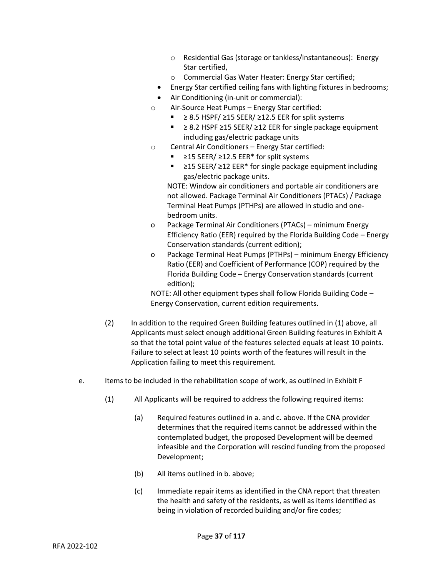- o Residential Gas (storage or tankless/instantaneous): Energy Star certified,
- o Commercial Gas Water Heater: Energy Star certified;
- Energy Star certified ceiling fans with lighting fixtures in bedrooms;
- Air Conditioning (in-unit or commercial):
- o Air-Source Heat Pumps Energy Star certified:
	- $≥ 8.5$  HSPF/ $≥ 15$  SEER/ $≥ 12.5$  EER for split systems
	- ≥ 8.2 HSPF ≥15 SEER/ ≥12 EER for single package equipment including gas/electric package units
- o Central Air Conditioners Energy Star certified:
	- $≥15$  SEER/  $≥12.5$  EER<sup>\*</sup> for split systems
	- ≥15 SEER/ ≥12 EER\* for single package equipment including gas/electric package units.

NOTE: Window air conditioners and portable air conditioners are not allowed. Package Terminal Air Conditioners (PTACs) / Package Terminal Heat Pumps (PTHPs) are allowed in studio and onebedroom units.

- o Package Terminal Air Conditioners (PTACs) minimum Energy Efficiency Ratio (EER) required by the Florida Building Code – Energy Conservation standards (current edition);
- o Package Terminal Heat Pumps (PTHPs) minimum Energy Efficiency Ratio (EER) and Coefficient of Performance (COP) required by the Florida Building Code – Energy Conservation standards (current edition);

NOTE: All other equipment types shall follow Florida Building Code – Energy Conservation, current edition requirements.

- (2) In addition to the required Green Building features outlined in (1) above, all Applicants must select enough additional Green Building features in Exhibit A so that the total point value of the features selected equals at least 10 points. Failure to select at least 10 points worth of the features will result in the Application failing to meet this requirement.
- e. Items to be included in the rehabilitation scope of work, as outlined in Exhibit F
	- (1) All Applicants will be required to address the following required items:
		- (a) Required features outlined in a. and c. above. If the CNA provider determines that the required items cannot be addressed within the contemplated budget, the proposed Development will be deemed infeasible and the Corporation will rescind funding from the proposed Development;
		- (b) All items outlined in b. above;
		- (c) Immediate repair items as identified in the CNA report that threaten the health and safety of the residents, as well as items identified as being in violation of recorded building and/or fire codes;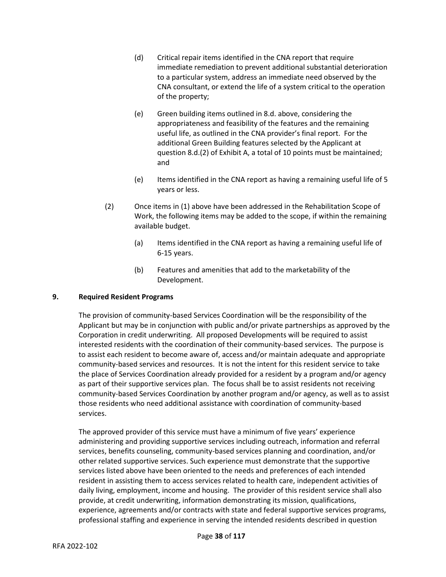- (d) Critical repair items identified in the CNA report that require immediate remediation to prevent additional substantial deterioration to a particular system, address an immediate need observed by the CNA consultant, or extend the life of a system critical to the operation of the property;
- (e) Green building items outlined in 8.d. above, considering the appropriateness and feasibility of the features and the remaining useful life, as outlined in the CNA provider's final report. For the additional Green Building features selected by the Applicant at question 8.d.(2) of Exhibit A, a total of 10 points must be maintained; and
- (e) Items identified in the CNA report as having a remaining useful life of 5 years or less.
- (2) Once items in (1) above have been addressed in the Rehabilitation Scope of Work, the following items may be added to the scope, if within the remaining available budget.
	- (a) Items identified in the CNA report as having a remaining useful life of 6-15 years.
	- (b) Features and amenities that add to the marketability of the Development.

# **9. Required Resident Programs**

The provision of community-based Services Coordination will be the responsibility of the Applicant but may be in conjunction with public and/or private partnerships as approved by the Corporation in credit underwriting. All proposed Developments will be required to assist interested residents with the coordination of their community-based services. The purpose is to assist each resident to become aware of, access and/or maintain adequate and appropriate community-based services and resources. It is not the intent for this resident service to take the place of Services Coordination already provided for a resident by a program and/or agency as part of their supportive services plan. The focus shall be to assist residents not receiving community-based Services Coordination by another program and/or agency, as well as to assist those residents who need additional assistance with coordination of community-based services.

The approved provider of this service must have a minimum of five years' experience administering and providing supportive services including outreach, information and referral services, benefits counseling, community-based services planning and coordination, and/or other related supportive services. Such experience must demonstrate that the supportive services listed above have been oriented to the needs and preferences of each intended resident in assisting them to access services related to health care, independent activities of daily living, employment, income and housing. The provider of this resident service shall also provide, at credit underwriting, information demonstrating its mission, qualifications, experience, agreements and/or contracts with state and federal supportive services programs, professional staffing and experience in serving the intended residents described in question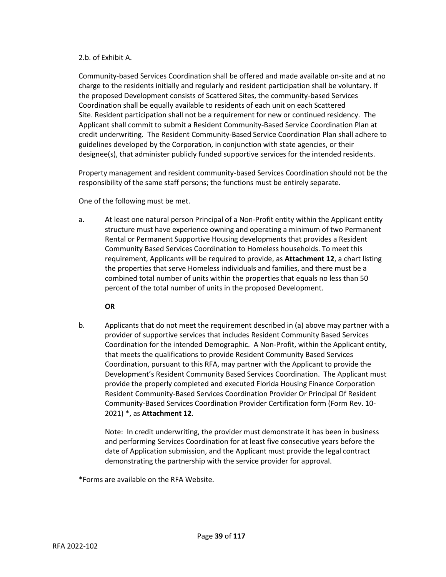### 2.b. of Exhibit A.

Community-based Services Coordination shall be offered and made available on-site and at no charge to the residents initially and regularly and resident participation shall be voluntary. If the proposed Development consists of Scattered Sites, the community-based Services Coordination shall be equally available to residents of each unit on each Scattered Site. Resident participation shall not be a requirement for new or continued residency. The Applicant shall commit to submit a Resident Community-Based Service Coordination Plan at credit underwriting. The Resident Community-Based Service Coordination Plan shall adhere to guidelines developed by the Corporation, in conjunction with state agencies, or their designee(s), that administer publicly funded supportive services for the intended residents.

Property management and resident community-based Services Coordination should not be the responsibility of the same staff persons; the functions must be entirely separate.

One of the following must be met.

a. At least one natural person Principal of a Non-Profit entity within the Applicant entity structure must have experience owning and operating a minimum of two Permanent Rental or Permanent Supportive Housing developments that provides a Resident Community Based Services Coordination to Homeless households. To meet this requirement, Applicants will be required to provide, as **Attachment 12**, a chart listing the properties that serve Homeless individuals and families, and there must be a combined total number of units within the properties that equals no less than 50 percent of the total number of units in the proposed Development.

**OR**

b. Applicants that do not meet the requirement described in (a) above may partner with a provider of supportive services that includes Resident Community Based Services Coordination for the intended Demographic. A Non-Profit, within the Applicant entity, that meets the qualifications to provide Resident Community Based Services Coordination, pursuant to this RFA, may partner with the Applicant to provide the Development's Resident Community Based Services Coordination. The Applicant must provide the properly completed and executed Florida Housing Finance Corporation Resident Community-Based Services Coordination Provider Or Principal Of Resident Community-Based Services Coordination Provider Certification form (Form Rev. 10- 2021) \*, as **Attachment 12**.

Note: In credit underwriting, the provider must demonstrate it has been in business and performing Services Coordination for at least five consecutive years before the date of Application submission, and the Applicant must provide the legal contract demonstrating the partnership with the service provider for approval.

\*Forms are available on the RFA Website.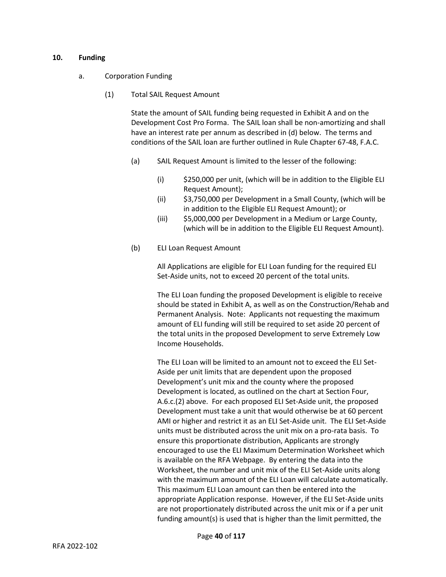#### **10. Funding**

- a. Corporation Funding
	- (1) Total SAIL Request Amount

State the amount of SAIL funding being requested in Exhibit A and on the Development Cost Pro Forma. The SAIL loan shall be non-amortizing and shall have an interest rate per annum as described in (d) below. The terms and conditions of the SAIL loan are further outlined in Rule Chapter 67-48, F.A.C.

- (a) SAIL Request Amount is limited to the lesser of the following:
	- (i) \$250,000 per unit, (which will be in addition to the Eligible ELI Request Amount);
	- (ii) \$3,750,000 per Development in a Small County, (which will be in addition to the Eligible ELI Request Amount); or
	- (iii) \$5,000,000 per Development in a Medium or Large County, (which will be in addition to the Eligible ELI Request Amount).
- (b) ELI Loan Request Amount

All Applications are eligible for ELI Loan funding for the required ELI Set-Aside units, not to exceed 20 percent of the total units.

The ELI Loan funding the proposed Development is eligible to receive should be stated in Exhibit A, as well as on the Construction/Rehab and Permanent Analysis. Note: Applicants not requesting the maximum amount of ELI funding will still be required to set aside 20 percent of the total units in the proposed Development to serve Extremely Low Income Households.

The ELI Loan will be limited to an amount not to exceed the ELI Set-Aside per unit limits that are dependent upon the proposed Development's unit mix and the county where the proposed Development is located, as outlined on the chart at Section Four, A.6.c.(2) above. For each proposed ELI Set-Aside unit, the proposed Development must take a unit that would otherwise be at 60 percent AMI or higher and restrict it as an ELI Set-Aside unit. The ELI Set-Aside units must be distributed across the unit mix on a pro-rata basis. To ensure this proportionate distribution, Applicants are strongly encouraged to use the ELI Maximum Determination Worksheet which is available on the RFA Webpage. By entering the data into the Worksheet, the number and unit mix of the ELI Set-Aside units along with the maximum amount of the ELI Loan will calculate automatically. This maximum ELI Loan amount can then be entered into the appropriate Application response. However, if the ELI Set-Aside units are not proportionately distributed across the unit mix or if a per unit funding amount(s) is used that is higher than the limit permitted, the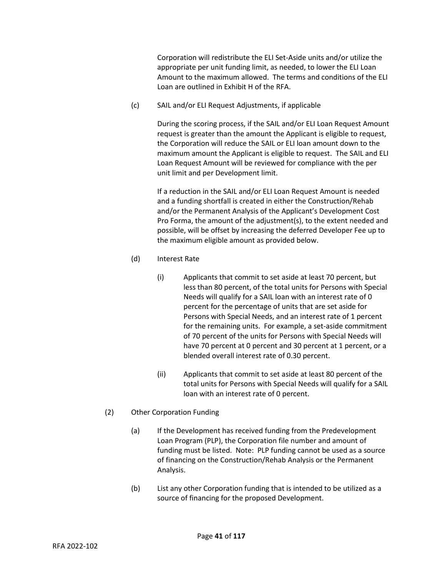Corporation will redistribute the ELI Set-Aside units and/or utilize the appropriate per unit funding limit, as needed, to lower the ELI Loan Amount to the maximum allowed. The terms and conditions of the ELI Loan are outlined in Exhibit H of the RFA.

(c) SAIL and/or ELI Request Adjustments, if applicable

During the scoring process, if the SAIL and/or ELI Loan Request Amount request is greater than the amount the Applicant is eligible to request, the Corporation will reduce the SAIL or ELI loan amount down to the maximum amount the Applicant is eligible to request. The SAIL and ELI Loan Request Amount will be reviewed for compliance with the per unit limit and per Development limit.

If a reduction in the SAIL and/or ELI Loan Request Amount is needed and a funding shortfall is created in either the Construction/Rehab and/or the Permanent Analysis of the Applicant's Development Cost Pro Forma, the amount of the adjustment(s), to the extent needed and possible, will be offset by increasing the deferred Developer Fee up to the maximum eligible amount as provided below.

- (d) Interest Rate
	- (i) Applicants that commit to set aside at least 70 percent, but less than 80 percent, of the total units for Persons with Special Needs will qualify for a SAIL loan with an interest rate of 0 percent for the percentage of units that are set aside for Persons with Special Needs, and an interest rate of 1 percent for the remaining units. For example, a set-aside commitment of 70 percent of the units for Persons with Special Needs will have 70 percent at 0 percent and 30 percent at 1 percent, or a blended overall interest rate of 0.30 percent.
	- (ii) Applicants that commit to set aside at least 80 percent of the total units for Persons with Special Needs will qualify for a SAIL loan with an interest rate of 0 percent.
- (2) Other Corporation Funding
	- (a) If the Development has received funding from the Predevelopment Loan Program (PLP), the Corporation file number and amount of funding must be listed. Note: PLP funding cannot be used as a source of financing on the Construction/Rehab Analysis or the Permanent Analysis.
	- (b) List any other Corporation funding that is intended to be utilized as a source of financing for the proposed Development.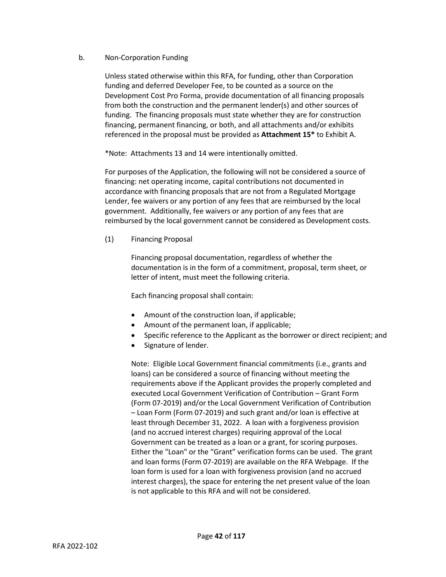# b. Non-Corporation Funding

Unless stated otherwise within this RFA, for funding, other than Corporation funding and deferred Developer Fee, to be counted as a source on the Development Cost Pro Forma, provide documentation of all financing proposals from both the construction and the permanent lender(s) and other sources of funding. The financing proposals must state whether they are for construction financing, permanent financing, or both, and all attachments and/or exhibits referenced in the proposal must be provided as **Attachment 15\*** to Exhibit A.

\*Note: Attachments 13 and 14 were intentionally omitted.

For purposes of the Application, the following will not be considered a source of financing: net operating income, capital contributions not documented in accordance with financing proposals that are not from a Regulated Mortgage Lender, fee waivers or any portion of any fees that are reimbursed by the local government. Additionally, fee waivers or any portion of any fees that are reimbursed by the local government cannot be considered as Development costs.

(1) Financing Proposal

Financing proposal documentation, regardless of whether the documentation is in the form of a commitment, proposal, term sheet, or letter of intent, must meet the following criteria.

Each financing proposal shall contain:

- Amount of the construction loan, if applicable;
- Amount of the permanent loan, if applicable;
- Specific reference to the Applicant as the borrower or direct recipient; and
- Signature of lender.

Note: Eligible Local Government financial commitments (i.e., grants and loans) can be considered a source of financing without meeting the requirements above if the Applicant provides the properly completed and executed Local Government Verification of Contribution – Grant Form (Form 07-2019) and/or the Local Government Verification of Contribution – Loan Form (Form 07-2019) and such grant and/or loan is effective at least through December 31, 2022. A loan with a forgiveness provision (and no accrued interest charges) requiring approval of the Local Government can be treated as a loan or a grant, for scoring purposes. Either the "Loan" or the "Grant" verification forms can be used. The grant and loan forms (Form 07-2019) are available on the RFA Webpage. If the loan form is used for a loan with forgiveness provision (and no accrued interest charges), the space for entering the net present value of the loan is not applicable to this RFA and will not be considered.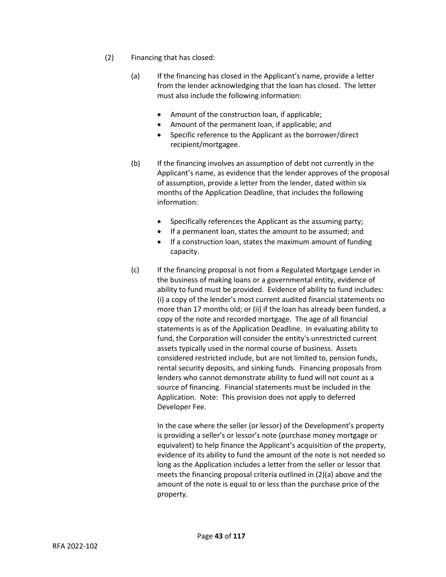- (2) Financing that has closed:
	- (a) If the financing has closed in the Applicant's name, provide a letter from the lender acknowledging that the loan has closed. The letter must also include the following information:
		- Amount of the construction loan, if applicable;
		- Amount of the permanent loan, if applicable; and
		- Specific reference to the Applicant as the borrower/direct recipient/mortgagee.
	- (b) If the financing involves an assumption of debt not currently in the Applicant's name, as evidence that the lender approves of the proposal of assumption, provide a letter from the lender, dated within six months of the Application Deadline, that includes the following information:
		- Specifically references the Applicant as the assuming party;
		- If a permanent loan, states the amount to be assumed; and
		- If a construction loan, states the maximum amount of funding capacity.
	- (c) If the financing proposal is not from a Regulated Mortgage Lender in the business of making loans or a governmental entity, evidence of ability to fund must be provided. Evidence of ability to fund includes: (i) a copy of the lender's most current audited financial statements no more than 17 months old; or (ii) if the loan has already been funded, a copy of the note and recorded mortgage. The age of all financial statements is as of the Application Deadline. In evaluating ability to fund, the Corporation will consider the entity's unrestricted current assets typically used in the normal course of business. Assets considered restricted include, but are not limited to, pension funds, rental security deposits, and sinking funds. Financing proposals from lenders who cannot demonstrate ability to fund will not count as a source of financing. Financial statements must be included in the Application. Note: This provision does not apply to deferred Developer Fee.

In the case where the seller (or lessor) of the Development's property is providing a seller's or lessor's note (purchase money mortgage or equivalent) to help finance the Applicant's acquisition of the property, evidence of its ability to fund the amount of the note is not needed so long as the Application includes a letter from the seller or lessor that meets the financing proposal criteria outlined in (2)(a) above and the amount of the note is equal to or less than the purchase price of the property.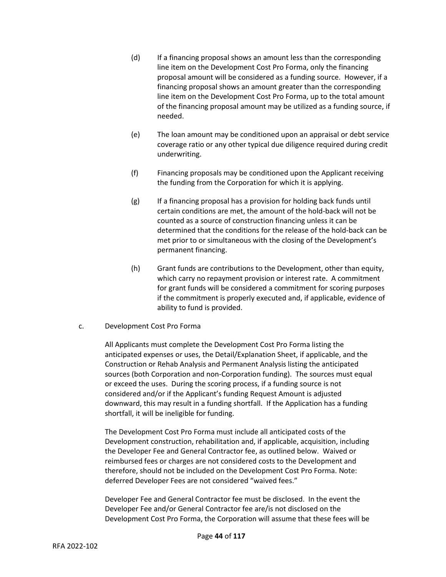- (d) If a financing proposal shows an amount less than the corresponding line item on the Development Cost Pro Forma, only the financing proposal amount will be considered as a funding source. However, if a financing proposal shows an amount greater than the corresponding line item on the Development Cost Pro Forma, up to the total amount of the financing proposal amount may be utilized as a funding source, if needed.
- (e) The loan amount may be conditioned upon an appraisal or debt service coverage ratio or any other typical due diligence required during credit underwriting.
- (f) Financing proposals may be conditioned upon the Applicant receiving the funding from the Corporation for which it is applying.
- (g) If a financing proposal has a provision for holding back funds until certain conditions are met, the amount of the hold-back will not be counted as a source of construction financing unless it can be determined that the conditions for the release of the hold-back can be met prior to or simultaneous with the closing of the Development's permanent financing.
- (h) Grant funds are contributions to the Development, other than equity, which carry no repayment provision or interest rate. A commitment for grant funds will be considered a commitment for scoring purposes if the commitment is properly executed and, if applicable, evidence of ability to fund is provided.
- c. Development Cost Pro Forma

All Applicants must complete the Development Cost Pro Forma listing the anticipated expenses or uses, the Detail/Explanation Sheet, if applicable, and the Construction or Rehab Analysis and Permanent Analysis listing the anticipated sources (both Corporation and non-Corporation funding). The sources must equal or exceed the uses. During the scoring process, if a funding source is not considered and/or if the Applicant's funding Request Amount is adjusted downward, this may result in a funding shortfall. If the Application has a funding shortfall, it will be ineligible for funding.

The Development Cost Pro Forma must include all anticipated costs of the Development construction, rehabilitation and, if applicable, acquisition, including the Developer Fee and General Contractor fee, as outlined below. Waived or reimbursed fees or charges are not considered costs to the Development and therefore, should not be included on the Development Cost Pro Forma. Note: deferred Developer Fees are not considered "waived fees."

Developer Fee and General Contractor fee must be disclosed. In the event the Developer Fee and/or General Contractor fee are/is not disclosed on the Development Cost Pro Forma, the Corporation will assume that these fees will be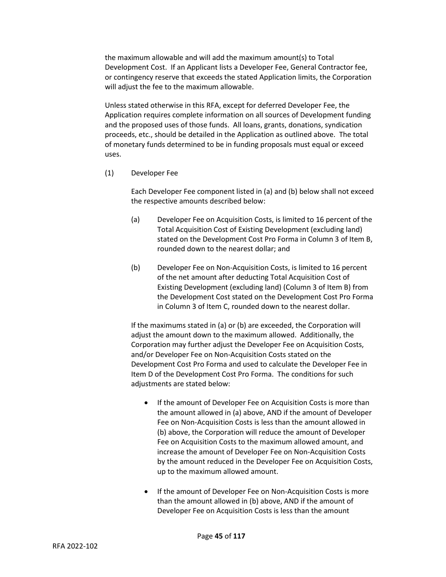the maximum allowable and will add the maximum amount(s) to Total Development Cost. If an Applicant lists a Developer Fee, General Contractor fee, or contingency reserve that exceeds the stated Application limits, the Corporation will adjust the fee to the maximum allowable.

Unless stated otherwise in this RFA, except for deferred Developer Fee, the Application requires complete information on all sources of Development funding and the proposed uses of those funds. All loans, grants, donations, syndication proceeds, etc., should be detailed in the Application as outlined above. The total of monetary funds determined to be in funding proposals must equal or exceed uses.

(1) Developer Fee

Each Developer Fee component listed in (a) and (b) below shall not exceed the respective amounts described below:

- (a) Developer Fee on Acquisition Costs, is limited to 16 percent of the Total Acquisition Cost of Existing Development (excluding land) stated on the Development Cost Pro Forma in Column 3 of Item B, rounded down to the nearest dollar; and
- (b) Developer Fee on Non-Acquisition Costs, is limited to 16 percent of the net amount after deducting Total Acquisition Cost of Existing Development (excluding land) (Column 3 of Item B) from the Development Cost stated on the Development Cost Pro Forma in Column 3 of Item C, rounded down to the nearest dollar.

If the maximums stated in (a) or (b) are exceeded, the Corporation will adjust the amount down to the maximum allowed. Additionally, the Corporation may further adjust the Developer Fee on Acquisition Costs, and/or Developer Fee on Non-Acquisition Costs stated on the Development Cost Pro Forma and used to calculate the Developer Fee in Item D of the Development Cost Pro Forma. The conditions for such adjustments are stated below:

- If the amount of Developer Fee on Acquisition Costs is more than the amount allowed in (a) above, AND if the amount of Developer Fee on Non-Acquisition Costs is less than the amount allowed in (b) above, the Corporation will reduce the amount of Developer Fee on Acquisition Costs to the maximum allowed amount, and increase the amount of Developer Fee on Non-Acquisition Costs by the amount reduced in the Developer Fee on Acquisition Costs, up to the maximum allowed amount.
- If the amount of Developer Fee on Non-Acquisition Costs is more than the amount allowed in (b) above, AND if the amount of Developer Fee on Acquisition Costs is less than the amount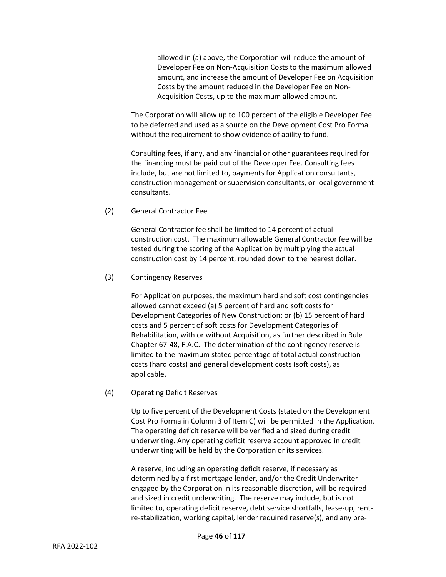allowed in (a) above, the Corporation will reduce the amount of Developer Fee on Non-Acquisition Costs to the maximum allowed amount, and increase the amount of Developer Fee on Acquisition Costs by the amount reduced in the Developer Fee on Non-Acquisition Costs, up to the maximum allowed amount.

The Corporation will allow up to 100 percent of the eligible Developer Fee to be deferred and used as a source on the Development Cost Pro Forma without the requirement to show evidence of ability to fund.

Consulting fees, if any, and any financial or other guarantees required for the financing must be paid out of the Developer Fee. Consulting fees include, but are not limited to, payments for Application consultants, construction management or supervision consultants, or local government consultants.

(2) General Contractor Fee

General Contractor fee shall be limited to 14 percent of actual construction cost. The maximum allowable General Contractor fee will be tested during the scoring of the Application by multiplying the actual construction cost by 14 percent, rounded down to the nearest dollar.

#### (3) Contingency Reserves

For Application purposes, the maximum hard and soft cost contingencies allowed cannot exceed (a) 5 percent of hard and soft costs for Development Categories of New Construction; or (b) 15 percent of hard costs and 5 percent of soft costs for Development Categories of Rehabilitation, with or without Acquisition, as further described in Rule Chapter 67-48, F.A.C. The determination of the contingency reserve is limited to the maximum stated percentage of total actual construction costs (hard costs) and general development costs (soft costs), as applicable.

#### (4) Operating Deficit Reserves

Up to five percent of the Development Costs (stated on the Development Cost Pro Forma in Column 3 of Item C) will be permitted in the Application. The operating deficit reserve will be verified and sized during credit underwriting. Any operating deficit reserve account approved in credit underwriting will be held by the Corporation or its services.

A reserve, including an operating deficit reserve, if necessary as determined by a first mortgage lender, and/or the Credit Underwriter engaged by the Corporation in its reasonable discretion, will be required and sized in credit underwriting. The reserve may include, but is not limited to, operating deficit reserve, debt service shortfalls, lease-up, rentre-stabilization, working capital, lender required reserve(s), and any pre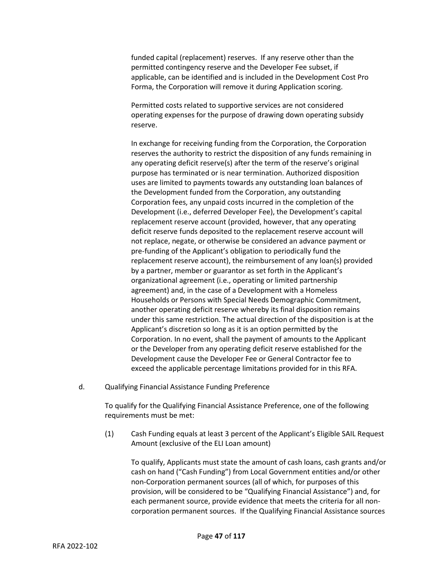funded capital (replacement) reserves. If any reserve other than the permitted contingency reserve and the Developer Fee subset, if applicable, can be identified and is included in the Development Cost Pro Forma, the Corporation will remove it during Application scoring.

Permitted costs related to supportive services are not considered operating expenses for the purpose of drawing down operating subsidy reserve.

In exchange for receiving funding from the Corporation, the Corporation reserves the authority to restrict the disposition of any funds remaining in any operating deficit reserve(s) after the term of the reserve's original purpose has terminated or is near termination. Authorized disposition uses are limited to payments towards any outstanding loan balances of the Development funded from the Corporation, any outstanding Corporation fees, any unpaid costs incurred in the completion of the Development (i.e., deferred Developer Fee), the Development's capital replacement reserve account (provided, however, that any operating deficit reserve funds deposited to the replacement reserve account will not replace, negate, or otherwise be considered an advance payment or pre-funding of the Applicant's obligation to periodically fund the replacement reserve account), the reimbursement of any loan(s) provided by a partner, member or guarantor as set forth in the Applicant's organizational agreement (i.e., operating or limited partnership agreement) and, in the case of a Development with a Homeless Households or Persons with Special Needs Demographic Commitment, another operating deficit reserve whereby its final disposition remains under this same restriction. The actual direction of the disposition is at the Applicant's discretion so long as it is an option permitted by the Corporation. In no event, shall the payment of amounts to the Applicant or the Developer from any operating deficit reserve established for the Development cause the Developer Fee or General Contractor fee to exceed the applicable percentage limitations provided for in this RFA.

d. Qualifying Financial Assistance Funding Preference

To qualify for the Qualifying Financial Assistance Preference, one of the following requirements must be met:

(1) Cash Funding equals at least 3 percent of the Applicant's Eligible SAIL Request Amount (exclusive of the ELI Loan amount)

To qualify, Applicants must state the amount of cash loans, cash grants and/or cash on hand ("Cash Funding") from Local Government entities and/or other non-Corporation permanent sources (all of which, for purposes of this provision, will be considered to be "Qualifying Financial Assistance") and, for each permanent source, provide evidence that meets the criteria for all noncorporation permanent sources. If the Qualifying Financial Assistance sources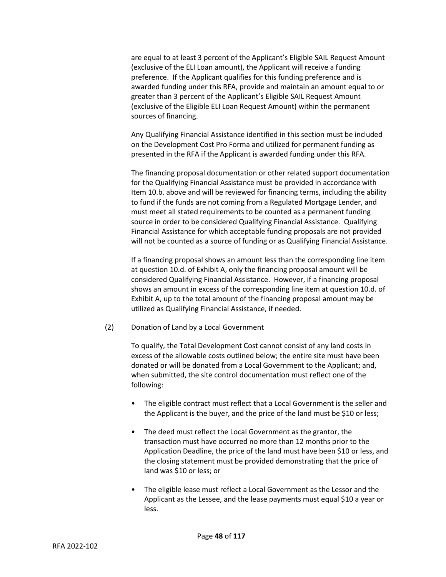are equal to at least 3 percent of the Applicant's Eligible SAIL Request Amount (exclusive of the ELI Loan amount), the Applicant will receive a funding preference. If the Applicant qualifies for this funding preference and is awarded funding under this RFA, provide and maintain an amount equal to or greater than 3 percent of the Applicant's Eligible SAIL Request Amount (exclusive of the Eligible ELI Loan Request Amount) within the permanent sources of financing.

Any Qualifying Financial Assistance identified in this section must be included on the Development Cost Pro Forma and utilized for permanent funding as presented in the RFA if the Applicant is awarded funding under this RFA.

The financing proposal documentation or other related support documentation for the Qualifying Financial Assistance must be provided in accordance with Item 10.b. above and will be reviewed for financing terms, including the ability to fund if the funds are not coming from a Regulated Mortgage Lender, and must meet all stated requirements to be counted as a permanent funding source in order to be considered Qualifying Financial Assistance. Qualifying Financial Assistance for which acceptable funding proposals are not provided will not be counted as a source of funding or as Qualifying Financial Assistance.

If a financing proposal shows an amount less than the corresponding line item at question 10.d. of Exhibit A, only the financing proposal amount will be considered Qualifying Financial Assistance. However, if a financing proposal shows an amount in excess of the corresponding line item at question 10.d. of Exhibit A, up to the total amount of the financing proposal amount may be utilized as Qualifying Financial Assistance, if needed.

(2) Donation of Land by a Local Government

To qualify, the Total Development Cost cannot consist of any land costs in excess of the allowable costs outlined below; the entire site must have been donated or will be donated from a Local Government to the Applicant; and, when submitted, the site control documentation must reflect one of the following:

- The eligible contract must reflect that a Local Government is the seller and the Applicant is the buyer, and the price of the land must be \$10 or less;
- The deed must reflect the Local Government as the grantor, the transaction must have occurred no more than 12 months prior to the Application Deadline, the price of the land must have been \$10 or less, and the closing statement must be provided demonstrating that the price of land was \$10 or less; or
- The eligible lease must reflect a Local Government as the Lessor and the Applicant as the Lessee, and the lease payments must equal \$10 a year or less.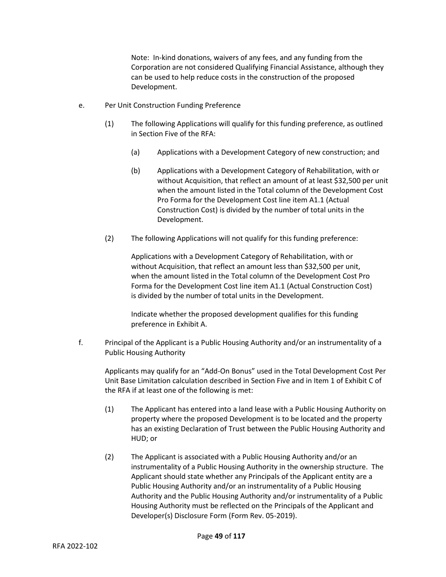Note: In-kind donations, waivers of any fees, and any funding from the Corporation are not considered Qualifying Financial Assistance, although they can be used to help reduce costs in the construction of the proposed Development.

- e. Per Unit Construction Funding Preference
	- (1) The following Applications will qualify for this funding preference, as outlined in Section Five of the RFA:
		- (a) Applications with a Development Category of new construction; and
		- (b) Applications with a Development Category of Rehabilitation, with or without Acquisition, that reflect an amount of at least \$32,500 per unit when the amount listed in the Total column of the Development Cost Pro Forma for the Development Cost line item A1.1 (Actual Construction Cost) is divided by the number of total units in the Development.
	- (2) The following Applications will not qualify for this funding preference:

Applications with a Development Category of Rehabilitation, with or without Acquisition, that reflect an amount less than \$32,500 per unit, when the amount listed in the Total column of the Development Cost Pro Forma for the Development Cost line item A1.1 (Actual Construction Cost) is divided by the number of total units in the Development.

Indicate whether the proposed development qualifies for this funding preference in Exhibit A.

f. Principal of the Applicant is a Public Housing Authority and/or an instrumentality of a Public Housing Authority

Applicants may qualify for an "Add-On Bonus" used in the Total Development Cost Per Unit Base Limitation calculation described in Section Five and in Item 1 of Exhibit C of the RFA if at least one of the following is met:

- (1) The Applicant has entered into a land lease with a Public Housing Authority on property where the proposed Development is to be located and the property has an existing Declaration of Trust between the Public Housing Authority and HUD; or
- (2) The Applicant is associated with a Public Housing Authority and/or an instrumentality of a Public Housing Authority in the ownership structure. The Applicant should state whether any Principals of the Applicant entity are a Public Housing Authority and/or an instrumentality of a Public Housing Authority and the Public Housing Authority and/or instrumentality of a Public Housing Authority must be reflected on the Principals of the Applicant and Developer(s) Disclosure Form (Form Rev. 05-2019).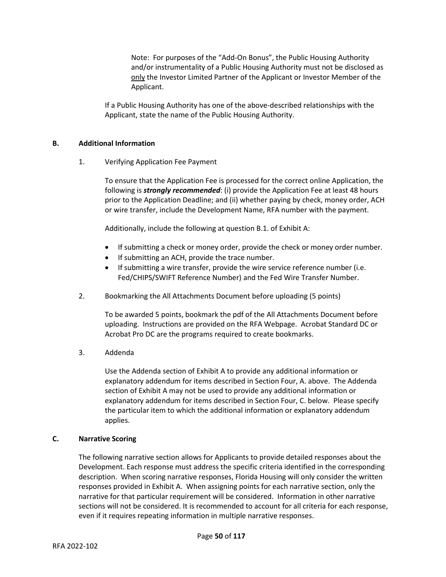Note: For purposes of the "Add-On Bonus", the Public Housing Authority and/or instrumentality of a Public Housing Authority must not be disclosed as only the Investor Limited Partner of the Applicant or Investor Member of the Applicant.

If a Public Housing Authority has one of the above-described relationships with the Applicant, state the name of the Public Housing Authority.

#### **B. Additional Information**

1. Verifying Application Fee Payment

To ensure that the Application Fee is processed for the correct online Application, the following is *strongly recommended*: (i) provide the Application Fee at least 48 hours prior to the Application Deadline; and (ii) whether paying by check, money order, ACH or wire transfer, include the Development Name, RFA number with the payment.

Additionally, include the following at question B.1. of Exhibit A:

- If submitting a check or money order, provide the check or money order number.
- If submitting an ACH, provide the trace number.
- If submitting a wire transfer, provide the wire service reference number (i.e. Fed/CHIPS/SWIFT Reference Number) and the Fed Wire Transfer Number.
- 2. Bookmarking the All Attachments Document before uploading (5 points)

To be awarded 5 points, bookmark the pdf of the All Attachments Document before uploading. Instructions are provided on the RFA Webpage. Acrobat Standard DC or Acrobat Pro DC are the programs required to create bookmarks.

3. Addenda

Use the Addenda section of Exhibit A to provide any additional information or explanatory addendum for items described in Section Four, A. above. The Addenda section of Exhibit A may not be used to provide any additional information or explanatory addendum for items described in Section Four, C. below. Please specify the particular item to which the additional information or explanatory addendum applies.

#### **C. Narrative Scoring**

The following narrative section allows for Applicants to provide detailed responses about the Development. Each response must address the specific criteria identified in the corresponding description. When scoring narrative responses, Florida Housing will only consider the written responses provided in Exhibit A. When assigning points for each narrative section, only the narrative for that particular requirement will be considered. Information in other narrative sections will not be considered. It is recommended to account for all criteria for each response, even if it requires repeating information in multiple narrative responses.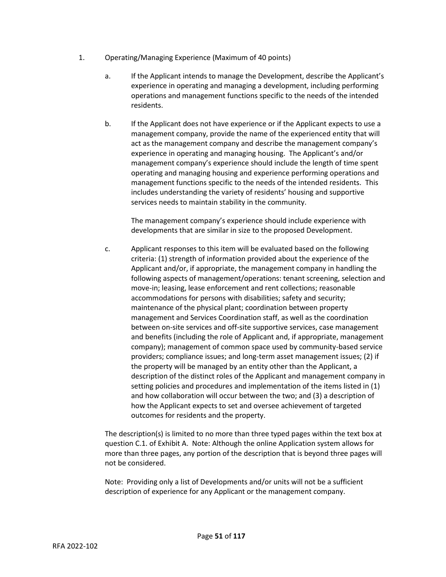- 1. Operating/Managing Experience (Maximum of 40 points)
	- a. If the Applicant intends to manage the Development, describe the Applicant's experience in operating and managing a development, including performing operations and management functions specific to the needs of the intended residents.
	- b. If the Applicant does not have experience or if the Applicant expects to use a management company, provide the name of the experienced entity that will act as the management company and describe the management company's experience in operating and managing housing. The Applicant's and/or management company's experience should include the length of time spent operating and managing housing and experience performing operations and management functions specific to the needs of the intended residents. This includes understanding the variety of residents' housing and supportive services needs to maintain stability in the community.

The management company's experience should include experience with developments that are similar in size to the proposed Development.

c. Applicant responses to this item will be evaluated based on the following criteria: (1) strength of information provided about the experience of the Applicant and/or, if appropriate, the management company in handling the following aspects of management/operations: tenant screening, selection and move-in; leasing, lease enforcement and rent collections; reasonable accommodations for persons with disabilities; safety and security; maintenance of the physical plant; coordination between property management and Services Coordination staff, as well as the coordination between on-site services and off-site supportive services, case management and benefits (including the role of Applicant and, if appropriate, management company); management of common space used by community-based service providers; compliance issues; and long-term asset management issues; (2) if the property will be managed by an entity other than the Applicant, a description of the distinct roles of the Applicant and management company in setting policies and procedures and implementation of the items listed in (1) and how collaboration will occur between the two; and (3) a description of how the Applicant expects to set and oversee achievement of targeted outcomes for residents and the property.

The description(s) is limited to no more than three typed pages within the text box at question C.1. of Exhibit A. Note: Although the online Application system allows for more than three pages, any portion of the description that is beyond three pages will not be considered.

Note: Providing only a list of Developments and/or units will not be a sufficient description of experience for any Applicant or the management company.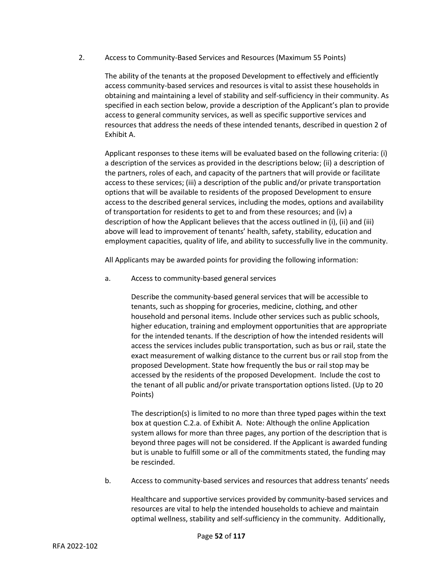2. Access to Community-Based Services and Resources (Maximum 55 Points)

The ability of the tenants at the proposed Development to effectively and efficiently access community-based services and resources is vital to assist these households in obtaining and maintaining a level of stability and self-sufficiency in their community. As specified in each section below, provide a description of the Applicant's plan to provide access to general community services, as well as specific supportive services and resources that address the needs of these intended tenants, described in question 2 of Exhibit A.

Applicant responses to these items will be evaluated based on the following criteria: (i) a description of the services as provided in the descriptions below; (ii) a description of the partners, roles of each, and capacity of the partners that will provide or facilitate access to these services; (iii) a description of the public and/or private transportation options that will be available to residents of the proposed Development to ensure access to the described general services, including the modes, options and availability of transportation for residents to get to and from these resources; and (iv) a description of how the Applicant believes that the access outlined in (i), (ii) and (iii) above will lead to improvement of tenants' health, safety, stability, education and employment capacities, quality of life, and ability to successfully live in the community.

All Applicants may be awarded points for providing the following information:

a. Access to community-based general services

Describe the community-based general services that will be accessible to tenants, such as shopping for groceries, medicine, clothing, and other household and personal items. Include other services such as public schools, higher education, training and employment opportunities that are appropriate for the intended tenants. If the description of how the intended residents will access the services includes public transportation, such as bus or rail, state the exact measurement of walking distance to the current bus or rail stop from the proposed Development. State how frequently the bus or rail stop may be accessed by the residents of the proposed Development. Include the cost to the tenant of all public and/or private transportation options listed. (Up to 20 Points)

The description(s) is limited to no more than three typed pages within the text box at question C.2.a. of Exhibit A. Note: Although the online Application system allows for more than three pages, any portion of the description that is beyond three pages will not be considered. If the Applicant is awarded funding but is unable to fulfill some or all of the commitments stated, the funding may be rescinded.

b. Access to community-based services and resources that address tenants' needs

Healthcare and supportive services provided by community-based services and resources are vital to help the intended households to achieve and maintain optimal wellness, stability and self-sufficiency in the community. Additionally,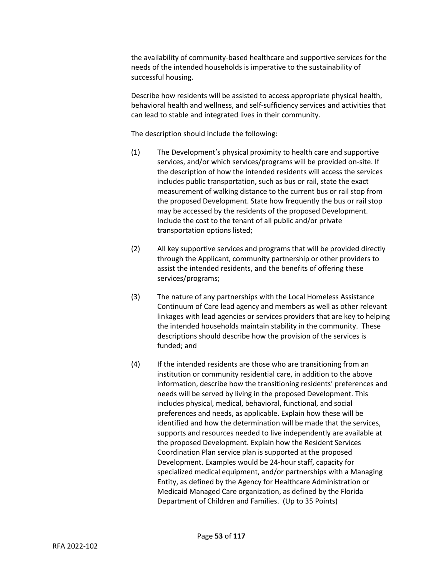the availability of community-based healthcare and supportive services for the needs of the intended households is imperative to the sustainability of successful housing.

Describe how residents will be assisted to access appropriate physical health, behavioral health and wellness, and self-sufficiency services and activities that can lead to stable and integrated lives in their community.

The description should include the following:

- (1) The Development's physical proximity to health care and supportive services, and/or which services/programs will be provided on-site. If the description of how the intended residents will access the services includes public transportation, such as bus or rail, state the exact measurement of walking distance to the current bus or rail stop from the proposed Development. State how frequently the bus or rail stop may be accessed by the residents of the proposed Development. Include the cost to the tenant of all public and/or private transportation options listed;
- (2) All key supportive services and programs that will be provided directly through the Applicant, community partnership or other providers to assist the intended residents, and the benefits of offering these services/programs;
- (3) The nature of any partnerships with the Local Homeless Assistance Continuum of Care lead agency and members as well as other relevant linkages with lead agencies or services providers that are key to helping the intended households maintain stability in the community. These descriptions should describe how the provision of the services is funded; and
- (4) If the intended residents are those who are transitioning from an institution or community residential care, in addition to the above information, describe how the transitioning residents' preferences and needs will be served by living in the proposed Development. This includes physical, medical, behavioral, functional, and social preferences and needs, as applicable. Explain how these will be identified and how the determination will be made that the services, supports and resources needed to live independently are available at the proposed Development. Explain how the Resident Services Coordination Plan service plan is supported at the proposed Development. Examples would be 24-hour staff, capacity for specialized medical equipment, and/or partnerships with a Managing Entity, as defined by the Agency for Healthcare Administration or Medicaid Managed Care organization, as defined by the Florida Department of Children and Families. (Up to 35 Points)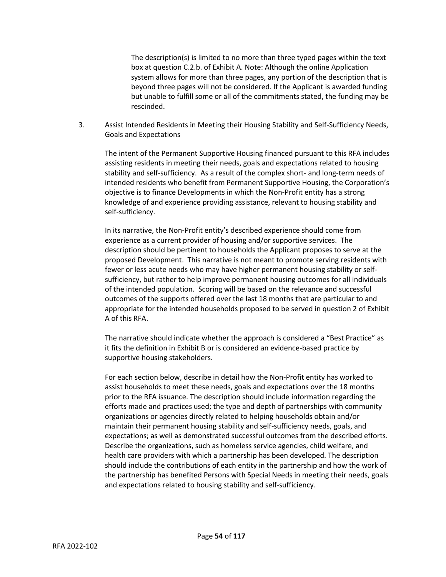The description(s) is limited to no more than three typed pages within the text box at question C.2.b. of Exhibit A. Note: Although the online Application system allows for more than three pages, any portion of the description that is beyond three pages will not be considered. If the Applicant is awarded funding but unable to fulfill some or all of the commitments stated, the funding may be rescinded.

3. Assist Intended Residents in Meeting their Housing Stability and Self-Sufficiency Needs, Goals and Expectations

The intent of the Permanent Supportive Housing financed pursuant to this RFA includes assisting residents in meeting their needs, goals and expectations related to housing stability and self-sufficiency. As a result of the complex short- and long-term needs of intended residents who benefit from Permanent Supportive Housing, the Corporation's objective is to finance Developments in which the Non-Profit entity has a strong knowledge of and experience providing assistance, relevant to housing stability and self-sufficiency.

In its narrative, the Non-Profit entity's described experience should come from experience as a current provider of housing and/or supportive services. The description should be pertinent to households the Applicant proposes to serve at the proposed Development. This narrative is not meant to promote serving residents with fewer or less acute needs who may have higher permanent housing stability or selfsufficiency, but rather to help improve permanent housing outcomes for all individuals of the intended population. Scoring will be based on the relevance and successful outcomes of the supports offered over the last 18 months that are particular to and appropriate for the intended households proposed to be served in question 2 of Exhibit A of this RFA.

The narrative should indicate whether the approach is considered a "Best Practice" as it fits the definition in Exhibit B or is considered an evidence-based practice by supportive housing stakeholders.

For each section below, describe in detail how the Non-Profit entity has worked to assist households to meet these needs, goals and expectations over the 18 months prior to the RFA issuance. The description should include information regarding the efforts made and practices used; the type and depth of partnerships with community organizations or agencies directly related to helping households obtain and/or maintain their permanent housing stability and self-sufficiency needs, goals, and expectations; as well as demonstrated successful outcomes from the described efforts. Describe the organizations, such as homeless service agencies, child welfare, and health care providers with which a partnership has been developed. The description should include the contributions of each entity in the partnership and how the work of the partnership has benefited Persons with Special Needs in meeting their needs, goals and expectations related to housing stability and self-sufficiency.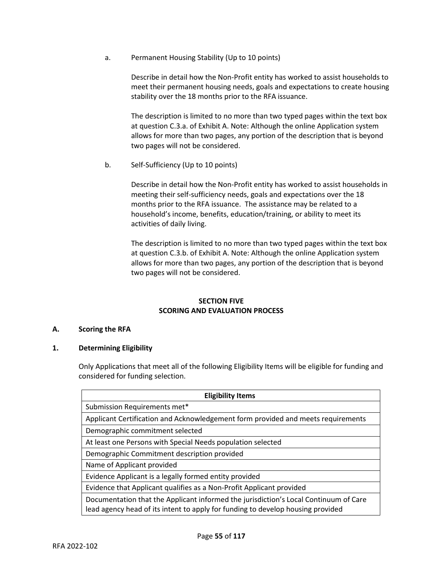a. Permanent Housing Stability (Up to 10 points)

Describe in detail how the Non-Profit entity has worked to assist households to meet their permanent housing needs, goals and expectations to create housing stability over the 18 months prior to the RFA issuance.

The description is limited to no more than two typed pages within the text box at question C.3.a. of Exhibit A. Note: Although the online Application system allows for more than two pages, any portion of the description that is beyond two pages will not be considered.

b. Self-Sufficiency (Up to 10 points)

Describe in detail how the Non-Profit entity has worked to assist households in meeting their self-sufficiency needs, goals and expectations over the 18 months prior to the RFA issuance. The assistance may be related to a household's income, benefits, education/training, or ability to meet its activities of daily living.

The description is limited to no more than two typed pages within the text box at question C.3.b. of Exhibit A. Note: Although the online Application system allows for more than two pages, any portion of the description that is beyond two pages will not be considered.

# **SECTION FIVE SCORING AND EVALUATION PROCESS**

# **A. Scoring the RFA**

# **1. Determining Eligibility**

Only Applications that meet all of the following Eligibility Items will be eligible for funding and considered for funding selection.

| <b>Eligibility Items</b>                                                                                                                                                |  |  |  |
|-------------------------------------------------------------------------------------------------------------------------------------------------------------------------|--|--|--|
| Submission Requirements met*                                                                                                                                            |  |  |  |
| Applicant Certification and Acknowledgement form provided and meets requirements                                                                                        |  |  |  |
| Demographic commitment selected                                                                                                                                         |  |  |  |
| At least one Persons with Special Needs population selected                                                                                                             |  |  |  |
| Demographic Commitment description provided                                                                                                                             |  |  |  |
| Name of Applicant provided                                                                                                                                              |  |  |  |
| Evidence Applicant is a legally formed entity provided                                                                                                                  |  |  |  |
| Evidence that Applicant qualifies as a Non-Profit Applicant provided                                                                                                    |  |  |  |
| Documentation that the Applicant informed the jurisdiction's Local Continuum of Care<br>lead agency head of its intent to apply for funding to develop housing provided |  |  |  |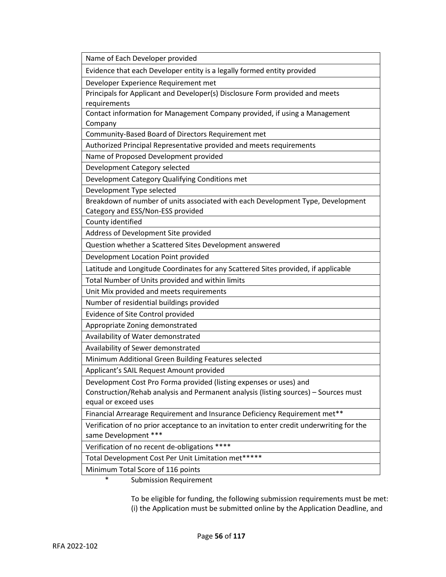Name of Each Developer provided Evidence that each Developer entity is a legally formed entity provided Developer Experience Requirement met Principals for Applicant and Developer(s) Disclosure Form provided and meets requirements Contact information for Management Company provided, if using a Management Company Community-Based Board of Directors Requirement met Authorized Principal Representative provided and meets requirements Name of Proposed Development provided Development Category selected Development Category Qualifying Conditions met Development Type selected Breakdown of number of units associated with each Development Type, Development Category and ESS/Non-ESS provided County identified Address of Development Site provided Question whether a Scattered Sites Development answered Development Location Point provided Latitude and Longitude Coordinates for any Scattered Sites provided, if applicable Total Number of Units provided and within limits Unit Mix provided and meets requirements Number of residential buildings provided Evidence of Site Control provided Appropriate Zoning demonstrated Availability of Water demonstrated Availability of Sewer demonstrated Minimum Additional Green Building Features selected Applicant's SAIL Request Amount provided Development Cost Pro Forma provided (listing expenses or uses) and Construction/Rehab analysis and Permanent analysis (listing sources) – Sources must equal or exceed uses Financial Arrearage Requirement and Insurance Deficiency Requirement met\*\* Verification of no prior acceptance to an invitation to enter credit underwriting for the same Development \*\*\* Verification of no recent de-obligations \*\*\*\* Total Development Cost Per Unit Limitation met\*\*\*\*\* Minimum Total Score of 116 points \* Submission Requirement

> To be eligible for funding, the following submission requirements must be met: (i) the Application must be submitted online by the Application Deadline, and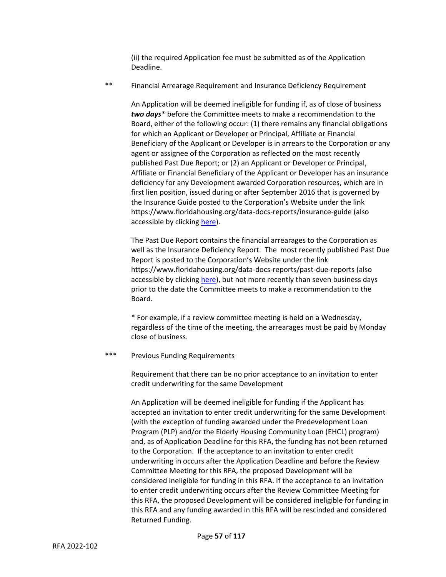(ii) the required Application fee must be submitted as of the Application Deadline.

\*\* Financial Arrearage Requirement and Insurance Deficiency Requirement

An Application will be deemed ineligible for funding if, as of close of business *two days*\* before the Committee meets to make a recommendation to the Board, either of the following occur: (1) there remains any financial obligations for which an Applicant or Developer or Principal, Affiliate or Financial Beneficiary of the Applicant or Developer is in arrears to the Corporation or any agent or assignee of the Corporation as reflected on the most recently published Past Due Report; or (2) an Applicant or Developer or Principal, Affiliate or Financial Beneficiary of the Applicant or Developer has an insurance deficiency for any Development awarded Corporation resources, which are in first lien position, issued during or after September 2016 that is governed by the Insurance Guide posted to the Corporation's Website under the link https://www.floridahousing.org/data-docs-reports/insurance-guide (also accessible by clicking [here\)](https://www.floridahousing.org/data-docs-reports/insurance-guide).

The Past Due Report contains the financial arrearages to the Corporation as well as the Insurance Deficiency Report. The most recently published Past Due Report is posted to the Corporation's Website under the link https://www.floridahousing.org/data-docs-reports/past-due-reports (also accessible by clicking [here\)](https://www.floridahousing.org/data-docs-reports/past-due-reports), but not more recently than seven business days prior to the date the Committee meets to make a recommendation to the Board.

\* For example, if a review committee meeting is held on a Wednesday, regardless of the time of the meeting, the arrearages must be paid by Monday close of business.

\*\*\* Previous Funding Requirements

Requirement that there can be no prior acceptance to an invitation to enter credit underwriting for the same Development

An Application will be deemed ineligible for funding if the Applicant has accepted an invitation to enter credit underwriting for the same Development (with the exception of funding awarded under the Predevelopment Loan Program (PLP) and/or the Elderly Housing Community Loan (EHCL) program) and, as of Application Deadline for this RFA, the funding has not been returned to the Corporation. If the acceptance to an invitation to enter credit underwriting in occurs after the Application Deadline and before the Review Committee Meeting for this RFA, the proposed Development will be considered ineligible for funding in this RFA. If the acceptance to an invitation to enter credit underwriting occurs after the Review Committee Meeting for this RFA, the proposed Development will be considered ineligible for funding in this RFA and any funding awarded in this RFA will be rescinded and considered Returned Funding.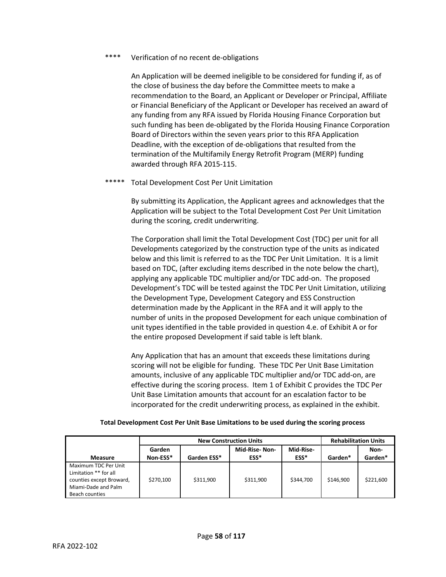# \*\*\*\* Verification of no recent de-obligations

An Application will be deemed ineligible to be considered for funding if, as of the close of business the day before the Committee meets to make a recommendation to the Board, an Applicant or Developer or Principal, Affiliate or Financial Beneficiary of the Applicant or Developer has received an award of any funding from any RFA issued by Florida Housing Finance Corporation but such funding has been de-obligated by the Florida Housing Finance Corporation Board of Directors within the seven years prior to this RFA Application Deadline, with the exception of de-obligations that resulted from the termination of the Multifamily Energy Retrofit Program (MERP) funding awarded through RFA 2015-115.

# \*\*\*\*\* Total Development Cost Per Unit Limitation

By submitting its Application, the Applicant agrees and acknowledges that the Application will be subject to the Total Development Cost Per Unit Limitation during the scoring, credit underwriting.

The Corporation shall limit the Total Development Cost (TDC) per unit for all Developments categorized by the construction type of the units as indicated below and this limit is referred to as the TDC Per Unit Limitation. It is a limit based on TDC, (after excluding items described in the note below the chart), applying any applicable TDC multiplier and/or TDC add-on. The proposed Development's TDC will be tested against the TDC Per Unit Limitation, utilizing the Development Type, Development Category and ESS Construction determination made by the Applicant in the RFA and it will apply to the number of units in the proposed Development for each unique combination of unit types identified in the table provided in question 4.e. of Exhibit A or for the entire proposed Development if said table is left blank.

Any Application that has an amount that exceeds these limitations during scoring will not be eligible for funding. These TDC Per Unit Base Limitation amounts, inclusive of any applicable TDC multiplier and/or TDC add-on, are effective during the scoring process. Item 1 of Exhibit C provides the TDC Per Unit Base Limitation amounts that account for an escalation factor to be incorporated for the credit underwriting process, as explained in the exhibit.

|                                                                                                                    | <b>New Construction Units</b> |             |               | <b>Rehabilitation Units</b> |           |           |
|--------------------------------------------------------------------------------------------------------------------|-------------------------------|-------------|---------------|-----------------------------|-----------|-----------|
|                                                                                                                    | Garden                        |             | Mid-Rise-Non- | Mid-Rise-                   |           | Non-      |
| <b>Measure</b>                                                                                                     | Non-ESS*                      | Garden ESS* | ESS*          | ESS*                        | Garden*   | Garden*   |
| Maximum TDC Per Unit<br>Limitation ** for all<br>counties except Broward,<br>Miami-Dade and Palm<br>Beach counties | \$270,100                     | \$311,900   | \$311,900     | \$344,700                   | \$146.900 | \$221,600 |

#### **Total Development Cost Per Unit Base Limitations to be used during the scoring process**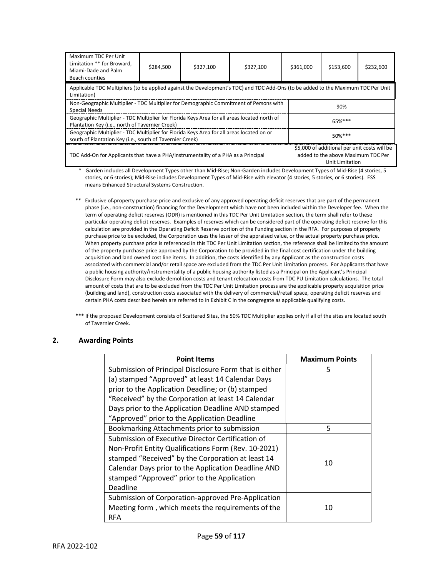| Maximum TDC Per Unit<br>Limitation ** for Broward,<br>Miami-Dade and Palm<br>Beach counties                                                          | \$284.500 | \$327.100 | \$327.100 | \$361,000                                                                                             | \$153,600 | \$232,600 |
|------------------------------------------------------------------------------------------------------------------------------------------------------|-----------|-----------|-----------|-------------------------------------------------------------------------------------------------------|-----------|-----------|
| Applicable TDC Multipliers (to be applied against the Development's TDC) and TDC Add-Ons (to be added to the Maximum TDC Per Unit<br>Limitation)     |           |           |           |                                                                                                       |           |           |
| Non-Geographic Multiplier - TDC Multiplier for Demographic Commitment of Persons with<br>Special Needs                                               |           |           |           | 90%                                                                                                   |           |           |
| Geographic Multiplier - TDC Multiplier for Florida Keys Area for all areas located north of<br>Plantation Key (i.e., north of Tavernier Creek)       |           |           |           | 65%***                                                                                                |           |           |
| Geographic Multiplier - TDC Multiplier for Florida Keys Area for all areas located on or<br>south of Plantation Key (i.e., south of Tavernier Creek) |           |           |           | $50\%***$                                                                                             |           |           |
| TDC Add-On for Applicants that have a PHA/instrumentality of a PHA as a Principal                                                                    |           |           |           | \$5,000 of additional per unit costs will be<br>added to the above Maximum TDC Per<br>Unit Limitation |           |           |

\* Garden includes all Development Types other than Mid-Rise; Non-Garden includes Development Types of Mid-Rise (4 stories, 5 stories, or 6 stories); Mid-Rise includes Development Types of Mid-Rise with elevator (4 stories, 5 stories, or 6 stories). ESS means Enhanced Structural Systems Construction.

- \*\* Exclusive of property purchase price and exclusive of any approved operating deficit reserves that are part of the permanent phase (i.e., non-construction) financing for the Development which have not been included within the Developer fee. When the term of operating deficit reserves (ODR) is mentioned in this TDC Per Unit Limitation section, the term shall refer to these particular operating deficit reserves. Examples of reserves which can be considered part of the operating deficit reserve for this calculation are provided in the Operating Deficit Reserve portion of the Funding section in the RFA. For purposes of property purchase price to be excluded, the Corporation uses the lesser of the appraised value, or the actual property purchase price. When property purchase price is referenced in this TDC Per Unit Limitation section, the reference shall be limited to the amount of the property purchase price approved by the Corporation to be provided in the final cost certification under the building acquisition and land owned cost line items. In addition, the costs identified by any Applicant as the construction costs associated with commercial and/or retail space are excluded from the TDC Per Unit Limitation process. For Applicants that have a public housing authority/instrumentality of a public housing authority listed as a Principal on the Applicant's Principal Disclosure Form may also exclude demolition costs and tenant relocation costs from TDC PU Limitation calculations. The total amount of costs that are to be excluded from the TDC Per Unit Limitation process are the applicable property acquisition price (building and land), construction costs associated with the delivery of commercial/retail space, operating deficit reserves and certain PHA costs described herein are referred to in Exhibit C in the congregate as applicable qualifying costs.
- \*\*\* If the proposed Development consists of Scattered Sites, the 50% TDC Multiplier applies only if all of the sites are located south of Tavernier Creek.

#### **2. Awarding Points**

| <b>Point Items</b>                                     | <b>Maximum Points</b> |
|--------------------------------------------------------|-----------------------|
| Submission of Principal Disclosure Form that is either | 5                     |
| (a) stamped "Approved" at least 14 Calendar Days       |                       |
| prior to the Application Deadline; or (b) stamped      |                       |
| "Received" by the Corporation at least 14 Calendar     |                       |
| Days prior to the Application Deadline AND stamped     |                       |
| "Approved" prior to the Application Deadline           |                       |
| Bookmarking Attachments prior to submission            | 5                     |
| Submission of Executive Director Certification of      |                       |
| Non-Profit Entity Qualifications Form (Rev. 10-2021)   |                       |
| stamped "Received" by the Corporation at least 14      | 10                    |
| Calendar Days prior to the Application Deadline AND    |                       |
| stamped "Approved" prior to the Application            |                       |
| Deadline                                               |                       |
| Submission of Corporation-approved Pre-Application     |                       |
| Meeting form, which meets the requirements of the      | 10                    |
| <b>RFA</b>                                             |                       |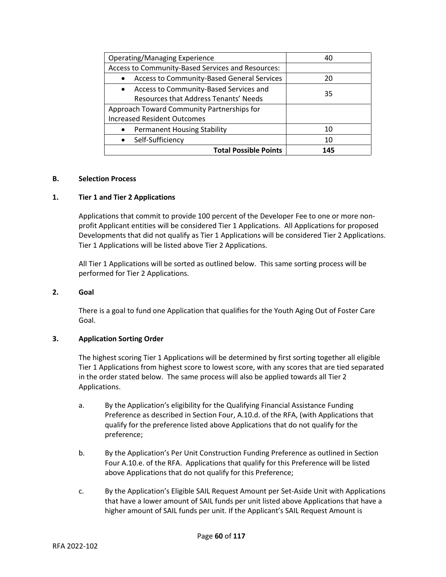| Operating/Managing Experience                       | 40  |
|-----------------------------------------------------|-----|
| Access to Community-Based Services and Resources:   |     |
| Access to Community-Based General Services          | 20  |
| Access to Community-Based Services and<br>$\bullet$ | 35  |
| Resources that Address Tenants' Needs               |     |
| Approach Toward Community Partnerships for          |     |
| <b>Increased Resident Outcomes</b>                  |     |
| <b>Permanent Housing Stability</b><br>$\bullet$     | 10  |
| Self-Sufficiency                                    | 10  |
| <b>Total Possible Points</b>                        | 145 |

#### **B. Selection Process**

#### **1. Tier 1 and Tier 2 Applications**

Applications that commit to provide 100 percent of the Developer Fee to one or more nonprofit Applicant entities will be considered Tier 1 Applications. All Applications for proposed Developments that did not qualify as Tier 1 Applications will be considered Tier 2 Applications. Tier 1 Applications will be listed above Tier 2 Applications.

All Tier 1 Applications will be sorted as outlined below. This same sorting process will be performed for Tier 2 Applications.

#### **2. Goal**

There is a goal to fund one Application that qualifies for the Youth Aging Out of Foster Care Goal.

#### **3. Application Sorting Order**

The highest scoring Tier 1 Applications will be determined by first sorting together all eligible Tier 1 Applications from highest score to lowest score, with any scores that are tied separated in the order stated below. The same process will also be applied towards all Tier 2 Applications.

- a. By the Application's eligibility for the Qualifying Financial Assistance Funding Preference as described in Section Four, A.10.d. of the RFA, (with Applications that qualify for the preference listed above Applications that do not qualify for the preference;
- b. By the Application's Per Unit Construction Funding Preference as outlined in Section Four A.10.e. of the RFA. Applications that qualify for this Preference will be listed above Applications that do not qualify for this Preference;
- c. By the Application's Eligible SAIL Request Amount per Set-Aside Unit with Applications that have a lower amount of SAIL funds per unit listed above Applications that have a higher amount of SAIL funds per unit. If the Applicant's SAIL Request Amount is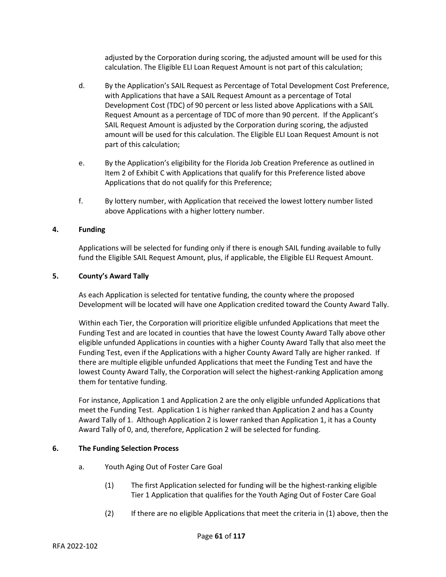adjusted by the Corporation during scoring, the adjusted amount will be used for this calculation. The Eligible ELI Loan Request Amount is not part of this calculation;

- d. By the Application's SAIL Request as Percentage of Total Development Cost Preference, with Applications that have a SAIL Request Amount as a percentage of Total Development Cost (TDC) of 90 percent or less listed above Applications with a SAIL Request Amount as a percentage of TDC of more than 90 percent. If the Applicant's SAIL Request Amount is adjusted by the Corporation during scoring, the adjusted amount will be used for this calculation. The Eligible ELI Loan Request Amount is not part of this calculation;
- e. By the Application's eligibility for the Florida Job Creation Preference as outlined in Item 2 of Exhibit C with Applications that qualify for this Preference listed above Applications that do not qualify for this Preference;
- f. By lottery number, with Application that received the lowest lottery number listed above Applications with a higher lottery number.

# **4. Funding**

Applications will be selected for funding only if there is enough SAIL funding available to fully fund the Eligible SAIL Request Amount, plus, if applicable, the Eligible ELI Request Amount.

# **5. County's Award Tally**

As each Application is selected for tentative funding, the county where the proposed Development will be located will have one Application credited toward the County Award Tally.

Within each Tier, the Corporation will prioritize eligible unfunded Applications that meet the Funding Test and are located in counties that have the lowest County Award Tally above other eligible unfunded Applications in counties with a higher County Award Tally that also meet the Funding Test, even if the Applications with a higher County Award Tally are higher ranked. If there are multiple eligible unfunded Applications that meet the Funding Test and have the lowest County Award Tally, the Corporation will select the highest-ranking Application among them for tentative funding.

For instance, Application 1 and Application 2 are the only eligible unfunded Applications that meet the Funding Test. Application 1 is higher ranked than Application 2 and has a County Award Tally of 1. Although Application 2 is lower ranked than Application 1, it has a County Award Tally of 0, and, therefore, Application 2 will be selected for funding.

# **6. The Funding Selection Process**

- a. Youth Aging Out of Foster Care Goal
	- (1) The first Application selected for funding will be the highest-ranking eligible Tier 1 Application that qualifies for the Youth Aging Out of Foster Care Goal
	- (2) If there are no eligible Applications that meet the criteria in (1) above, then the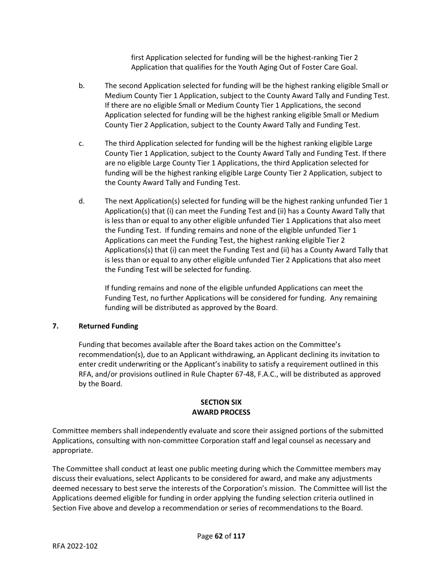first Application selected for funding will be the highest-ranking Tier 2 Application that qualifies for the Youth Aging Out of Foster Care Goal.

- b. The second Application selected for funding will be the highest ranking eligible Small or Medium County Tier 1 Application, subject to the County Award Tally and Funding Test. If there are no eligible Small or Medium County Tier 1 Applications, the second Application selected for funding will be the highest ranking eligible Small or Medium County Tier 2 Application, subject to the County Award Tally and Funding Test.
- c. The third Application selected for funding will be the highest ranking eligible Large County Tier 1 Application, subject to the County Award Tally and Funding Test. If there are no eligible Large County Tier 1 Applications, the third Application selected for funding will be the highest ranking eligible Large County Tier 2 Application, subject to the County Award Tally and Funding Test.
- d. The next Application(s) selected for funding will be the highest ranking unfunded Tier 1 Application(s) that (i) can meet the Funding Test and (ii) has a County Award Tally that is less than or equal to any other eligible unfunded Tier 1 Applications that also meet the Funding Test. If funding remains and none of the eligible unfunded Tier 1 Applications can meet the Funding Test, the highest ranking eligible Tier 2 Applications(s) that (i) can meet the Funding Test and (ii) has a County Award Tally that is less than or equal to any other eligible unfunded Tier 2 Applications that also meet the Funding Test will be selected for funding.

If funding remains and none of the eligible unfunded Applications can meet the Funding Test, no further Applications will be considered for funding. Any remaining funding will be distributed as approved by the Board.

# **7. Returned Funding**

Funding that becomes available after the Board takes action on the Committee's recommendation(s), due to an Applicant withdrawing, an Applicant declining its invitation to enter credit underwriting or the Applicant's inability to satisfy a requirement outlined in this RFA, and/or provisions outlined in Rule Chapter 67-48, F.A.C., will be distributed as approved by the Board.

# **SECTION SIX AWARD PROCESS**

Committee members shall independently evaluate and score their assigned portions of the submitted Applications, consulting with non-committee Corporation staff and legal counsel as necessary and appropriate.

The Committee shall conduct at least one public meeting during which the Committee members may discuss their evaluations, select Applicants to be considered for award, and make any adjustments deemed necessary to best serve the interests of the Corporation's mission. The Committee will list the Applications deemed eligible for funding in order applying the funding selection criteria outlined in Section Five above and develop a recommendation or series of recommendations to the Board.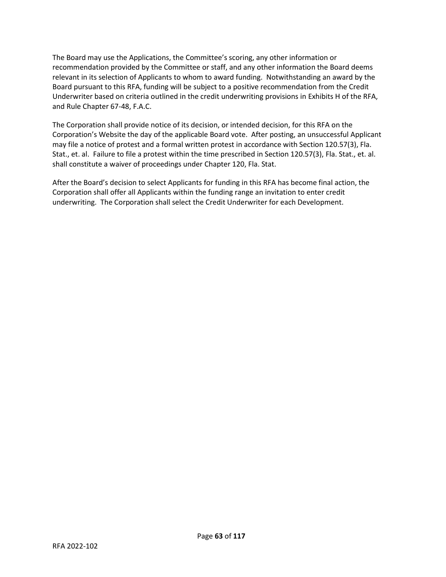The Board may use the Applications, the Committee's scoring, any other information or recommendation provided by the Committee or staff, and any other information the Board deems relevant in its selection of Applicants to whom to award funding. Notwithstanding an award by the Board pursuant to this RFA, funding will be subject to a positive recommendation from the Credit Underwriter based on criteria outlined in the credit underwriting provisions in Exhibits H of the RFA, and Rule Chapter 67-48, F.A.C.

The Corporation shall provide notice of its decision, or intended decision, for this RFA on the Corporation's Website the day of the applicable Board vote. After posting, an unsuccessful Applicant may file a notice of protest and a formal written protest in accordance with Section 120.57(3), Fla. Stat., et. al. Failure to file a protest within the time prescribed in Section 120.57(3), Fla. Stat., et. al. shall constitute a waiver of proceedings under Chapter 120, Fla. Stat.

After the Board's decision to select Applicants for funding in this RFA has become final action, the Corporation shall offer all Applicants within the funding range an invitation to enter credit underwriting. The Corporation shall select the Credit Underwriter for each Development.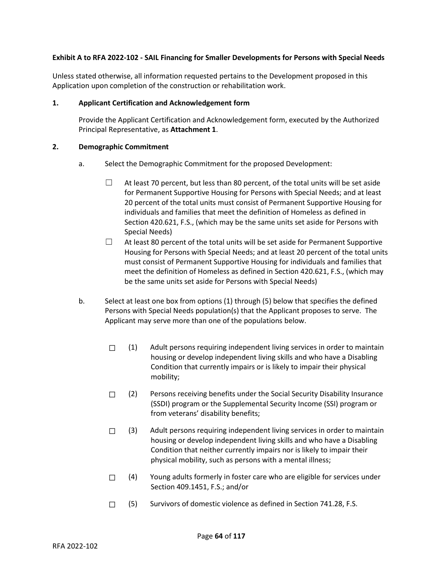# **Exhibit A to RFA 2022-102 - SAIL Financing for Smaller Developments for Persons with Special Needs**

Unless stated otherwise, all information requested pertains to the Development proposed in this Application upon completion of the construction or rehabilitation work.

#### **1. Applicant Certification and Acknowledgement form**

Provide the Applicant Certification and Acknowledgement form, executed by the Authorized Principal Representative, as **Attachment 1**.

#### **2. Demographic Commitment**

- a. Select the Demographic Commitment for the proposed Development:
	- $\Box$  At least 70 percent, but less than 80 percent, of the total units will be set aside for Permanent Supportive Housing for Persons with Special Needs; and at least 20 percent of the total units must consist of Permanent Supportive Housing for individuals and families that meet the definition of Homeless as defined in Section 420.621, F.S., (which may be the same units set aside for Persons with Special Needs)
	- $\Box$  At least 80 percent of the total units will be set aside for Permanent Supportive Housing for Persons with Special Needs; and at least 20 percent of the total units must consist of Permanent Supportive Housing for individuals and families that meet the definition of Homeless as defined in Section 420.621, F.S., (which may be the same units set aside for Persons with Special Needs)
- b. Select at least one box from options (1) through (5) below that specifies the defined Persons with Special Needs population(s) that the Applicant proposes to serve. The Applicant may serve more than one of the populations below.
	- $\Box$  (1) Adult persons requiring independent living services in order to maintain housing or develop independent living skills and who have a Disabling Condition that currently impairs or is likely to impair their physical mobility;
	- $\Box$  (2) Persons receiving benefits under the Social Security Disability Insurance (SSDI) program or the Supplemental Security Income (SSI) program or from veterans' disability benefits;
	- $\Box$  (3) Adult persons requiring independent living services in order to maintain housing or develop independent living skills and who have a Disabling Condition that neither currently impairs nor is likely to impair their physical mobility, such as persons with a mental illness;
	- $\Box$  (4) Young adults formerly in foster care who are eligible for services under Section 409.1451, F.S.; and/or
	- ☐ (5) Survivors of domestic violence as defined in Section 741.28, F.S.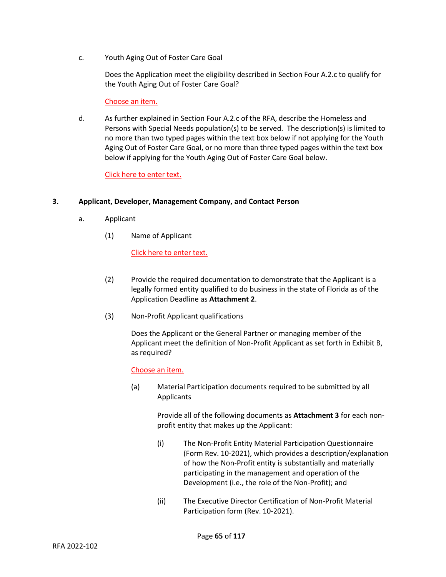c. Youth Aging Out of Foster Care Goal

Does the Application meet the eligibility described in Section Four A.2.c to qualify for the Youth Aging Out of Foster Care Goal?

# Choose an item.

d. As further explained in Section Four A.2.c of the RFA, describe the Homeless and Persons with Special Needs population(s) to be served. The description(s) is limited to no more than two typed pages within the text box below if not applying for the Youth Aging Out of Foster Care Goal, or no more than three typed pages within the text box below if applying for the Youth Aging Out of Foster Care Goal below.

# Click here to enter text.

# **3. Applicant, Developer, Management Company, and Contact Person**

- a. Applicant
	- (1) Name of Applicant

# Click here to enter text.

- (2) Provide the required documentation to demonstrate that the Applicant is a legally formed entity qualified to do business in the state of Florida as of the Application Deadline as **Attachment 2**.
- (3) Non-Profit Applicant qualifications

Does the Applicant or the General Partner or managing member of the Applicant meet the definition of Non-Profit Applicant as set forth in Exhibit B, as required?

# Choose an item.

(a) Material Participation documents required to be submitted by all Applicants

> Provide all of the following documents as **Attachment 3** for each nonprofit entity that makes up the Applicant:

- (i) The Non-Profit Entity Material Participation Questionnaire (Form Rev. 10-2021), which provides a description/explanation of how the Non-Profit entity is substantially and materially participating in the management and operation of the Development (i.e., the role of the Non-Profit); and
- (ii) The Executive Director Certification of Non-Profit Material Participation form (Rev. 10-2021).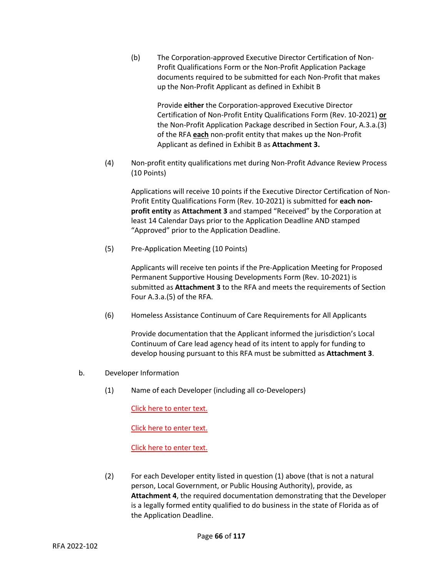(b) The Corporation-approved Executive Director Certification of Non-Profit Qualifications Form or the Non-Profit Application Package documents required to be submitted for each Non-Profit that makes up the Non-Profit Applicant as defined in Exhibit B

> Provide **either** the Corporation-approved Executive Director Certification of Non-Profit Entity Qualifications Form (Rev. 10-2021) **or** the Non-Profit Application Package described in Section Four, A.3.a.(3) of the RFA **each** non-profit entity that makes up the Non-Profit Applicant as defined in Exhibit B as **Attachment 3.**

(4) Non-profit entity qualifications met during Non-Profit Advance Review Process (10 Points)

Applications will receive 10 points if the Executive Director Certification of Non-Profit Entity Qualifications Form (Rev. 10-2021) is submitted for **each nonprofit entity** as **Attachment 3** and stamped "Received" by the Corporation at least 14 Calendar Days prior to the Application Deadline AND stamped "Approved" prior to the Application Deadline.

(5) Pre-Application Meeting (10 Points)

Applicants will receive ten points if the Pre-Application Meeting for Proposed Permanent Supportive Housing Developments Form (Rev. 10-2021) is submitted as **Attachment 3** to the RFA and meets the requirements of Section Four A.3.a.(5) of the RFA.

(6) Homeless Assistance Continuum of Care Requirements for All Applicants

Provide documentation that the Applicant informed the jurisdiction's Local Continuum of Care lead agency head of its intent to apply for funding to develop housing pursuant to this RFA must be submitted as **Attachment 3**.

- b. Developer Information
	- (1) Name of each Developer (including all co-Developers)

Click here to enter text.

Click here to enter text.

Click here to enter text.

(2) For each Developer entity listed in question (1) above (that is not a natural person, Local Government, or Public Housing Authority), provide, as **Attachment 4**, the required documentation demonstrating that the Developer is a legally formed entity qualified to do business in the state of Florida as of the Application Deadline.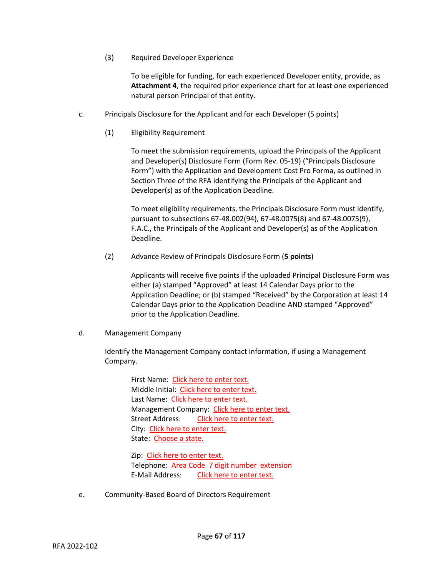(3) Required Developer Experience

To be eligible for funding, for each experienced Developer entity, provide, as **Attachment 4**, the required prior experience chart for at least one experienced natural person Principal of that entity.

- c. Principals Disclosure for the Applicant and for each Developer (5 points)
	- (1) Eligibility Requirement

To meet the submission requirements, upload the Principals of the Applicant and Developer(s) Disclosure Form (Form Rev. 05-19) ("Principals Disclosure Form") with the Application and Development Cost Pro Forma, as outlined in Section Three of the RFA identifying the Principals of the Applicant and Developer(s) as of the Application Deadline.

To meet eligibility requirements, the Principals Disclosure Form must identify, pursuant to subsections 67-48.002(94), 67-48.0075(8) and 67-48.0075(9), F.A.C., the Principals of the Applicant and Developer(s) as of the Application Deadline.

(2) Advance Review of Principals Disclosure Form (**5 points**)

Applicants will receive five points if the uploaded Principal Disclosure Form was either (a) stamped "Approved" at least 14 Calendar Days prior to the Application Deadline; or (b) stamped "Received" by the Corporation at least 14 Calendar Days prior to the Application Deadline AND stamped "Approved" prior to the Application Deadline.

d. Management Company

Identify the Management Company contact information, if using a Management Company.

> First Name: Click here to enter text. Middle Initial: Click here to enter text. Last Name: Click here to enter text. Management Company: Click here to enter text. Street Address: Click here to enter text. City: Click here to enter text. State: Choose a state.

Zip: Click here to enter text. Telephone: Area Code 7 digit number extension E-Mail Address: Click here to enter text.

e. Community-Based Board of Directors Requirement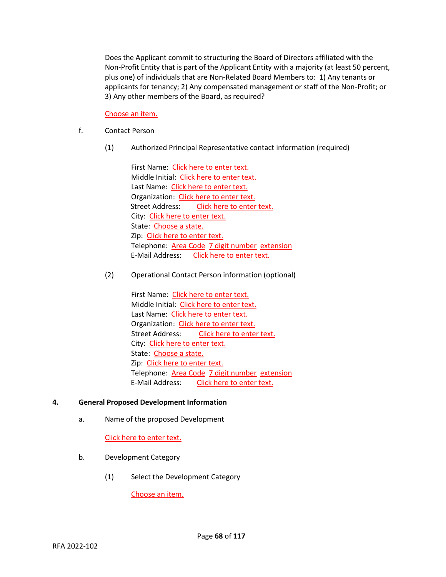Does the Applicant commit to structuring the Board of Directors affiliated with the Non-Profit Entity that is part of the Applicant Entity with a majority (at least 50 percent, plus one) of individuals that are Non-Related Board Members to: 1) Any tenants or applicants for tenancy; 2) Any compensated management or staff of the Non-Profit; or 3) Any other members of the Board, as required?

Choose an item.

- f. Contact Person
	- (1) Authorized Principal Representative contact information (required)

First Name: Click here to enter text. Middle Initial: Click here to enter text. Last Name: Click here to enter text. Organization: Click here to enter text. Street Address: Click here to enter text. City: Click here to enter text. State: Choose a state. Zip: Click here to enter text. Telephone: Area Code 7 digit number extension E-Mail Address: Click here to enter text.

(2) Operational Contact Person information (optional)

First Name: Click here to enter text. Middle Initial: Click here to enter text. Last Name: Click here to enter text. Organization: Click here to enter text. Street Address: Click here to enter text. City: Click here to enter text. State: Choose a state. Zip: Click here to enter text. Telephone: Area Code 7 digit number extension E-Mail Address: Click here to enter text.

# **4. General Proposed Development Information**

a. Name of the proposed Development

Click here to enter text.

- b. Development Category
	- (1) Select the Development Category

Choose an item.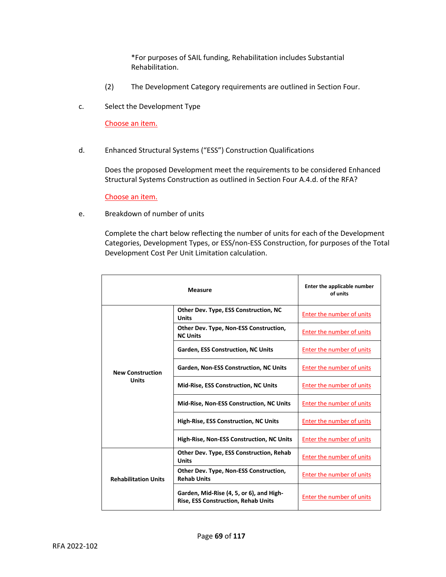\*For purposes of SAIL funding, Rehabilitation includes Substantial Rehabilitation.

- (2) The Development Category requirements are outlined in Section Four.
- c. Select the Development Type

Choose an item.

d. Enhanced Structural Systems ("ESS") Construction Qualifications

Does the proposed Development meet the requirements to be considered Enhanced Structural Systems Construction as outlined in Section Four A.4.d. of the RFA?

Choose an item.

e. Breakdown of number of units

Complete the chart below reflecting the number of units for each of the Development Categories, Development Types, or ESS/non-ESS Construction, for purposes of the Total Development Cost Per Unit Limitation calculation.

| <b>Measure</b>                          |                                                                                        | Enter the applicable number<br>of units |
|-----------------------------------------|----------------------------------------------------------------------------------------|-----------------------------------------|
|                                         | Other Dev. Type, ESS Construction, NC<br><b>Units</b>                                  | Enter the number of units               |
| <b>New Construction</b><br><b>Units</b> | Other Dev. Type, Non-ESS Construction,<br><b>NC Units</b>                              | Enter the number of units               |
|                                         | <b>Garden, ESS Construction, NC Units</b>                                              | Enter the number of units               |
|                                         | Garden, Non-ESS Construction, NC Units                                                 | Enter the number of units               |
|                                         | <b>Mid-Rise, ESS Construction, NC Units</b>                                            | Enter the number of units               |
|                                         | <b>Mid-Rise, Non-ESS Construction, NC Units</b>                                        | Enter the number of units               |
|                                         | High-Rise, ESS Construction, NC Units                                                  | Enter the number of units               |
|                                         | High-Rise, Non-ESS Construction, NC Units                                              | Enter the number of units               |
| <b>Rehabilitation Units</b>             | <b>Other Dev. Type, ESS Construction, Rehab</b><br><b>Units</b>                        | Enter the number of units               |
|                                         | Other Dev. Type, Non-ESS Construction,<br><b>Rehab Units</b>                           | <b>Enter the number of units</b>        |
|                                         | Garden, Mid-Rise (4, 5, or 6), and High-<br><b>Rise, ESS Construction, Rehab Units</b> | Enter the number of units               |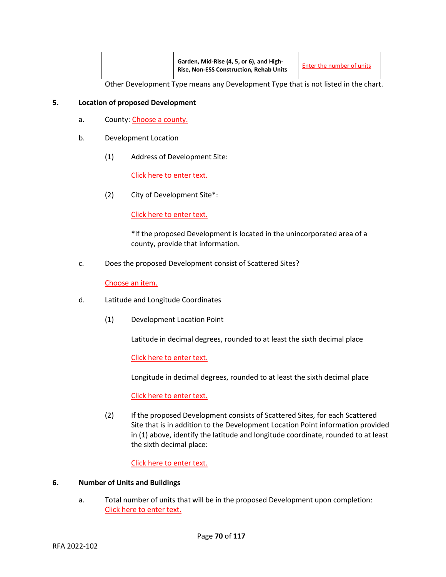Other Development Type means any Development Type that is not listed in the chart.

### **5. Location of proposed Development**

- a. County: Choose a county.
- b. Development Location
	- (1) Address of Development Site:

Click here to enter text.

(2) City of Development Site\*:

Click here to enter text.

\*If the proposed Development is located in the unincorporated area of a county, provide that information.

c. Does the proposed Development consist of Scattered Sites?

Choose an item.

- d. Latitude and Longitude Coordinates
	- (1) Development Location Point

Latitude in decimal degrees, rounded to at least the sixth decimal place

Click here to enter text.

Longitude in decimal degrees, rounded to at least the sixth decimal place

Click here to enter text.

(2) If the proposed Development consists of Scattered Sites, for each Scattered Site that is in addition to the Development Location Point information provided in (1) above, identify the latitude and longitude coordinate, rounded to at least the sixth decimal place:

Click here to enter text.

#### **6. Number of Units and Buildings**

a. Total number of units that will be in the proposed Development upon completion: Click here to enter text.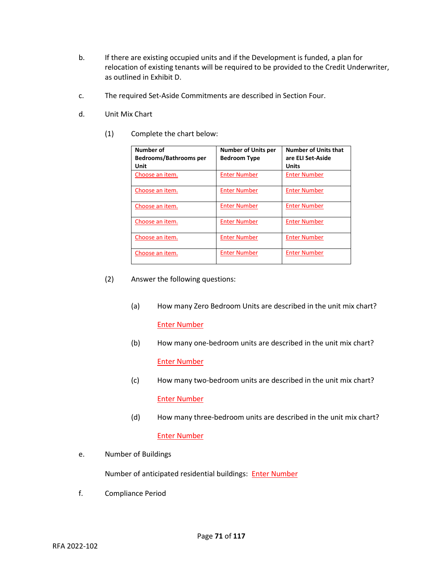- b. If there are existing occupied units and if the Development is funded, a plan for relocation of existing tenants will be required to be provided to the Credit Underwriter, as outlined in Exhibit D.
- c. The required Set-Aside Commitments are described in Section Four.
- d. Unit Mix Chart
	- (1) Complete the chart below:

| Number of<br><b>Bedrooms/Bathrooms per</b><br>Unit | <b>Number of Units per</b><br><b>Bedroom Type</b> | <b>Number of Units that</b><br>are ELI Set-Aside<br>Units |
|----------------------------------------------------|---------------------------------------------------|-----------------------------------------------------------|
| Choose an item.                                    | <b>Enter Number</b>                               | <b>Enter Number</b>                                       |
| Choose an item.                                    | <b>Enter Number</b>                               | <b>Enter Number</b>                                       |
| Choose an item.                                    | <b>Enter Number</b>                               | <b>Enter Number</b>                                       |
| Choose an item.                                    | <b>Enter Number</b>                               | <b>Enter Number</b>                                       |
| Choose an item.                                    | <b>Enter Number</b>                               | <b>Enter Number</b>                                       |
| Choose an item.                                    | <b>Enter Number</b>                               | <b>Enter Number</b>                                       |

- (2) Answer the following questions:
	- (a) How many Zero Bedroom Units are described in the unit mix chart? Enter Number
	- (b) How many one-bedroom units are described in the unit mix chart? Enter Number
	- (c) How many two-bedroom units are described in the unit mix chart? Enter Number
	- (d) How many three-bedroom units are described in the unit mix chart?

# Enter Number

e. Number of Buildings

Number of anticipated residential buildings: **Enter Number** 

f. Compliance Period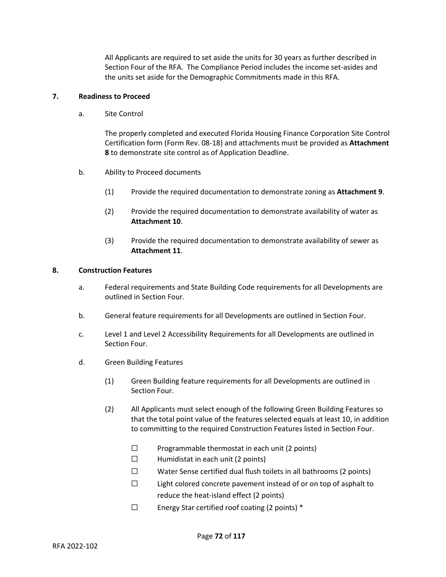All Applicants are required to set aside the units for 30 years as further described in Section Four of the RFA. The Compliance Period includes the income set-asides and the units set aside for the Demographic Commitments made in this RFA.

# **7. Readiness to Proceed**

a. Site Control

The properly completed and executed Florida Housing Finance Corporation Site Control Certification form (Form Rev. 08-18) and attachments must be provided as **Attachment 8** to demonstrate site control as of Application Deadline.

- b. Ability to Proceed documents
	- (1) Provide the required documentation to demonstrate zoning as **Attachment 9**.
	- (2) Provide the required documentation to demonstrate availability of water as **Attachment 10**.
	- (3) Provide the required documentation to demonstrate availability of sewer as **Attachment 11**.

#### **8. Construction Features**

- a. Federal requirements and State Building Code requirements for all Developments are outlined in Section Four.
- b. General feature requirements for all Developments are outlined in Section Four.
- c. Level 1 and Level 2 Accessibility Requirements for all Developments are outlined in Section Four.
- d. Green Building Features
	- (1) Green Building feature requirements for all Developments are outlined in Section Four.
	- (2) All Applicants must select enough of the following Green Building Features so that the total point value of the features selected equals at least 10, in addition to committing to the required Construction Features listed in Section Four.
		- $\square$  Programmable thermostat in each unit (2 points)
		- $\Box$  Humidistat in each unit (2 points)
		- ☐ Water Sense certified dual flush toilets in all bathrooms (2 points)
		- $\square$  Light colored concrete pavement instead of or on top of asphalt to reduce the heat-island effect (2 points)
		- $\Box$  Energy Star certified roof coating (2 points)  $*$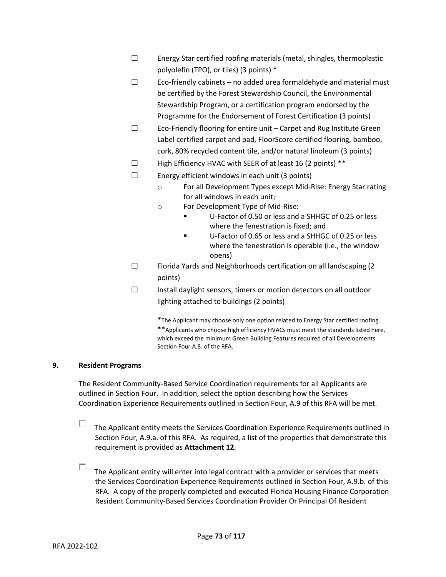- ☐ Energy Star certified roofing materials (metal, shingles, thermoplastic polyolefin (TPO), or tiles) (3 points) \*
- $\Box$  Eco-friendly cabinets no added urea formaldehyde and material must be certified by the Forest Stewardship Council, the Environmental Stewardship Program, or a certification program endorsed by the Programme for the Endorsement of Forest Certification (3 points)
- ☐ Eco-Friendly flooring for entire unit Carpet and Rug Institute Green Label certified carpet and pad, FloorScore certified flooring, bamboo, cork, 80% recycled content tile, and/or natural linoleum (3 points)
- ☐ High Efficiency HVAC with SEER of at least 16 (2 points) \*\*
- $\square$  Energy efficient windows in each unit (3 points)
	- o For all Development Types except Mid-Rise: Energy Star rating for all windows in each unit;
	- o For Development Type of Mid-Rise:
		- U-Factor of 0.50 or less and a SHHGC of 0.25 or less where the fenestration is fixed; and
		- U-Factor of 0.65 or less and a SHHGC of 0.25 or less where the fenestration is operable (i.e., the window opens)
- ☐ Florida Yards and Neighborhoods certification on all landscaping (2 points)
- ☐ Install daylight sensors, timers or motion detectors on all outdoor lighting attached to buildings (2 points)

\*The Applicant may choose only one option related to Energy Star certified roofing. \*\*Applicants who choose high efficiency HVACs must meet the standards listed here, which exceed the minimum Green Building Features required of all Developments Section Four A.8. of the RFA.

# **9. Resident Programs**

The Resident Community-Based Service Coordination requirements for all Applicants are outlined in Section Four. In addition, select the option describing how the Services Coordination Experience Requirements outlined in Section Four, A.9 of this RFA will be met.

П. The Applicant entity meets the Services Coordination Experience Requirements outlined in Section Four, A.9.a. of this RFA. As required, a list of the properties that demonstrate this requirement is provided as **Attachment 12**.

П. The Applicant entity will enter into legal contract with a provider or services that meets the Services Coordination Experience Requirements outlined in Section Four, A.9.b. of this RFA. A copy of the properly completed and executed Florida Housing Finance Corporation Resident Community-Based Services Coordination Provider Or Principal Of Resident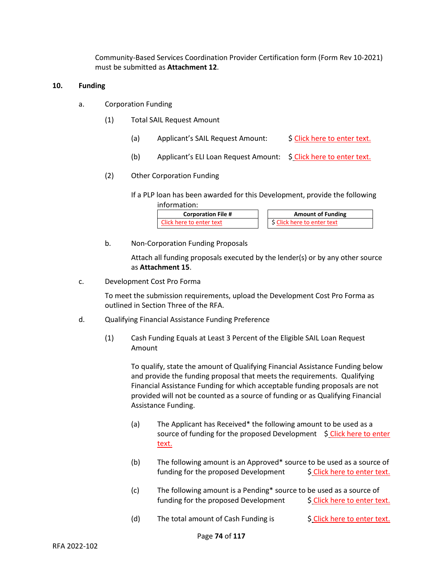Community-Based Services Coordination Provider Certification form (Form Rev 10-2021) must be submitted as **Attachment 12**.

## **10. Funding**

- a. Corporation Funding
	- (1) Total SAIL Request Amount
		- (a) Applicant's SAIL Request Amount:  $\oint$  Click here to enter text.
		- (b) Applicant's ELI Loan Request Amount: \$ Click here to enter text.
	- (2) Other Corporation Funding
		- If a PLP loan has been awarded for this Development, provide the following information:

| <b>Corporation File #</b> | <b>Amount of Funding</b> |
|---------------------------|--------------------------|
| Click here to enter text  | Click here to enter text |

b. Non-Corporation Funding Proposals

Attach all funding proposals executed by the lender(s) or by any other source as **Attachment 15**.

c. Development Cost Pro Forma

To meet the submission requirements, upload the Development Cost Pro Forma as outlined in Section Three of the RFA.

- d. Qualifying Financial Assistance Funding Preference
	- (1) Cash Funding Equals at Least 3 Percent of the Eligible SAIL Loan Request Amount

To qualify, state the amount of Qualifying Financial Assistance Funding below and provide the funding proposal that meets the requirements. Qualifying Financial Assistance Funding for which acceptable funding proposals are not provided will not be counted as a source of funding or as Qualifying Financial Assistance Funding.

- (a) The Applicant has Received\* the following amount to be used as a source of funding for the proposed Development  $\oint$  Click here to enter text.
- (b) The following amount is an Approved\* source to be used as a source of funding for the proposed Development  $\frac{1}{2}$  Click here to enter text.
- (c) The following amount is a Pending\* source to be used as a source of funding for the proposed Development  $\frac{1}{2}$  Click here to enter text.
- (d) The total amount of Cash Funding is  $\frac{1}{2}$  Click here to enter text.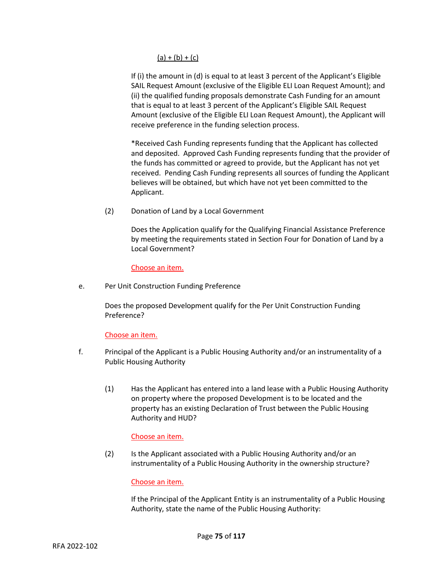# $(a) + (b) + (c)$

If (i) the amount in (d) is equal to at least 3 percent of the Applicant's Eligible SAIL Request Amount (exclusive of the Eligible ELI Loan Request Amount); and (ii) the qualified funding proposals demonstrate Cash Funding for an amount that is equal to at least 3 percent of the Applicant's Eligible SAIL Request Amount (exclusive of the Eligible ELI Loan Request Amount), the Applicant will receive preference in the funding selection process.

\*Received Cash Funding represents funding that the Applicant has collected and deposited. Approved Cash Funding represents funding that the provider of the funds has committed or agreed to provide, but the Applicant has not yet received. Pending Cash Funding represents all sources of funding the Applicant believes will be obtained, but which have not yet been committed to the Applicant.

(2) Donation of Land by a Local Government

Does the Application qualify for the Qualifying Financial Assistance Preference by meeting the requirements stated in Section Four for Donation of Land by a Local Government?

Choose an item.

e. Per Unit Construction Funding Preference

Does the proposed Development qualify for the Per Unit Construction Funding Preference?

Choose an item.

- f. Principal of the Applicant is a Public Housing Authority and/or an instrumentality of a Public Housing Authority
	- (1) Has the Applicant has entered into a land lease with a Public Housing Authority on property where the proposed Development is to be located and the property has an existing Declaration of Trust between the Public Housing Authority and HUD?

# Choose an item.

(2) Is the Applicant associated with a Public Housing Authority and/or an instrumentality of a Public Housing Authority in the ownership structure?

## Choose an item.

If the Principal of the Applicant Entity is an instrumentality of a Public Housing Authority, state the name of the Public Housing Authority: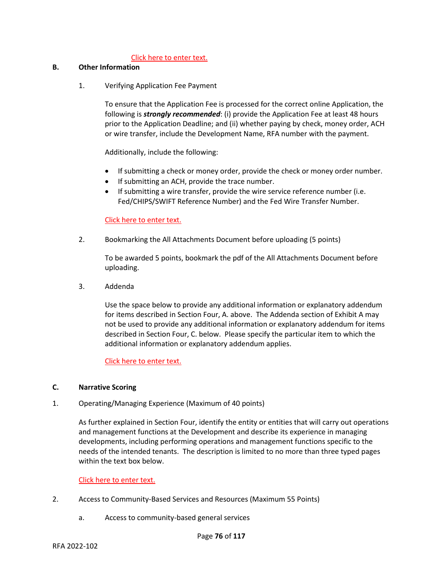## Click here to enter text.

## **B. Other Information**

1. Verifying Application Fee Payment

To ensure that the Application Fee is processed for the correct online Application, the following is *strongly recommended*: (i) provide the Application Fee at least 48 hours prior to the Application Deadline; and (ii) whether paying by check, money order, ACH or wire transfer, include the Development Name, RFA number with the payment.

Additionally, include the following:

- If submitting a check or money order, provide the check or money order number.
- If submitting an ACH, provide the trace number.
- If submitting a wire transfer, provide the wire service reference number (i.e. Fed/CHIPS/SWIFT Reference Number) and the Fed Wire Transfer Number.

# Click here to enter text.

2. Bookmarking the All Attachments Document before uploading (5 points)

To be awarded 5 points, bookmark the pdf of the All Attachments Document before uploading.

3. Addenda

Use the space below to provide any additional information or explanatory addendum for items described in Section Four, A. above. The Addenda section of Exhibit A may not be used to provide any additional information or explanatory addendum for items described in Section Four, C. below. Please specify the particular item to which the additional information or explanatory addendum applies.

Click here to enter text.

## **C. Narrative Scoring**

1. Operating/Managing Experience (Maximum of 40 points)

As further explained in Section Four, identify the entity or entities that will carry out operations and management functions at the Development and describe its experience in managing developments, including performing operations and management functions specific to the needs of the intended tenants. The description is limited to no more than three typed pages within the text box below.

## Click here to enter text.

- 2. Access to Community-Based Services and Resources (Maximum 55 Points)
	- a. Access to community-based general services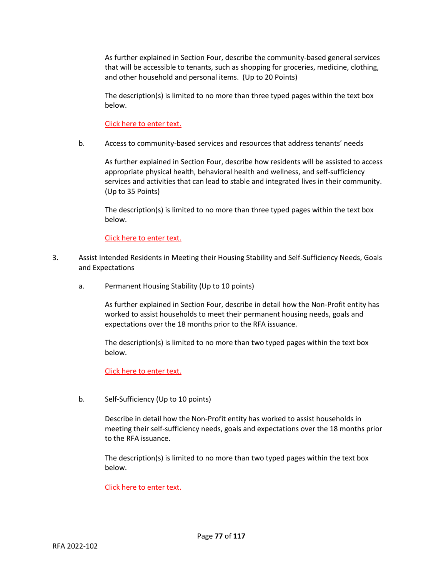As further explained in Section Four, describe the community-based general services that will be accessible to tenants, such as shopping for groceries, medicine, clothing, and other household and personal items. (Up to 20 Points)

The description(s) is limited to no more than three typed pages within the text box below.

Click here to enter text.

b. Access to community-based services and resources that address tenants' needs

As further explained in Section Four, describe how residents will be assisted to access appropriate physical health, behavioral health and wellness, and self-sufficiency services and activities that can lead to stable and integrated lives in their community. (Up to 35 Points)

The description(s) is limited to no more than three typed pages within the text box below.

Click here to enter text.

- 3. Assist Intended Residents in Meeting their Housing Stability and Self-Sufficiency Needs, Goals and Expectations
	- a. Permanent Housing Stability (Up to 10 points)

As further explained in Section Four, describe in detail how the Non-Profit entity has worked to assist households to meet their permanent housing needs, goals and expectations over the 18 months prior to the RFA issuance.

The description(s) is limited to no more than two typed pages within the text box below.

Click here to enter text.

b. Self-Sufficiency (Up to 10 points)

Describe in detail how the Non-Profit entity has worked to assist households in meeting their self-sufficiency needs, goals and expectations over the 18 months prior to the RFA issuance.

The description(s) is limited to no more than two typed pages within the text box below.

Click here to enter text.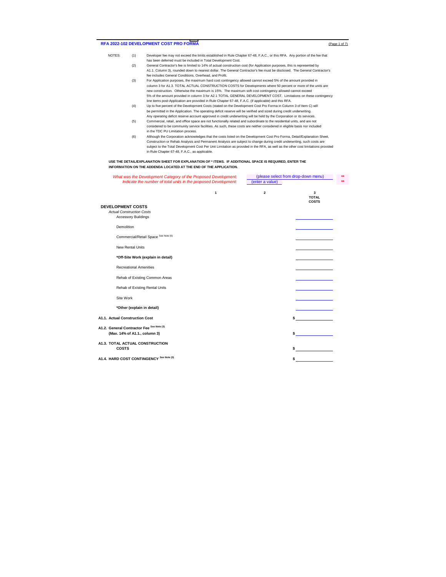## RFA 2022-102 DEVELOPMENT COST PRO FORMA (Page 1 of 7)

- NOTES: (1) Developer fee may not exceed the limits established in Rule Chapter 67-48, F.A.C., or this RFA. Any portion of the fee that has been deferred must be included in Total Development Cost.
	- (2) General Contractor's fee is limited to 14% of actual construction cost (for Application purposes, this is represented by A1.1. Column 3), rounded down to nearest dollar. The General Contractor's fee must be disclosed. The General Contractor's fee includes General Conditions, Overhead, and Profit.
	- (3) For Application purposes, the maximum hard cost contingency allowed cannot exceed 5% of the amount provided in column 3 for A1.3. TOTAL ACTUAL CONSTRUCTION COSTS for Developments where 50 percent or more of the units are new construction. Otherwise the maximum is 15%. The maximum soft cost contingency allowed cannot exceed 5% of the amount provided in column 3 for A2.1 TOTAL GENERAL DEVELOPMENT COST. Limitations on these contingency line items post-Application are provided in Rule Chapter 67-48, F.A.C. (if applicable) and this RFA.
	- (4) Up to five percent of the Development Costs (stated on the Development Cost Pro Forma in Column 3 of Item C) will be permitted in the Application. The operating deficit reserve will be verified and sized during credit underwriting. Any operating deficit reserve account approved in credit underwriting will be held by the Corporation or its services.
	- (5) Commercial, retail, and office space are not functionally related and subordinate to the residential units, and are not considered to be community service facilities. As such, these costs are neither considered in eligible basis nor included in the TDC PU Limitation process.
	- (6) Although the Corporation acknowledges that the costs listed on the Development Cost Pro Forma, Detail/Explanation Sheet, Construction or Rehab Analysis and Permanent Analysis are subject to change during credit underwriting, such costs are subject to the Total Development Cost Per Unit Limitation as provided in the RFA, as well as the other cost limitations provided in Rule Chapter 67-48, F.A.C., as applicable.

#### **USE THE DETAIL/EXPLANATION SHEET FOR EXPLANATION OF \* ITEMS. IF ADDITIONAL SPACE IS REQUIRED, ENTER THE INFORMATION ON THE ADDENDA LOCATED AT THE END OF THE APPLICATION.**

| What was the Development Category of the Proposed Development:             |                         | (please select from drop-down menu) | ** |
|----------------------------------------------------------------------------|-------------------------|-------------------------------------|----|
| Indicate the number of total units in the proposed Development:            | (enter a value)         |                                     | ** |
| $\mathbf{1}$                                                               | $\overline{\mathbf{2}}$ | 3<br><b>TOTAL</b><br><b>COSTS</b>   |    |
| <b>DEVELOPMENT COSTS</b><br><b>Actual Construction Costs</b>               |                         |                                     |    |
| <b>Accessory Buildings</b>                                                 |                         |                                     |    |
| Demolition                                                                 |                         |                                     |    |
| Commercial/Retail Space See Note (6)                                       |                         |                                     |    |
| <b>New Rental Units</b>                                                    |                         |                                     |    |
| *Off-Site Work (explain in detail)                                         |                         |                                     |    |
| <b>Recreational Amenities</b>                                              |                         |                                     |    |
| Rehab of Existing Common Areas                                             |                         |                                     |    |
| Rehab of Existing Rental Units                                             |                         |                                     |    |
| Site Work                                                                  |                         |                                     |    |
| *Other (explain in detail)                                                 |                         |                                     |    |
| A1.1. Actual Construction Cost                                             |                         |                                     |    |
| A1.2. General Contractor Fee See Note (3)<br>(Max. 14% of A1.1., column 3) |                         |                                     |    |
| A1.3. TOTAL ACTUAL CONSTRUCTION<br><b>COSTS</b>                            |                         | \$                                  |    |
| A1.4. HARD COST CONTINGENCY See Note (3)                                   |                         | \$                                  |    |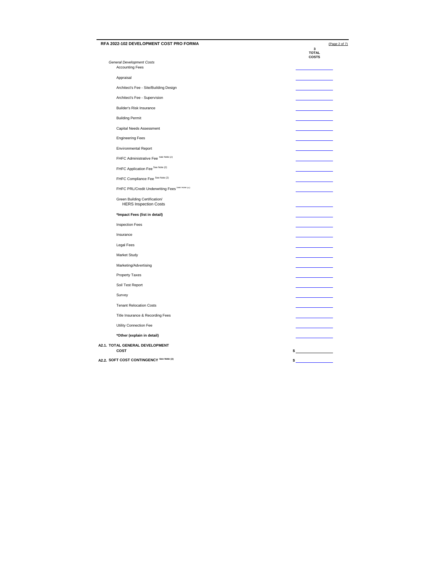| RFA 2022-102 DEVELOPMENT COST PRO FORMA                       | (Page 2 of 7)                     |
|---------------------------------------------------------------|-----------------------------------|
|                                                               | 3<br><b>TOTAL</b><br><b>COSTS</b> |
| <b>General Development Costs</b><br><b>Accounting Fees</b>    |                                   |
| Appraisal                                                     |                                   |
| Architect's Fee - Site/Building Design                        |                                   |
| Architect's Fee - Supervision                                 |                                   |
| Builder's Risk Insurance                                      |                                   |
| <b>Building Permit</b>                                        |                                   |
| Capital Needs Assessment                                      |                                   |
| <b>Engineering Fees</b>                                       |                                   |
| <b>Environmental Report</b>                                   |                                   |
| FHFC Administrative Fee See Note (2)                          |                                   |
| FHFC Application Fee See Note (2)                             |                                   |
| FHFC Compliance Fee See Note (2)                              |                                   |
| FHFC PRL/Credit Underwriting Fees See Note (2)                |                                   |
|                                                               |                                   |
| Green Building Certification/<br><b>HERS Inspection Costs</b> |                                   |
| *Impact Fees (list in detail)                                 |                                   |
| <b>Inspection Fees</b>                                        |                                   |
| Insurance                                                     |                                   |
| <b>Legal Fees</b>                                             |                                   |
| Market Study                                                  |                                   |
| Marketing/Advertising                                         |                                   |
| Property Taxes                                                |                                   |
| Soil Test Report                                              |                                   |
| Survey                                                        |                                   |
| <b>Tenant Relocation Costs</b>                                |                                   |
| Title Insurance & Recording Fees                              |                                   |
| Utility Connection Fee                                        |                                   |
| *Other (explain in detail)                                    |                                   |
| A2.1. TOTAL GENERAL DEVELOPMENT                               |                                   |
| COST                                                          | $\frac{1}{2}$                     |
| A2.2. SOFT COST CONTINGENCY See Note (3)                      | \$_                               |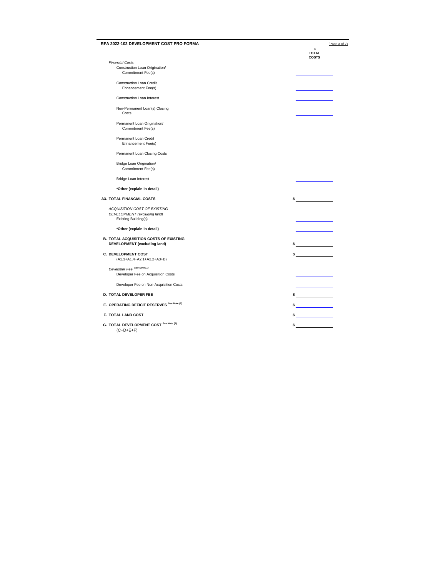| RFA 2022-102 DEVELOPMENT COST PRO FORMA               | (Page 3 of 7)                     |
|-------------------------------------------------------|-----------------------------------|
|                                                       | 3<br><b>TOTAL</b><br><b>COSTS</b> |
| <b>Financial Costs</b>                                |                                   |
| Construction Loan Origination/                        |                                   |
| Commitment Fee(s)                                     |                                   |
|                                                       |                                   |
| <b>Construction Loan Credit</b><br>Enhancement Fee(s) |                                   |
|                                                       |                                   |
| <b>Construction Loan Interest</b>                     |                                   |
| Non-Permanent Loan(s) Closing                         |                                   |
| Costs                                                 |                                   |
|                                                       |                                   |
| Permanent Loan Origination/                           |                                   |
| Commitment Fee(s)                                     |                                   |
|                                                       |                                   |
| Permanent Loan Credit                                 |                                   |
| Enhancement Fee(s)                                    |                                   |
| Permanent Loan Closing Costs                          |                                   |
|                                                       |                                   |
| Bridge Loan Origination/                              |                                   |
| Commitment Fee(s)                                     |                                   |
|                                                       |                                   |
| <b>Bridge Loan Interest</b>                           |                                   |
| *Other (explain in detail)                            |                                   |
|                                                       |                                   |
| A3. TOTAL FINANCIAL COSTS                             | \$                                |
|                                                       |                                   |
| ACQUISITION COST OF EXISTING                          |                                   |
| DEVELOPMENT (excluding land)<br>Existing Building(s)  |                                   |
|                                                       |                                   |
| *Other (explain in detail)                            |                                   |
|                                                       |                                   |
| <b>B. TOTAL ACQUISITION COSTS OF EXISTING</b>         |                                   |
| DEVELOPMENT (excluding land)                          | $\frac{1}{2}$                     |
|                                                       |                                   |
| <b>C. DEVELOPMENT COST</b>                            | $\sim$                            |
| (A1.3+A1.4+A2.1+A2.2+A3+B)                            |                                   |
| Developer Fee See Note (1)                            |                                   |
| Developer Fee on Acquisition Costs                    |                                   |
|                                                       |                                   |
| Developer Fee on Non-Acquisition Costs                |                                   |
|                                                       |                                   |
| D. TOTAL DEVELOPER FEE                                | $\frac{1}{2}$                     |
|                                                       |                                   |
| E. OPERATING DEFICIT RESERVES See Note (5)            | $\sim$                            |
|                                                       |                                   |
| F. TOTAL LAND COST                                    |                                   |
| G. TOTAL DEVELOPMENT COST See Note (7)                | $\sim$                            |
| $(C+D+E+F)$                                           |                                   |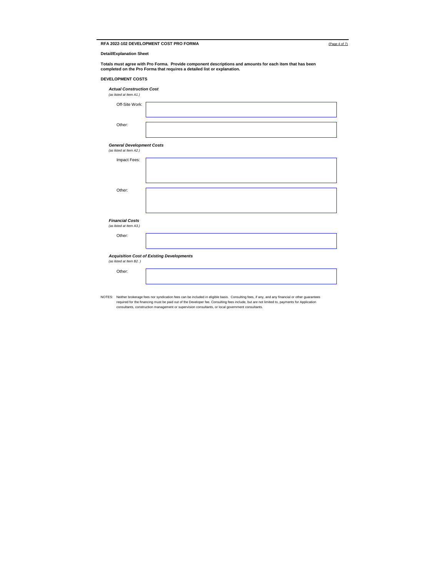| RFA 2022-102 DEVELOPMENT COST PRO FORMA | (Page 4 of 7) |
|-----------------------------------------|---------------|
|-----------------------------------------|---------------|

**Detail/Explanation Sheet**

**Totals must agree with Pro Forma. Provide component descriptions and amounts for each item that has been completed on the Pro Forma that requires a detailed list or explanation.**

### **DEVELOPMENT COSTS**

| <b>Actual Construction Cost</b><br>(as listed at Item A1.)  |                                                  |
|-------------------------------------------------------------|--------------------------------------------------|
| Off-Site Work:                                              |                                                  |
| Other:                                                      |                                                  |
| <b>General Development Costs</b><br>(as listed at Item A2.) |                                                  |
| Impact Fees:                                                |                                                  |
|                                                             |                                                  |
| Other:                                                      |                                                  |
| <b>Financial Costs</b>                                      |                                                  |
| (as listed at Item A3.)                                     |                                                  |
| Other:                                                      |                                                  |
| (as listed at Item B2.)                                     | <b>Acquisition Cost of Existing Developments</b> |
| Other:                                                      |                                                  |

NOTES: Neither brokerage fees nor syndication fees can be included in eligible basis. Consulting fees, if any, and any financial or other guarantees<br>required for the financing must be paid out of the Developer fee. Consult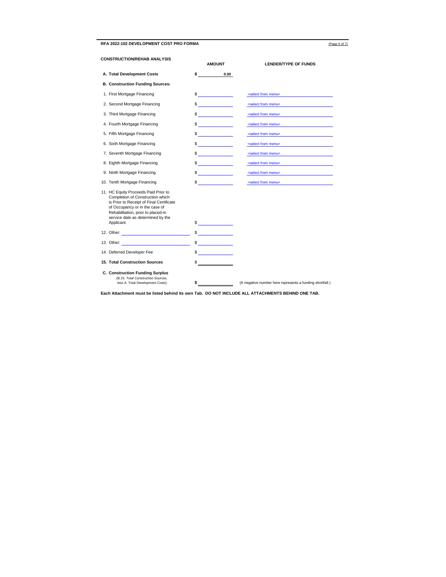RFA 2022-102 DEVELOPMENT COST PRO FORMA (Page 5 of 7)

| <b>CONSTRUCTION/REHAB ANALYSIS</b>                                                                                                                                                                                                              | <b>AMOUNT</b>                                                                                                                                                                                                                                                                                                                                                                                                        | <b>LENDER/TYPE OF FUNDS</b>                              |
|-------------------------------------------------------------------------------------------------------------------------------------------------------------------------------------------------------------------------------------------------|----------------------------------------------------------------------------------------------------------------------------------------------------------------------------------------------------------------------------------------------------------------------------------------------------------------------------------------------------------------------------------------------------------------------|----------------------------------------------------------|
| A. Total Development Costs                                                                                                                                                                                                                      | \$<br>0.00                                                                                                                                                                                                                                                                                                                                                                                                           |                                                          |
| <b>B. Construction Funding Sources:</b>                                                                                                                                                                                                         |                                                                                                                                                                                                                                                                                                                                                                                                                      |                                                          |
| 1. First Mortgage Financing                                                                                                                                                                                                                     | $\frac{1}{2}$                                                                                                                                                                                                                                                                                                                                                                                                        | <select from="" menu=""></select>                        |
| 2. Second Mortgage Financing                                                                                                                                                                                                                    | $\frac{1}{\sqrt{1-\frac{1}{2}}\cdot\frac{1}{2}}$                                                                                                                                                                                                                                                                                                                                                                     | <select from="" menu=""></select>                        |
| 3. Third Mortgage Financing                                                                                                                                                                                                                     | $\frac{1}{2}$                                                                                                                                                                                                                                                                                                                                                                                                        | <select from="" menu=""></select>                        |
| 4. Fourth Mortgage Financing                                                                                                                                                                                                                    | $\frac{1}{2}$                                                                                                                                                                                                                                                                                                                                                                                                        | <select from="" menu=""></select>                        |
| 5. Fifth Mortgage Financing                                                                                                                                                                                                                     | $\sim$                                                                                                                                                                                                                                                                                                                                                                                                               | <select from="" menu=""></select>                        |
| 6. Sixth Mortgage Financing                                                                                                                                                                                                                     | $\frac{1}{2}$                                                                                                                                                                                                                                                                                                                                                                                                        | <select from="" menu=""></select>                        |
| 7. Seventh Mortgage Financing                                                                                                                                                                                                                   | <u> 1999 - Jan Jawa</u><br>\$                                                                                                                                                                                                                                                                                                                                                                                        | <select from="" menu=""></select>                        |
| 8. Eighth Mortgage Financing                                                                                                                                                                                                                    | \$<br><u> Alexandria de la provincia de la provincia de la provincia de la provincia de la provincia de la provincia d</u>                                                                                                                                                                                                                                                                                           | <select from="" menu=""></select>                        |
| 9. Ninth Mortgage Financing                                                                                                                                                                                                                     | $\frac{1}{\sqrt{1-\frac{1}{2}}\cdot\frac{1}{2}}$                                                                                                                                                                                                                                                                                                                                                                     | <select from="" menu=""></select>                        |
| 10. Tenth Mortgage Financing                                                                                                                                                                                                                    | \$                                                                                                                                                                                                                                                                                                                                                                                                                   | <select from="" menu=""></select>                        |
| 11. HC Equity Proceeds Paid Prior to<br>Completion of Construction which<br>is Prior to Receipt of Final Certificate<br>of Occupancy or in the case of<br>Rehabilitation, prior to placed-in<br>service date as determined by the<br>Applicant. | $\frac{1}{2}$                                                                                                                                                                                                                                                                                                                                                                                                        |                                                          |
|                                                                                                                                                                                                                                                 | $\frac{1}{\sqrt{1-\frac{1}{2}}\cdot\frac{1}{2}}$                                                                                                                                                                                                                                                                                                                                                                     |                                                          |
| 13. Other: The Communication of the Communication of the Communication of the Communication of the Communication of the Communication of the Communication of the Communication of the Communication of the Communication of t                  | $\frac{1}{\sqrt{1-\frac{1}{2}}\sqrt{1-\frac{1}{2}}\sqrt{1-\frac{1}{2}}\sqrt{1-\frac{1}{2}}\sqrt{1-\frac{1}{2}}\sqrt{1-\frac{1}{2}}\sqrt{1-\frac{1}{2}}\sqrt{1-\frac{1}{2}}\sqrt{1-\frac{1}{2}}\sqrt{1-\frac{1}{2}}\sqrt{1-\frac{1}{2}}\sqrt{1-\frac{1}{2}}\sqrt{1-\frac{1}{2}}\sqrt{1-\frac{1}{2}}\sqrt{1-\frac{1}{2}}\sqrt{1-\frac{1}{2}}\sqrt{1-\frac{1}{2}}\sqrt{1-\frac{1}{2}}\sqrt{1-\frac{1}{2}}\sqrt{1-\frac$ |                                                          |
| 14. Deferred Developer Fee                                                                                                                                                                                                                      | $\frac{1}{2}$                                                                                                                                                                                                                                                                                                                                                                                                        |                                                          |
| <b>15. Total Construction Sources</b>                                                                                                                                                                                                           | \$                                                                                                                                                                                                                                                                                                                                                                                                                   |                                                          |
| <b>C. Construction Funding Surplus</b><br>(B.15, Total Construction Sources,<br>less A. Total Development Costs):                                                                                                                               | \$                                                                                                                                                                                                                                                                                                                                                                                                                   | (A negative number here represents a funding shortfall.) |

**Each Attachment must be listed behind its own Tab. DO NOT INCLUDE ALL ATTACHMENTS BEHIND ONE TAB.**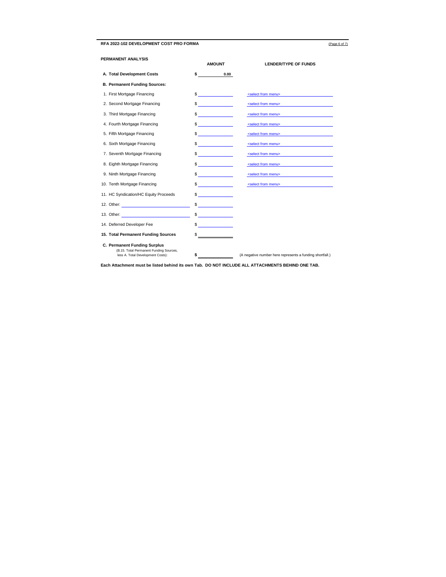## RFA 2022-102 DEVELOPMENT COST PRO FORMA **CONTACT COST PRO FORMA** (Page 6 of 7)

| PERMANENT ANALYSIS                                                                                                                                                                                                             | <b>AMOUNT</b>                                                                                                        | <b>LENDER/TYPE OF FUNDS</b>                              |
|--------------------------------------------------------------------------------------------------------------------------------------------------------------------------------------------------------------------------------|----------------------------------------------------------------------------------------------------------------------|----------------------------------------------------------|
| A. Total Development Costs                                                                                                                                                                                                     | $\sim$<br>0.00                                                                                                       |                                                          |
| <b>B. Permanent Funding Sources:</b>                                                                                                                                                                                           |                                                                                                                      |                                                          |
| 1. First Mortgage Financing                                                                                                                                                                                                    | $\sim$                                                                                                               | <select from="" menu=""></select>                        |
| 2. Second Mortgage Financing                                                                                                                                                                                                   | $\sim$                                                                                                               | <select from="" menu=""></select>                        |
| 3. Third Mortgage Financing                                                                                                                                                                                                    | $\frac{1}{2}$                                                                                                        | <select from="" menu=""></select>                        |
| 4. Fourth Mortgage Financing                                                                                                                                                                                                   | $\frac{1}{2}$                                                                                                        | <select from="" menu=""></select>                        |
| 5. Fifth Mortgage Financing                                                                                                                                                                                                    | $\frac{1}{\sqrt{2}}$                                                                                                 | <select from="" menu=""></select>                        |
| 6. Sixth Mortgage Financing                                                                                                                                                                                                    | $\frac{1}{\sqrt{1-\frac{1}{2}}\left(1-\frac{1}{2}\right)}$                                                           | <select from="" menu=""></select>                        |
| 7. Seventh Mortgage Financing                                                                                                                                                                                                  | $\sim$                                                                                                               | <select from="" menu=""></select>                        |
| 8. Eighth Mortgage Financing                                                                                                                                                                                                   | $\frac{1}{2}$                                                                                                        | <select from="" menu=""></select>                        |
| 9. Ninth Mortgage Financing                                                                                                                                                                                                    | $\sim$                                                                                                               | <select from="" menu=""></select>                        |
| 10. Tenth Mortgage Financing                                                                                                                                                                                                   | $\frac{1}{\sqrt{1-\frac{1}{2}}\left(1-\frac{1}{2}\right)}$                                                           | <select from="" menu=""></select>                        |
| 11. HC Syndication/HC Equity Proceeds                                                                                                                                                                                          | $\frac{1}{2}$                                                                                                        |                                                          |
| 12. Other: The contract of the contract of the contract of the contract of the contract of the contract of the contract of the contract of the contract of the contract of the contract of the contract of the contract of the | <u> 1999 - Jan Jawa Barat, prima prima prima prima prima prima prima prima prima prima prima prima prima prima p</u> |                                                          |
|                                                                                                                                                                                                                                | $\frac{1}{2}$                                                                                                        |                                                          |
| 14. Deferred Developer Fee                                                                                                                                                                                                     | $\frac{1}{\sqrt{1-\frac{1}{2}}}\left\vert \frac{1}{\sqrt{1-\frac{1}{2}}}\right\vert$                                 |                                                          |
| 15. Total Permanent Funding Sources                                                                                                                                                                                            |                                                                                                                      |                                                          |
| C. Permanent Funding Surplus<br>(B.15. Total Permanent Funding Sources,<br>less A. Total Development Costs):                                                                                                                   | \$                                                                                                                   | (A negative number here represents a funding shortfall.) |

**Each Attachment must be listed behind its own Tab. DO NOT INCLUDE ALL ATTACHMENTS BEHIND ONE TAB.**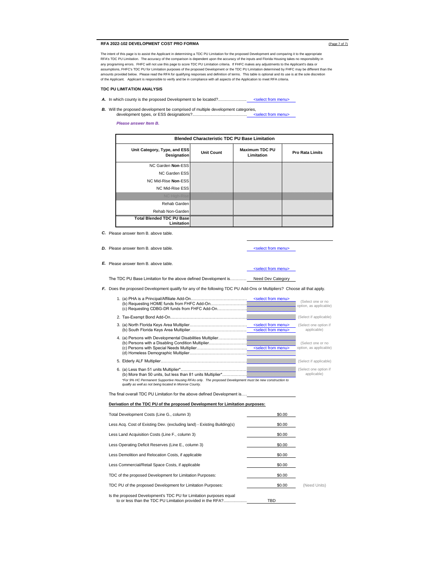## **RFA 2022-102 DEVELOPMENT COST PRO FORMA** (Page 7 of 7)

The intent of this page is to assist the Applicant in determining a TDC PU Limitation for the proposed Development and comparing it to the appropriate RFA's TDC PU Limitation. The accuracy of the comparison is dependent upon the accuracy of the inputs and Florida Housing takes no responsibility in<br>any programing errors. FHFC will not use this page to score TDC PU Limitat assumptions, FHFC's TDC PU for Limitation purposes of the proposed Development or the TDC PU Limitation determined by FHFC may be different than the amounts provided below. Please read the RFA for qualifying responses and definition of terms. This table is optional and its use is at the sole discretion of the Applicant. Applicant is responsible to verify and be in compliance with all aspects of the Application to meet RFA criteria.

## **TDC PU LIMITATION ANALYSIS**

- A. In which county is the proposed Development to be located?.... <select from menu>
- *B.* Will the proposed development be comprised of multiple development categories, development types, or ESS designations?.. <select from menu>

*Please answer Item B.*

| <b>Blended Characteristic TDC PU Base Limitation</b>  |                   |                                     |                        |
|-------------------------------------------------------|-------------------|-------------------------------------|------------------------|
| Unit Category, Type, and ESS<br>Designation           | <b>Unit Count</b> | <b>Maximum TDC PU</b><br>Limitation | <b>Pro Rata Limits</b> |
| NC Garden Non-ESS                                     |                   |                                     |                        |
| <b>NC Garden ESS</b>                                  |                   |                                     |                        |
| NC Mid-Rise Non-ESS                                   |                   |                                     |                        |
| NC Mid-Rise ESS                                       |                   |                                     |                        |
| <b>NOCHOD-RISC</b>                                    |                   |                                     |                        |
| Rehab Garden                                          |                   |                                     |                        |
| Rehab Non-Garden                                      |                   |                                     |                        |
| <b>Total Blended TDC PU Base</b><br><b>Limitation</b> |                   |                                     |                        |

*C.* Please answer Item B. above table.

*D.* Please answer Item B. above table.

<select from menu>

*E.* Please answer Item B. above table.

## <select from menu>

The TDC PU Base Limitation for the above defined Development is……………………………………….... Need Dev Category

*F.* Does the proposed Development qualify for any of the following TDC PU Add-Ons or Multipliers? Choose all that apply.

| (c) Requesting CDBG-DR funds from FHFC Add-On                                                                                                                     | <select from="" menu=""></select>                                       | (Select one or no<br>option, as applicable) |
|-------------------------------------------------------------------------------------------------------------------------------------------------------------------|-------------------------------------------------------------------------|---------------------------------------------|
|                                                                                                                                                                   |                                                                         | (Select if applicable)                      |
|                                                                                                                                                                   | <select from="" menu=""><br/><select from="" menu=""></select></select> | (Select one option if<br>applicable)        |
|                                                                                                                                                                   | <select from="" menu=""></select>                                       | (Select one or no<br>option, as applicable) |
|                                                                                                                                                                   |                                                                         | (Select if applicable)                      |
| *For 9% HC Permanent Supportive Housing RFAs only. The proposed Development must be new construction to<br>qualify as well as not being located in Monroe County. |                                                                         | (Select one option if<br>applicable)        |

The final overall TDC PU Limitation for the above defined Development is....

#### **Derivation of the TDC PU of the proposed Development for Limitation purposes:**

| Total Development Costs (Line G., column 3)                                                                                      | \$0.00 |              |
|----------------------------------------------------------------------------------------------------------------------------------|--------|--------------|
| Less Acq. Cost of Existing Dev. (excluding land) - Existing Building(s)                                                          | \$0.00 |              |
| Less Land Acquisition Costs (Line F., column 3)                                                                                  | \$0.00 |              |
| Less Operating Deficit Reserves (Line E., column 3)                                                                              | \$0.00 |              |
| Less Demolition and Relocation Costs, if applicable                                                                              | \$0.00 |              |
| Less Commercial/Retail Space Costs, if applicable                                                                                | \$0.00 |              |
| TDC of the proposed Development for Limitation Purposes:                                                                         | \$0.00 |              |
| TDC PU of the proposed Development for Limitation Purposes:                                                                      | \$0.00 | (Need Units) |
| Is the proposed Development's TDC PU for Limitation purposes equal<br>to or less than the TDC PU Limitation provided in the RFA? | TBD    |              |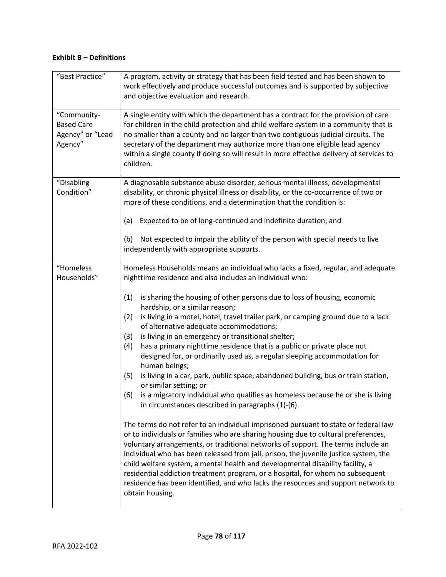# **Exhibit B – Definitions**

| "Best Practice"                                                 | A program, activity or strategy that has been field tested and has been shown to<br>work effectively and produce successful outcomes and is supported by subjective<br>and objective evaluation and research.                                                                                                                                                                                                                                                                                                                                                                                                                                                                                                                                                                                                                                                                                                                                                                                                                                                                                                                                                                                                                                                                                                                                                                                                                                                                                                                                                   |
|-----------------------------------------------------------------|-----------------------------------------------------------------------------------------------------------------------------------------------------------------------------------------------------------------------------------------------------------------------------------------------------------------------------------------------------------------------------------------------------------------------------------------------------------------------------------------------------------------------------------------------------------------------------------------------------------------------------------------------------------------------------------------------------------------------------------------------------------------------------------------------------------------------------------------------------------------------------------------------------------------------------------------------------------------------------------------------------------------------------------------------------------------------------------------------------------------------------------------------------------------------------------------------------------------------------------------------------------------------------------------------------------------------------------------------------------------------------------------------------------------------------------------------------------------------------------------------------------------------------------------------------------------|
| "Community-<br><b>Based Care</b><br>Agency" or "Lead<br>Agency" | A single entity with which the department has a contract for the provision of care<br>for children in the child protection and child welfare system in a community that is<br>no smaller than a county and no larger than two contiguous judicial circuits. The<br>secretary of the department may authorize more than one eligible lead agency<br>within a single county if doing so will result in more effective delivery of services to<br>children.                                                                                                                                                                                                                                                                                                                                                                                                                                                                                                                                                                                                                                                                                                                                                                                                                                                                                                                                                                                                                                                                                                        |
| "Disabling<br>Condition"                                        | A diagnosable substance abuse disorder, serious mental illness, developmental<br>disability, or chronic physical illness or disability, or the co-occurrence of two or<br>more of these conditions, and a determination that the condition is:<br>Expected to be of long-continued and indefinite duration; and<br>(a)<br>(b)<br>Not expected to impair the ability of the person with special needs to live<br>independently with appropriate supports.                                                                                                                                                                                                                                                                                                                                                                                                                                                                                                                                                                                                                                                                                                                                                                                                                                                                                                                                                                                                                                                                                                        |
| "Homeless<br>Households"                                        | Homeless Households means an individual who lacks a fixed, regular, and adequate<br>nighttime residence and also includes an individual who:<br>is sharing the housing of other persons due to loss of housing, economic<br>(1)<br>hardship, or a similar reason;<br>(2)<br>is living in a motel, hotel, travel trailer park, or camping ground due to a lack<br>of alternative adequate accommodations;<br>(3)<br>is living in an emergency or transitional shelter;<br>has a primary nighttime residence that is a public or private place not<br>(4)<br>designed for, or ordinarily used as, a regular sleeping accommodation for<br>human beings;<br>is living in a car, park, public space, abandoned building, bus or train station,<br>(5)<br>or similar setting; or<br>is a migratory individual who qualifies as homeless because he or she is living<br>(6)<br>in circumstances described in paragraphs (1)-(6).<br>The terms do not refer to an individual imprisoned pursuant to state or federal law<br>or to individuals or families who are sharing housing due to cultural preferences,<br>voluntary arrangements, or traditional networks of support. The terms include an<br>individual who has been released from jail, prison, the juvenile justice system, the<br>child welfare system, a mental health and developmental disability facility, a<br>residential addiction treatment program, or a hospital, for whom no subsequent<br>residence has been identified, and who lacks the resources and support network to<br>obtain housing. |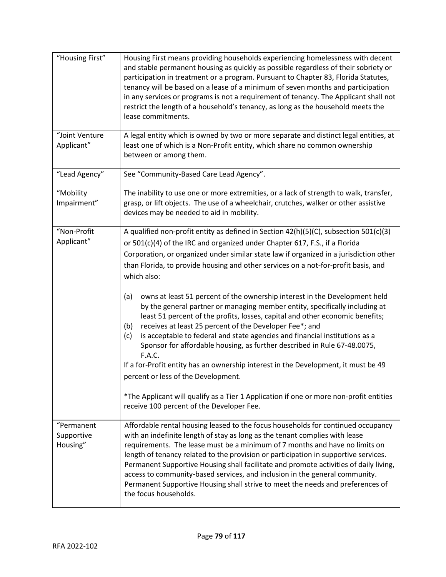| "Housing First"                      | Housing First means providing households experiencing homelessness with decent<br>and stable permanent housing as quickly as possible regardless of their sobriety or<br>participation in treatment or a program. Pursuant to Chapter 83, Florida Statutes,<br>tenancy will be based on a lease of a minimum of seven months and participation<br>in any services or programs is not a requirement of tenancy. The Applicant shall not<br>restrict the length of a household's tenancy, as long as the household meets the<br>lease commitments.                                                                                                                                                                                                                                                                                                                                                                                                                                                                                                                                                                                           |  |  |  |  |  |
|--------------------------------------|--------------------------------------------------------------------------------------------------------------------------------------------------------------------------------------------------------------------------------------------------------------------------------------------------------------------------------------------------------------------------------------------------------------------------------------------------------------------------------------------------------------------------------------------------------------------------------------------------------------------------------------------------------------------------------------------------------------------------------------------------------------------------------------------------------------------------------------------------------------------------------------------------------------------------------------------------------------------------------------------------------------------------------------------------------------------------------------------------------------------------------------------|--|--|--|--|--|
| "Joint Venture<br>Applicant"         | A legal entity which is owned by two or more separate and distinct legal entities, at<br>least one of which is a Non-Profit entity, which share no common ownership<br>between or among them.                                                                                                                                                                                                                                                                                                                                                                                                                                                                                                                                                                                                                                                                                                                                                                                                                                                                                                                                              |  |  |  |  |  |
| "Lead Agency"                        | See "Community-Based Care Lead Agency".                                                                                                                                                                                                                                                                                                                                                                                                                                                                                                                                                                                                                                                                                                                                                                                                                                                                                                                                                                                                                                                                                                    |  |  |  |  |  |
| "Mobility<br>Impairment"             | The inability to use one or more extremities, or a lack of strength to walk, transfer,<br>grasp, or lift objects. The use of a wheelchair, crutches, walker or other assistive<br>devices may be needed to aid in mobility.                                                                                                                                                                                                                                                                                                                                                                                                                                                                                                                                                                                                                                                                                                                                                                                                                                                                                                                |  |  |  |  |  |
| "Non-Profit<br>Applicant"            | A qualified non-profit entity as defined in Section 42(h)(5)(C), subsection 501(c)(3)<br>or 501(c)(4) of the IRC and organized under Chapter 617, F.S., if a Florida<br>Corporation, or organized under similar state law if organized in a jurisdiction other<br>than Florida, to provide housing and other services on a not-for-profit basis, and<br>which also:<br>(a)<br>owns at least 51 percent of the ownership interest in the Development held<br>by the general partner or managing member entity, specifically including at<br>least 51 percent of the profits, losses, capital and other economic benefits;<br>receives at least 25 percent of the Developer Fee*; and<br>(b)<br>is acceptable to federal and state agencies and financial institutions as a<br>(c)<br>Sponsor for affordable housing, as further described in Rule 67-48.0075,<br>F.A.C.<br>If a for-Profit entity has an ownership interest in the Development, it must be 49<br>percent or less of the Development.<br>*The Applicant will qualify as a Tier 1 Application if one or more non-profit entities<br>receive 100 percent of the Developer Fee. |  |  |  |  |  |
| "Permanent<br>Supportive<br>Housing" | Affordable rental housing leased to the focus households for continued occupancy<br>with an indefinite length of stay as long as the tenant complies with lease<br>requirements. The lease must be a minimum of 7 months and have no limits on<br>length of tenancy related to the provision or participation in supportive services.<br>Permanent Supportive Housing shall facilitate and promote activities of daily living,<br>access to community-based services, and inclusion in the general community.<br>Permanent Supportive Housing shall strive to meet the needs and preferences of<br>the focus households.                                                                                                                                                                                                                                                                                                                                                                                                                                                                                                                   |  |  |  |  |  |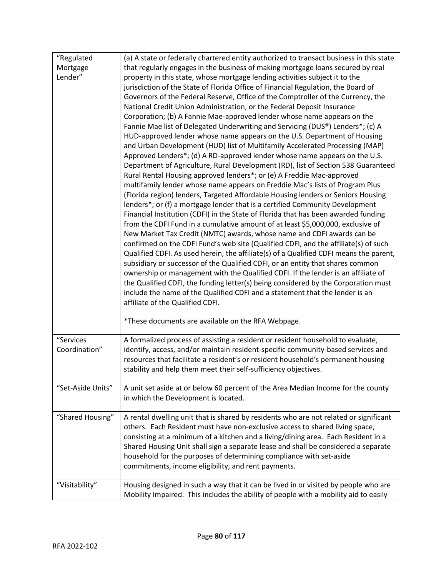| "Regulated        | (a) A state or federally chartered entity authorized to transact business in this state                                  |  |  |  |  |  |  |
|-------------------|--------------------------------------------------------------------------------------------------------------------------|--|--|--|--|--|--|
| Mortgage          | that regularly engages in the business of making mortgage loans secured by real                                          |  |  |  |  |  |  |
| Lender"           | property in this state, whose mortgage lending activities subject it to the                                              |  |  |  |  |  |  |
|                   | jurisdiction of the State of Florida Office of Financial Regulation, the Board of                                        |  |  |  |  |  |  |
|                   | Governors of the Federal Reserve, Office of the Comptroller of the Currency, the                                         |  |  |  |  |  |  |
|                   | National Credit Union Administration, or the Federal Deposit Insurance                                                   |  |  |  |  |  |  |
|                   | Corporation; (b) A Fannie Mae-approved lender whose name appears on the                                                  |  |  |  |  |  |  |
|                   | Fannie Mae list of Delegated Underwriting and Servicing (DUS®) Lenders*; (c) A                                           |  |  |  |  |  |  |
|                   | HUD-approved lender whose name appears on the U.S. Department of Housing                                                 |  |  |  |  |  |  |
|                   | and Urban Development (HUD) list of Multifamily Accelerated Processing (MAP)                                             |  |  |  |  |  |  |
|                   | Approved Lenders*; (d) A RD-approved lender whose name appears on the U.S.                                               |  |  |  |  |  |  |
|                   | Department of Agriculture, Rural Development (RD), list of Section 538 Guaranteed                                        |  |  |  |  |  |  |
|                   | Rural Rental Housing approved lenders*; or (e) A Freddie Mac-approved                                                    |  |  |  |  |  |  |
|                   | multifamily lender whose name appears on Freddie Mac's lists of Program Plus                                             |  |  |  |  |  |  |
|                   | (Florida region) lenders, Targeted Affordable Housing lenders or Seniors Housing                                         |  |  |  |  |  |  |
|                   | lenders*; or (f) a mortgage lender that is a certified Community Development                                             |  |  |  |  |  |  |
|                   | Financial Institution (CDFI) in the State of Florida that has been awarded funding                                       |  |  |  |  |  |  |
|                   | from the CDFI Fund in a cumulative amount of at least \$5,000,000, exclusive of                                          |  |  |  |  |  |  |
|                   | New Market Tax Credit (NMTC) awards, whose name and CDFI awards can be                                                   |  |  |  |  |  |  |
|                   | confirmed on the CDFI Fund's web site (Qualified CDFI, and the affiliate(s) of such                                      |  |  |  |  |  |  |
|                   | Qualified CDFI. As used herein, the affiliate(s) of a Qualified CDFI means the parent,                                   |  |  |  |  |  |  |
|                   | subsidiary or successor of the Qualified CDFI, or an entity that shares common                                           |  |  |  |  |  |  |
|                   | ownership or management with the Qualified CDFI. If the lender is an affiliate of                                        |  |  |  |  |  |  |
|                   | the Qualified CDFI, the funding letter(s) being considered by the Corporation must                                       |  |  |  |  |  |  |
|                   | include the name of the Qualified CDFI and a statement that the lender is an                                             |  |  |  |  |  |  |
|                   | affiliate of the Qualified CDFI.                                                                                         |  |  |  |  |  |  |
|                   | *These documents are available on the RFA Webpage.                                                                       |  |  |  |  |  |  |
|                   |                                                                                                                          |  |  |  |  |  |  |
| "Services         | A formalized process of assisting a resident or resident household to evaluate,                                          |  |  |  |  |  |  |
| Coordination"     | identify, access, and/or maintain resident-specific community-based services and                                         |  |  |  |  |  |  |
|                   | resources that facilitate a resident's or resident household's permanent housing                                         |  |  |  |  |  |  |
|                   | stability and help them meet their self-sufficiency objectives.                                                          |  |  |  |  |  |  |
| "Set-Aside Units" |                                                                                                                          |  |  |  |  |  |  |
|                   | A unit set aside at or below 60 percent of the Area Median Income for the county<br>in which the Development is located. |  |  |  |  |  |  |
|                   |                                                                                                                          |  |  |  |  |  |  |
| "Shared Housing"  | A rental dwelling unit that is shared by residents who are not related or significant                                    |  |  |  |  |  |  |
|                   | others. Each Resident must have non-exclusive access to shared living space,                                             |  |  |  |  |  |  |
|                   | consisting at a minimum of a kitchen and a living/dining area. Each Resident in a                                        |  |  |  |  |  |  |
|                   | Shared Housing Unit shall sign a separate lease and shall be considered a separate                                       |  |  |  |  |  |  |
|                   | household for the purposes of determining compliance with set-aside                                                      |  |  |  |  |  |  |
|                   | commitments, income eligibility, and rent payments.                                                                      |  |  |  |  |  |  |
| "Visitability"    | Housing designed in such a way that it can be lived in or visited by people who are                                      |  |  |  |  |  |  |
|                   | Mobility Impaired. This includes the ability of people with a mobility aid to easily                                     |  |  |  |  |  |  |
|                   |                                                                                                                          |  |  |  |  |  |  |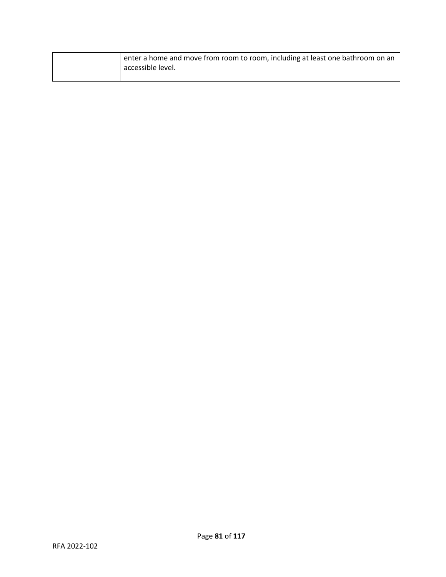| enter a home and move from room to room, including at least one bathroom on an<br>accessible level. |
|-----------------------------------------------------------------------------------------------------|
|                                                                                                     |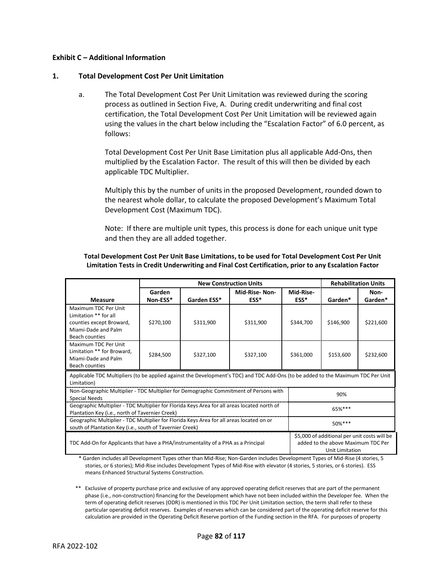## **Exhibit C – Additional Information**

## **1. Total Development Cost Per Unit Limitation**

a. The Total Development Cost Per Unit Limitation was reviewed during the scoring process as outlined in Section Five, A. During credit underwriting and final cost certification, the Total Development Cost Per Unit Limitation will be reviewed again using the values in the chart below including the "Escalation Factor" of 6.0 percent, as follows:

Total Development Cost Per Unit Base Limitation plus all applicable Add-Ons, then multiplied by the Escalation Factor. The result of this will then be divided by each applicable TDC Multiplier.

Multiply this by the number of units in the proposed Development, rounded down to the nearest whole dollar, to calculate the proposed Development's Maximum Total Development Cost (Maximum TDC).

Note: If there are multiple unit types, this process is done for each unique unit type and then they are all added together.

## **Total Development Cost Per Unit Base Limitations, to be used for Total Development Cost Per Unit Limitation Tests in Credit Underwriting and Final Cost Certification, prior to any Escalation Factor**

|                                                                                                                                                  | <b>New Construction Units</b> |             |               |                                                                                                              | <b>Rehabilitation Units</b> |           |
|--------------------------------------------------------------------------------------------------------------------------------------------------|-------------------------------|-------------|---------------|--------------------------------------------------------------------------------------------------------------|-----------------------------|-----------|
|                                                                                                                                                  | Garden                        |             | Mid-Rise-Non- | Mid-Rise-                                                                                                    |                             | Non-      |
| <b>Measure</b>                                                                                                                                   | Non-ESS*                      | Garden ESS* | ESS*          | ESS*                                                                                                         | Garden*                     | Garden*   |
| Maximum TDC Per Unit                                                                                                                             |                               |             |               |                                                                                                              |                             |           |
| Limitation ** for all                                                                                                                            |                               |             |               |                                                                                                              |                             |           |
| counties except Broward,                                                                                                                         | \$270,100                     | \$311,900   | \$311,900     | \$344,700                                                                                                    | \$146,900                   | \$221,600 |
| Miami-Dade and Palm                                                                                                                              |                               |             |               |                                                                                                              |                             |           |
| <b>Beach counties</b>                                                                                                                            |                               |             |               |                                                                                                              |                             |           |
| Maximum TDC Per Unit                                                                                                                             |                               |             |               |                                                                                                              |                             |           |
| Limitation ** for Broward,                                                                                                                       | \$284,500                     | \$327,100   | \$327,100     | \$361,000                                                                                                    | \$153,600                   | \$232,600 |
| Miami-Dade and Palm                                                                                                                              |                               |             |               |                                                                                                              |                             |           |
| Beach counties                                                                                                                                   |                               |             |               |                                                                                                              |                             |           |
| Applicable TDC Multipliers (to be applied against the Development's TDC) and TDC Add-Ons (to be added to the Maximum TDC Per Unit<br>Limitation) |                               |             |               |                                                                                                              |                             |           |
| Non-Geographic Multiplier - TDC Multiplier for Demographic Commitment of Persons with                                                            |                               |             |               |                                                                                                              |                             |           |
| 90%<br><b>Special Needs</b>                                                                                                                      |                               |             |               |                                                                                                              |                             |           |
| Geographic Multiplier - TDC Multiplier for Florida Keys Area for all areas located north of                                                      |                               |             |               |                                                                                                              | 65%***                      |           |
| Plantation Key (i.e., north of Tavernier Creek)                                                                                                  |                               |             |               |                                                                                                              |                             |           |
| Geographic Multiplier - TDC Multiplier for Florida Keys Area for all areas located on or                                                         |                               |             |               | 50%***                                                                                                       |                             |           |
| south of Plantation Key (i.e., south of Tavernier Creek)                                                                                         |                               |             |               |                                                                                                              |                             |           |
| TDC Add-On for Applicants that have a PHA/instrumentality of a PHA as a Principal                                                                |                               |             |               | \$5,000 of additional per unit costs will be<br>added to the above Maximum TDC Per<br><b>Unit Limitation</b> |                             |           |
| * Caudan bedicales all Decedenment Times ethnicken Mid Disc. New Caudan bedicate Decedenment Times of Mid Disc (Antonical F                      |                               |             |               |                                                                                                              |                             |           |

Garden includes all Development Types other than Mid-Rise; Non-Garden includes Development Types of Mid-Rise (4 stories, 5 stories, or 6 stories); Mid-Rise includes Development Types of Mid-Rise with elevator (4 stories, 5 stories, or 6 stories). ESS means Enhanced Structural Systems Construction.

\*\* Exclusive of property purchase price and exclusive of any approved operating deficit reserves that are part of the permanent phase (i.e., non-construction) financing for the Development which have not been included within the Developer fee. When the term of operating deficit reserves (ODR) is mentioned in this TDC Per Unit Limitation section, the term shall refer to these particular operating deficit reserves. Examples of reserves which can be considered part of the operating deficit reserve for this calculation are provided in the Operating Deficit Reserve portion of the Funding section in the RFA. For purposes of property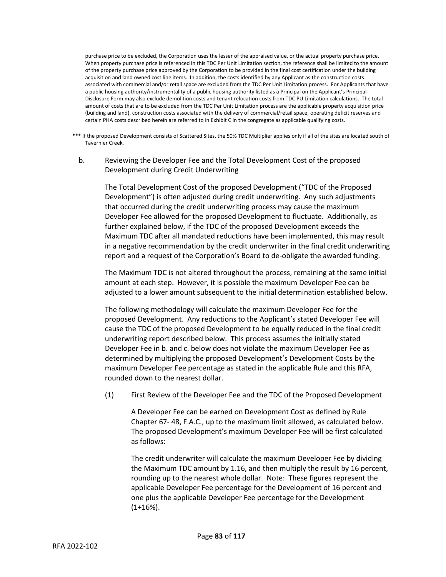purchase price to be excluded, the Corporation uses the lesser of the appraised value, or the actual property purchase price. When property purchase price is referenced in this TDC Per Unit Limitation section, the reference shall be limited to the amount of the property purchase price approved by the Corporation to be provided in the final cost certification under the building acquisition and land owned cost line items. In addition, the costs identified by any Applicant as the construction costs associated with commercial and/or retail space are excluded from the TDC Per Unit Limitation process. For Applicants that have a public housing authority/instrumentality of a public housing authority listed as a Principal on the Applicant's Principal Disclosure Form may also exclude demolition costs and tenant relocation costs from TDC PU Limitation calculations. The total amount of costs that are to be excluded from the TDC Per Unit Limitation process are the applicable property acquisition price (building and land), construction costs associated with the delivery of commercial/retail space, operating deficit reserves and certain PHA costs described herein are referred to in Exhibit C in the congregate as applicable qualifying costs.

- \*\*\* If the proposed Development consists of Scattered Sites, the 50% TDC Multiplier applies only if all of the sites are located south of Tavernier Creek.
	- b. Reviewing the Developer Fee and the Total Development Cost of the proposed Development during Credit Underwriting

The Total Development Cost of the proposed Development ("TDC of the Proposed Development") is often adjusted during credit underwriting. Any such adjustments that occurred during the credit underwriting process may cause the maximum Developer Fee allowed for the proposed Development to fluctuate. Additionally, as further explained below, if the TDC of the proposed Development exceeds the Maximum TDC after all mandated reductions have been implemented, this may result in a negative recommendation by the credit underwriter in the final credit underwriting report and a request of the Corporation's Board to de-obligate the awarded funding.

The Maximum TDC is not altered throughout the process, remaining at the same initial amount at each step. However, it is possible the maximum Developer Fee can be adjusted to a lower amount subsequent to the initial determination established below.

The following methodology will calculate the maximum Developer Fee for the proposed Development. Any reductions to the Applicant's stated Developer Fee will cause the TDC of the proposed Development to be equally reduced in the final credit underwriting report described below. This process assumes the initially stated Developer Fee in b. and c. below does not violate the maximum Developer Fee as determined by multiplying the proposed Development's Development Costs by the maximum Developer Fee percentage as stated in the applicable Rule and this RFA, rounded down to the nearest dollar.

(1) First Review of the Developer Fee and the TDC of the Proposed Development

A Developer Fee can be earned on Development Cost as defined by Rule Chapter 67- 48, F.A.C., up to the maximum limit allowed, as calculated below. The proposed Development's maximum Developer Fee will be first calculated as follows:

The credit underwriter will calculate the maximum Developer Fee by dividing the Maximum TDC amount by 1.16, and then multiply the result by 16 percent, rounding up to the nearest whole dollar. Note: These figures represent the applicable Developer Fee percentage for the Development of 16 percent and one plus the applicable Developer Fee percentage for the Development  $(1+16%)$ .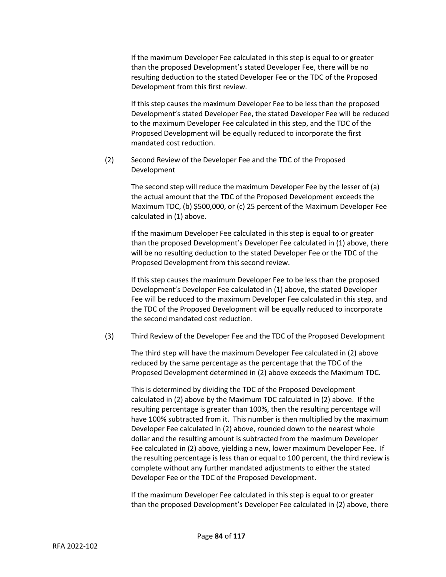If the maximum Developer Fee calculated in this step is equal to or greater than the proposed Development's stated Developer Fee, there will be no resulting deduction to the stated Developer Fee or the TDC of the Proposed Development from this first review.

If this step causes the maximum Developer Fee to be less than the proposed Development's stated Developer Fee, the stated Developer Fee will be reduced to the maximum Developer Fee calculated in this step, and the TDC of the Proposed Development will be equally reduced to incorporate the first mandated cost reduction.

(2) Second Review of the Developer Fee and the TDC of the Proposed Development

> The second step will reduce the maximum Developer Fee by the lesser of (a) the actual amount that the TDC of the Proposed Development exceeds the Maximum TDC, (b) \$500,000, or (c) 25 percent of the Maximum Developer Fee calculated in (1) above.

> If the maximum Developer Fee calculated in this step is equal to or greater than the proposed Development's Developer Fee calculated in (1) above, there will be no resulting deduction to the stated Developer Fee or the TDC of the Proposed Development from this second review.

> If this step causes the maximum Developer Fee to be less than the proposed Development's Developer Fee calculated in (1) above, the stated Developer Fee will be reduced to the maximum Developer Fee calculated in this step, and the TDC of the Proposed Development will be equally reduced to incorporate the second mandated cost reduction.

(3) Third Review of the Developer Fee and the TDC of the Proposed Development

The third step will have the maximum Developer Fee calculated in (2) above reduced by the same percentage as the percentage that the TDC of the Proposed Development determined in (2) above exceeds the Maximum TDC.

This is determined by dividing the TDC of the Proposed Development calculated in (2) above by the Maximum TDC calculated in (2) above. If the resulting percentage is greater than 100%, then the resulting percentage will have 100% subtracted from it. This number is then multiplied by the maximum Developer Fee calculated in (2) above, rounded down to the nearest whole dollar and the resulting amount is subtracted from the maximum Developer Fee calculated in (2) above, yielding a new, lower maximum Developer Fee. If the resulting percentage is less than or equal to 100 percent, the third review is complete without any further mandated adjustments to either the stated Developer Fee or the TDC of the Proposed Development.

If the maximum Developer Fee calculated in this step is equal to or greater than the proposed Development's Developer Fee calculated in (2) above, there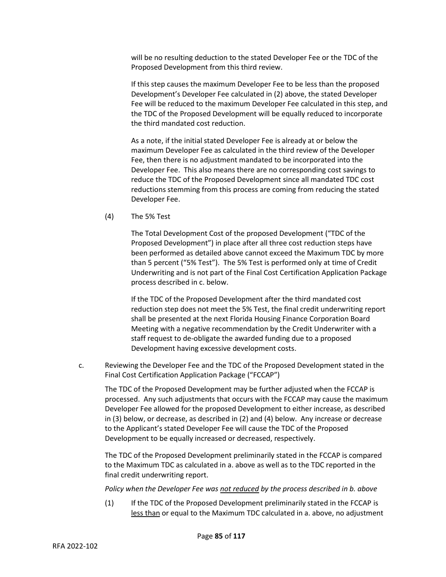will be no resulting deduction to the stated Developer Fee or the TDC of the Proposed Development from this third review.

If this step causes the maximum Developer Fee to be less than the proposed Development's Developer Fee calculated in (2) above, the stated Developer Fee will be reduced to the maximum Developer Fee calculated in this step, and the TDC of the Proposed Development will be equally reduced to incorporate the third mandated cost reduction.

As a note, if the initial stated Developer Fee is already at or below the maximum Developer Fee as calculated in the third review of the Developer Fee, then there is no adjustment mandated to be incorporated into the Developer Fee. This also means there are no corresponding cost savings to reduce the TDC of the Proposed Development since all mandated TDC cost reductions stemming from this process are coming from reducing the stated Developer Fee.

(4) The 5% Test

The Total Development Cost of the proposed Development ("TDC of the Proposed Development") in place after all three cost reduction steps have been performed as detailed above cannot exceed the Maximum TDC by more than 5 percent ("5% Test"). The 5% Test is performed only at time of Credit Underwriting and is not part of the Final Cost Certification Application Package process described in c. below.

If the TDC of the Proposed Development after the third mandated cost reduction step does not meet the 5% Test, the final credit underwriting report shall be presented at the next Florida Housing Finance Corporation Board Meeting with a negative recommendation by the Credit Underwriter with a staff request to de-obligate the awarded funding due to a proposed Development having excessive development costs.

c. Reviewing the Developer Fee and the TDC of the Proposed Development stated in the Final Cost Certification Application Package ("FCCAP")

The TDC of the Proposed Development may be further adjusted when the FCCAP is processed. Any such adjustments that occurs with the FCCAP may cause the maximum Developer Fee allowed for the proposed Development to either increase, as described in (3) below, or decrease, as described in (2) and (4) below. Any increase or decrease to the Applicant's stated Developer Fee will cause the TDC of the Proposed Development to be equally increased or decreased, respectively.

The TDC of the Proposed Development preliminarily stated in the FCCAP is compared to the Maximum TDC as calculated in a. above as well as to the TDC reported in the final credit underwriting report.

*Policy when the Developer Fee was not reduced by the process described in b. above*

(1) If the TDC of the Proposed Development preliminarily stated in the FCCAP is less than or equal to the Maximum TDC calculated in a. above, no adjustment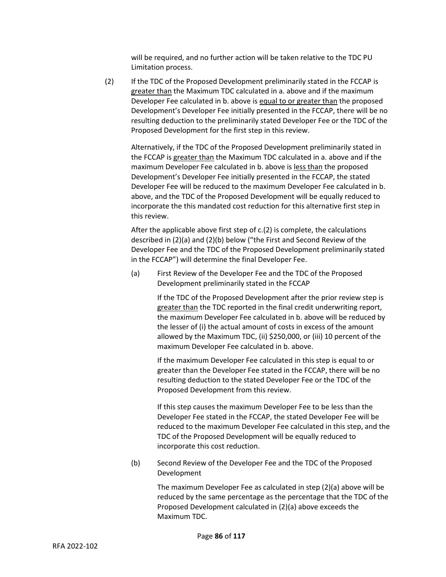will be required, and no further action will be taken relative to the TDC PU Limitation process.

(2) If the TDC of the Proposed Development preliminarily stated in the FCCAP is greater than the Maximum TDC calculated in a. above and if the maximum Developer Fee calculated in b. above is equal to or greater than the proposed Development's Developer Fee initially presented in the FCCAP, there will be no resulting deduction to the preliminarily stated Developer Fee or the TDC of the Proposed Development for the first step in this review.

Alternatively, if the TDC of the Proposed Development preliminarily stated in the FCCAP is greater than the Maximum TDC calculated in a. above and if the maximum Developer Fee calculated in b. above is less than the proposed Development's Developer Fee initially presented in the FCCAP, the stated Developer Fee will be reduced to the maximum Developer Fee calculated in b. above, and the TDC of the Proposed Development will be equally reduced to incorporate the this mandated cost reduction for this alternative first step in this review.

After the applicable above first step of c.(2) is complete, the calculations described in (2)(a) and (2)(b) below ("the First and Second Review of the Developer Fee and the TDC of the Proposed Development preliminarily stated in the FCCAP") will determine the final Developer Fee.

(a) First Review of the Developer Fee and the TDC of the Proposed Development preliminarily stated in the FCCAP

> If the TDC of the Proposed Development after the prior review step is greater than the TDC reported in the final credit underwriting report, the maximum Developer Fee calculated in b. above will be reduced by the lesser of (i) the actual amount of costs in excess of the amount allowed by the Maximum TDC, (ii) \$250,000, or (iii) 10 percent of the maximum Developer Fee calculated in b. above.

If the maximum Developer Fee calculated in this step is equal to or greater than the Developer Fee stated in the FCCAP, there will be no resulting deduction to the stated Developer Fee or the TDC of the Proposed Development from this review.

If this step causes the maximum Developer Fee to be less than the Developer Fee stated in the FCCAP, the stated Developer Fee will be reduced to the maximum Developer Fee calculated in this step, and the TDC of the Proposed Development will be equally reduced to incorporate this cost reduction.

(b) Second Review of the Developer Fee and the TDC of the Proposed Development

> The maximum Developer Fee as calculated in step (2)(a) above will be reduced by the same percentage as the percentage that the TDC of the Proposed Development calculated in (2)(a) above exceeds the Maximum TDC.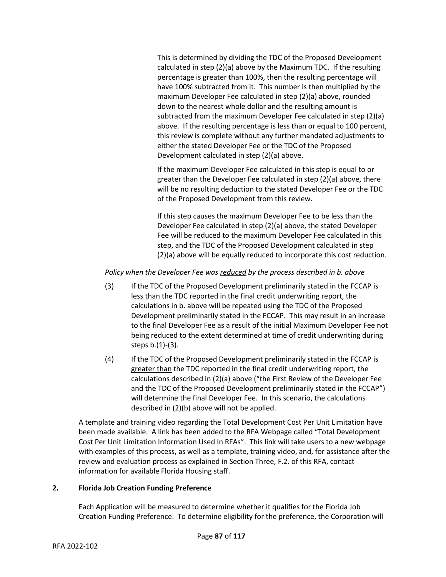This is determined by dividing the TDC of the Proposed Development calculated in step (2)(a) above by the Maximum TDC. If the resulting percentage is greater than 100%, then the resulting percentage will have 100% subtracted from it. This number is then multiplied by the maximum Developer Fee calculated in step (2)(a) above, rounded down to the nearest whole dollar and the resulting amount is subtracted from the maximum Developer Fee calculated in step (2)(a) above. If the resulting percentage is less than or equal to 100 percent, this review is complete without any further mandated adjustments to either the stated Developer Fee or the TDC of the Proposed Development calculated in step (2)(a) above.

If the maximum Developer Fee calculated in this step is equal to or greater than the Developer Fee calculated in step (2)(a) above, there will be no resulting deduction to the stated Developer Fee or the TDC of the Proposed Development from this review.

If this step causes the maximum Developer Fee to be less than the Developer Fee calculated in step (2)(a) above, the stated Developer Fee will be reduced to the maximum Developer Fee calculated in this step, and the TDC of the Proposed Development calculated in step (2)(a) above will be equally reduced to incorporate this cost reduction.

*Policy when the Developer Fee was reduced by the process described in b. above*

- (3) If the TDC of the Proposed Development preliminarily stated in the FCCAP is less than the TDC reported in the final credit underwriting report, the calculations in b. above will be repeated using the TDC of the Proposed Development preliminarily stated in the FCCAP. This may result in an increase to the final Developer Fee as a result of the initial Maximum Developer Fee not being reduced to the extent determined at time of credit underwriting during steps b.(1)-(3).
- (4) If the TDC of the Proposed Development preliminarily stated in the FCCAP is greater than the TDC reported in the final credit underwriting report, the calculations described in (2)(a) above ("the First Review of the Developer Fee and the TDC of the Proposed Development preliminarily stated in the FCCAP") will determine the final Developer Fee. In this scenario, the calculations described in (2)(b) above will not be applied.

A template and training video regarding the Total Development Cost Per Unit Limitation have been made available. A link has been added to the RFA Webpage called "Total Development Cost Per Unit Limitation Information Used In RFAs". This link will take users to a new webpage with examples of this process, as well as a template, training video, and, for assistance after the review and evaluation process as explained in Section Three, F.2. of this RFA, contact information for available Florida Housing staff.

## **2. Florida Job Creation Funding Preference**

Each Application will be measured to determine whether it qualifies for the Florida Job Creation Funding Preference. To determine eligibility for the preference, the Corporation will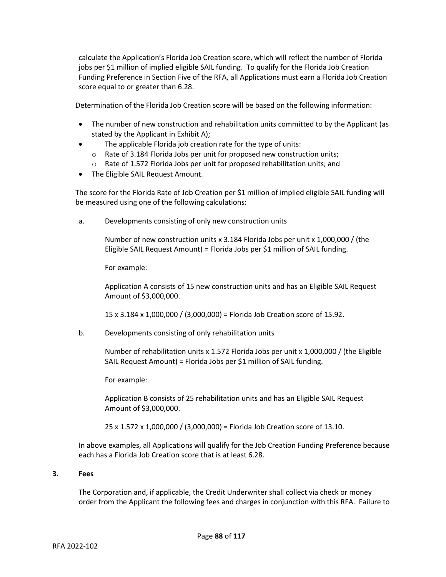calculate the Application's Florida Job Creation score, which will reflect the number of Florida jobs per \$1 million of implied eligible SAIL funding. To qualify for the Florida Job Creation Funding Preference in Section Five of the RFA, all Applications must earn a Florida Job Creation score equal to or greater than 6.28.

Determination of the Florida Job Creation score will be based on the following information:

- The number of new construction and rehabilitation units committed to by the Applicant (as stated by the Applicant in Exhibit A);
- The applicable Florida job creation rate for the type of units:
	- o Rate of 3.184 Florida Jobs per unit for proposed new construction units;
	- o Rate of 1.572 Florida Jobs per unit for proposed rehabilitation units; and
- The Eligible SAIL Request Amount.

The score for the Florida Rate of Job Creation per \$1 million of implied eligible SAIL funding will be measured using one of the following calculations:

a. Developments consisting of only new construction units

Number of new construction units x 3.184 Florida Jobs per unit x 1,000,000 / (the Eligible SAIL Request Amount) = Florida Jobs per \$1 million of SAIL funding.

For example:

Application A consists of 15 new construction units and has an Eligible SAIL Request Amount of \$3,000,000.

15 x 3.184 x 1,000,000 / (3,000,000) = Florida Job Creation score of 15.92.

b. Developments consisting of only rehabilitation units

Number of rehabilitation units x 1.572 Florida Jobs per unit x 1,000,000 / (the Eligible SAIL Request Amount) = Florida Jobs per \$1 million of SAIL funding.

For example:

Application B consists of 25 rehabilitation units and has an Eligible SAIL Request Amount of \$3,000,000.

25 x 1.572 x 1,000,000 / (3,000,000) = Florida Job Creation score of 13.10.

In above examples, all Applications will qualify for the Job Creation Funding Preference because each has a Florida Job Creation score that is at least 6.28.

## **3. Fees**

The Corporation and, if applicable, the Credit Underwriter shall collect via check or money order from the Applicant the following fees and charges in conjunction with this RFA. Failure to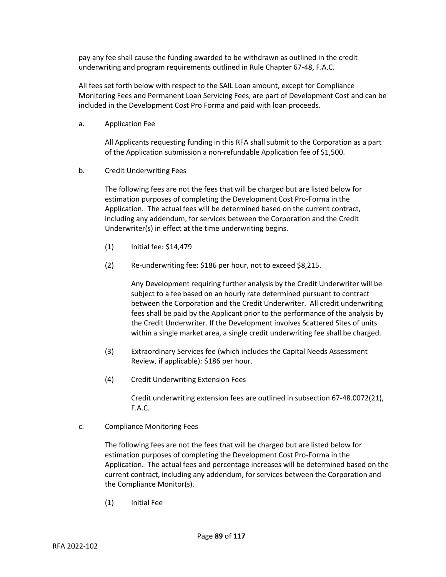pay any fee shall cause the funding awarded to be withdrawn as outlined in the credit underwriting and program requirements outlined in Rule Chapter 67-48, F.A.C.

All fees set forth below with respect to the SAIL Loan amount, except for Compliance Monitoring Fees and Permanent Loan Servicing Fees, are part of Development Cost and can be included in the Development Cost Pro Forma and paid with loan proceeds.

a. Application Fee

All Applicants requesting funding in this RFA shall submit to the Corporation as a part of the Application submission a non-refundable Application fee of \$1,500.

b. Credit Underwriting Fees

The following fees are not the fees that will be charged but are listed below for estimation purposes of completing the Development Cost Pro-Forma in the Application. The actual fees will be determined based on the current contract, including any addendum, for services between the Corporation and the Credit Underwriter(s) in effect at the time underwriting begins.

- (1) Initial fee: \$14,479
- (2) Re-underwriting fee: \$186 per hour, not to exceed \$8,215.

Any Development requiring further analysis by the Credit Underwriter will be subject to a fee based on an hourly rate determined pursuant to contract between the Corporation and the Credit Underwriter. All credit underwriting fees shall be paid by the Applicant prior to the performance of the analysis by the Credit Underwriter. If the Development involves Scattered Sites of units within a single market area, a single credit underwriting fee shall be charged.

- (3) Extraordinary Services fee (which includes the Capital Needs Assessment Review, if applicable): \$186 per hour.
- (4) Credit Underwriting Extension Fees

Credit underwriting extension fees are outlined in subsection 67-48.0072(21), F.A.C.

c. Compliance Monitoring Fees

The following fees are not the fees that will be charged but are listed below for estimation purposes of completing the Development Cost Pro-Forma in the Application. The actual fees and percentage increases will be determined based on the current contract, including any addendum, for services between the Corporation and the Compliance Monitor(s).

(1) Initial Fee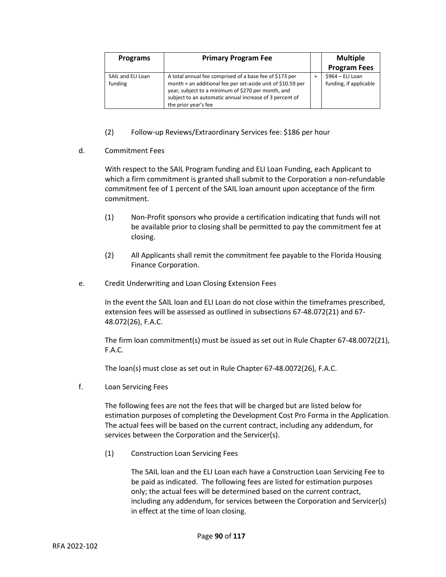| <b>Programs</b>              | <b>Primary Program Fee</b>                                                                                                                                                                                                                                      | <b>Multiple</b>                            |
|------------------------------|-----------------------------------------------------------------------------------------------------------------------------------------------------------------------------------------------------------------------------------------------------------------|--------------------------------------------|
|                              |                                                                                                                                                                                                                                                                 | <b>Program Fees</b>                        |
| SAIL and ELI Loan<br>funding | A total annual fee comprised of a base fee of \$173 per<br>month + an additional fee per set-aside unit of \$10.59 per<br>year, subject to a minimum of \$270 per month, and<br>subject to an automatic annual increase of 3 percent of<br>the prior year's fee | \$964 - ELI Loan<br>funding, if applicable |

- (2) Follow-up Reviews/Extraordinary Services fee: \$186 per hour
- d. Commitment Fees

With respect to the SAIL Program funding and ELI Loan Funding, each Applicant to which a firm commitment is granted shall submit to the Corporation a non-refundable commitment fee of 1 percent of the SAIL loan amount upon acceptance of the firm commitment.

- (1) Non-Profit sponsors who provide a certification indicating that funds will not be available prior to closing shall be permitted to pay the commitment fee at closing.
- (2) All Applicants shall remit the commitment fee payable to the Florida Housing Finance Corporation.
- e. Credit Underwriting and Loan Closing Extension Fees

In the event the SAIL loan and ELI Loan do not close within the timeframes prescribed, extension fees will be assessed as outlined in subsections 67-48.072(21) and 67- 48.072(26), F.A.C.

The firm loan commitment(s) must be issued as set out in Rule Chapter 67-48.0072(21), F.A.C.

The loan(s) must close as set out in Rule Chapter 67-48.0072(26), F.A.C.

f. Loan Servicing Fees

The following fees are not the fees that will be charged but are listed below for estimation purposes of completing the Development Cost Pro Forma in the Application. The actual fees will be based on the current contract, including any addendum, for services between the Corporation and the Servicer(s).

(1) Construction Loan Servicing Fees

The SAIL loan and the ELI Loan each have a Construction Loan Servicing Fee to be paid as indicated. The following fees are listed for estimation purposes only; the actual fees will be determined based on the current contract, including any addendum, for services between the Corporation and Servicer(s) in effect at the time of loan closing.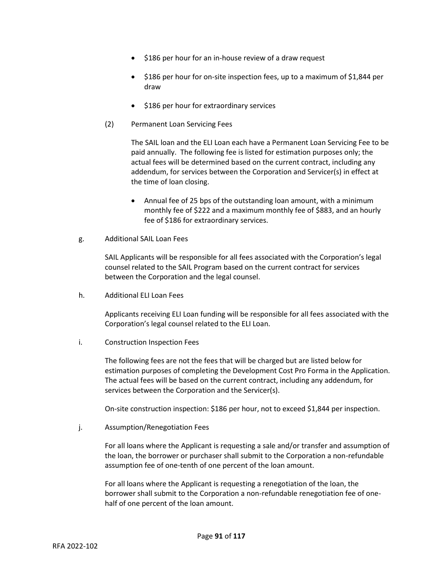- \$186 per hour for an in-house review of a draw request
- \$186 per hour for on-site inspection fees, up to a maximum of \$1,844 per draw
- \$186 per hour for extraordinary services
- (2) Permanent Loan Servicing Fees

The SAIL loan and the ELI Loan each have a Permanent Loan Servicing Fee to be paid annually. The following fee is listed for estimation purposes only; the actual fees will be determined based on the current contract, including any addendum, for services between the Corporation and Servicer(s) in effect at the time of loan closing.

- Annual fee of 25 bps of the outstanding loan amount, with a minimum monthly fee of \$222 and a maximum monthly fee of \$883, and an hourly fee of \$186 for extraordinary services.
- g. Additional SAIL Loan Fees

SAIL Applicants will be responsible for all fees associated with the Corporation's legal counsel related to the SAIL Program based on the current contract for services between the Corporation and the legal counsel.

h. Additional ELI Loan Fees

Applicants receiving ELI Loan funding will be responsible for all fees associated with the Corporation's legal counsel related to the ELI Loan.

i. Construction Inspection Fees

The following fees are not the fees that will be charged but are listed below for estimation purposes of completing the Development Cost Pro Forma in the Application. The actual fees will be based on the current contract, including any addendum, for services between the Corporation and the Servicer(s).

On-site construction inspection: \$186 per hour, not to exceed \$1,844 per inspection.

j. Assumption/Renegotiation Fees

For all loans where the Applicant is requesting a sale and/or transfer and assumption of the loan, the borrower or purchaser shall submit to the Corporation a non-refundable assumption fee of one-tenth of one percent of the loan amount.

For all loans where the Applicant is requesting a renegotiation of the loan, the borrower shall submit to the Corporation a non-refundable renegotiation fee of onehalf of one percent of the loan amount.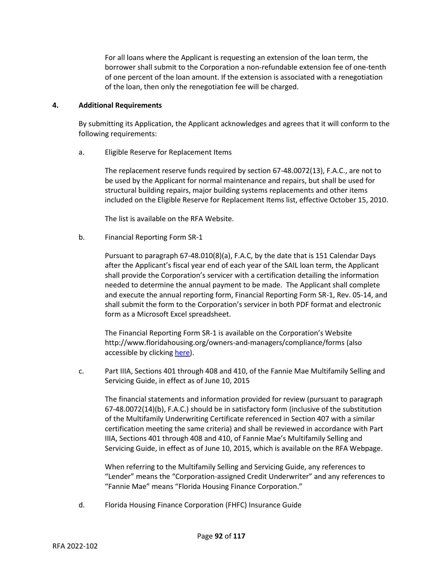For all loans where the Applicant is requesting an extension of the loan term, the borrower shall submit to the Corporation a non-refundable extension fee of one-tenth of one percent of the loan amount. If the extension is associated with a renegotiation of the loan, then only the renegotiation fee will be charged.

## **4. Additional Requirements**

By submitting its Application, the Applicant acknowledges and agrees that it will conform to the following requirements:

a. Eligible Reserve for Replacement Items

The replacement reserve funds required by section 67-48.0072(13), F.A.C., are not to be used by the Applicant for normal maintenance and repairs, but shall be used for structural building repairs, major building systems replacements and other items included on the Eligible Reserve for Replacement Items list, effective October 15, 2010.

The list is available on the RFA Website.

b. Financial Reporting Form SR-1

Pursuant to paragraph 67-48.010(8)(a), F.A.C, by the date that is 151 Calendar Days after the Applicant's fiscal year end of each year of the SAIL loan term, the Applicant shall provide the Corporation's servicer with a certification detailing the information needed to determine the annual payment to be made. The Applicant shall complete and execute the annual reporting form, Financial Reporting Form SR-1, Rev. 05-14, and shall submit the form to the Corporation's servicer in both PDF format and electronic form as a Microsoft Excel spreadsheet.

The Financial Reporting Form SR-1 is available on the Corporation's Website http://www.floridahousing.org/owners-and-managers/compliance/forms (also accessible by clicking [here\)](http://www.floridahousing.org/owners-and-managers/compliance/forms).

c. Part IIIA, Sections 401 through 408 and 410, of the Fannie Mae Multifamily Selling and Servicing Guide, in effect as of June 10, 2015

The financial statements and information provided for review (pursuant to paragraph 67-48.0072(14)(b), F.A.C.) should be in satisfactory form (inclusive of the substitution of the Multifamily Underwriting Certificate referenced in Section 407 with a similar certification meeting the same criteria) and shall be reviewed in accordance with Part IIIA, Sections 401 through 408 and 410, of Fannie Mae's Multifamily Selling and Servicing Guide, in effect as of June 10, 2015, which is available on the RFA Webpage.

When referring to the Multifamily Selling and Servicing Guide, any references to "Lender" means the "Corporation-assigned Credit Underwriter" and any references to "Fannie Mae" means "Florida Housing Finance Corporation."

d. Florida Housing Finance Corporation (FHFC) Insurance Guide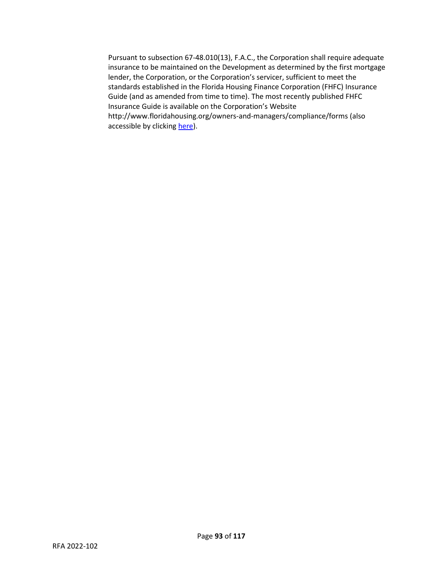Pursuant to subsection 67-48.010(13), F.A.C., the Corporation shall require adequate insurance to be maintained on the Development as determined by the first mortgage lender, the Corporation, or the Corporation's servicer, sufficient to meet the standards established in the Florida Housing Finance Corporation (FHFC) Insurance Guide (and as amended from time to time). The most recently published FHFC Insurance Guide is available on the Corporation's Website http://www.floridahousing.org/owners-and-managers/compliance/forms (also accessible by clickin[g here\)](http://www.floridahousing.org/owners-and-managers/compliance/forms).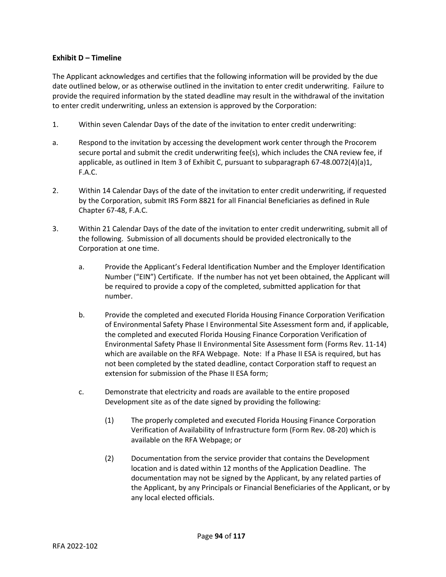# **Exhibit D – Timeline**

The Applicant acknowledges and certifies that the following information will be provided by the due date outlined below, or as otherwise outlined in the invitation to enter credit underwriting. Failure to provide the required information by the stated deadline may result in the withdrawal of the invitation to enter credit underwriting, unless an extension is approved by the Corporation:

- 1. Within seven Calendar Days of the date of the invitation to enter credit underwriting:
- a. Respond to the invitation by accessing the development work center through the Procorem secure portal and submit the credit underwriting fee(s), which includes the CNA review fee, if applicable, as outlined in Item 3 of Exhibit C, pursuant to subparagraph 67-48.0072(4)(a)1, F.A.C.
- 2. Within 14 Calendar Days of the date of the invitation to enter credit underwriting, if requested by the Corporation, submit IRS Form 8821 for all Financial Beneficiaries as defined in Rule Chapter 67-48, F.A.C.
- 3. Within 21 Calendar Days of the date of the invitation to enter credit underwriting, submit all of the following. Submission of all documents should be provided electronically to the Corporation at one time.
	- a. Provide the Applicant's Federal Identification Number and the Employer Identification Number ("EIN") Certificate. If the number has not yet been obtained, the Applicant will be required to provide a copy of the completed, submitted application for that number.
	- b. Provide the completed and executed Florida Housing Finance Corporation Verification of Environmental Safety Phase I Environmental Site Assessment form and, if applicable, the completed and executed Florida Housing Finance Corporation Verification of Environmental Safety Phase II Environmental Site Assessment form (Forms Rev. 11-14) which are available on the RFA Webpage. Note: If a Phase II ESA is required, but has not been completed by the stated deadline, contact Corporation staff to request an extension for submission of the Phase II ESA form;
	- c. Demonstrate that electricity and roads are available to the entire proposed Development site as of the date signed by providing the following:
		- (1) The properly completed and executed Florida Housing Finance Corporation Verification of Availability of Infrastructure form (Form Rev. 08-20) which is available on the RFA Webpage; or
		- (2) Documentation from the service provider that contains the Development location and is dated within 12 months of the Application Deadline. The documentation may not be signed by the Applicant, by any related parties of the Applicant, by any Principals or Financial Beneficiaries of the Applicant, or by any local elected officials.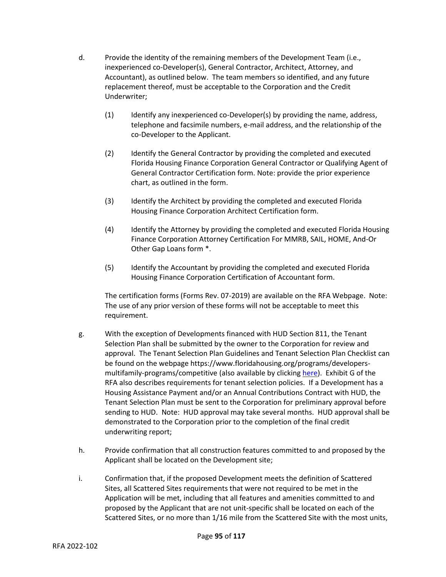- d. Provide the identity of the remaining members of the Development Team (i.e., inexperienced co-Developer(s), General Contractor, Architect, Attorney, and Accountant), as outlined below. The team members so identified, and any future replacement thereof, must be acceptable to the Corporation and the Credit Underwriter;
	- (1) Identify any inexperienced co-Developer(s) by providing the name, address, telephone and facsimile numbers, e-mail address, and the relationship of the co-Developer to the Applicant.
	- (2) Identify the General Contractor by providing the completed and executed Florida Housing Finance Corporation General Contractor or Qualifying Agent of General Contractor Certification form. Note: provide the prior experience chart, as outlined in the form.
	- (3) Identify the Architect by providing the completed and executed Florida Housing Finance Corporation Architect Certification form.
	- (4) Identify the Attorney by providing the completed and executed Florida Housing Finance Corporation Attorney Certification For MMRB, SAIL, HOME, And-Or Other Gap Loans form \*.
	- (5) Identify the Accountant by providing the completed and executed Florida Housing Finance Corporation Certification of Accountant form.

The certification forms (Forms Rev. 07-2019) are available on the RFA Webpage. Note: The use of any prior version of these forms will not be acceptable to meet this requirement.

- g. With the exception of Developments financed with HUD Section 811, the Tenant Selection Plan shall be submitted by the owner to the Corporation for review and approval. The Tenant Selection Plan Guidelines and Tenant Selection Plan Checklist can be found on the webpage https://www.floridahousing.org/programs/developersmultifamily-programs/competitive (also available by clickin[g here\)](https://www.floridahousing.org/programs/developers-multifamily-programs/competitive). Exhibit G of the RFA also describes requirements for tenant selection policies. If a Development has a Housing Assistance Payment and/or an Annual Contributions Contract with HUD, the Tenant Selection Plan must be sent to the Corporation for preliminary approval before sending to HUD. Note: HUD approval may take several months. HUD approval shall be demonstrated to the Corporation prior to the completion of the final credit underwriting report;
- h. Provide confirmation that all construction features committed to and proposed by the Applicant shall be located on the Development site;
- i. Confirmation that, if the proposed Development meets the definition of Scattered Sites, all Scattered Sites requirements that were not required to be met in the Application will be met, including that all features and amenities committed to and proposed by the Applicant that are not unit-specific shall be located on each of the Scattered Sites, or no more than 1/16 mile from the Scattered Site with the most units,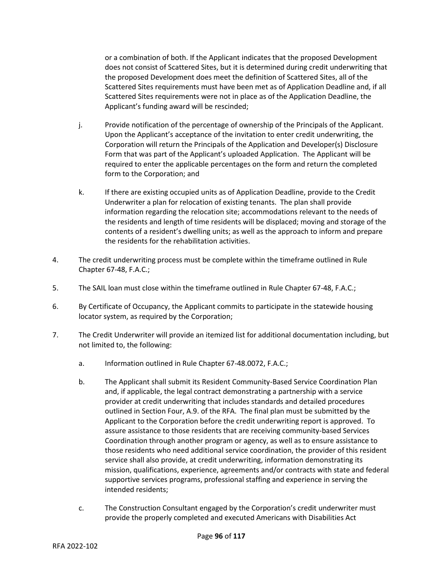or a combination of both. If the Applicant indicates that the proposed Development does not consist of Scattered Sites, but it is determined during credit underwriting that the proposed Development does meet the definition of Scattered Sites, all of the Scattered Sites requirements must have been met as of Application Deadline and, if all Scattered Sites requirements were not in place as of the Application Deadline, the Applicant's funding award will be rescinded;

- j. Provide notification of the percentage of ownership of the Principals of the Applicant. Upon the Applicant's acceptance of the invitation to enter credit underwriting, the Corporation will return the Principals of the Application and Developer(s) Disclosure Form that was part of the Applicant's uploaded Application. The Applicant will be required to enter the applicable percentages on the form and return the completed form to the Corporation; and
- k. If there are existing occupied units as of Application Deadline, provide to the Credit Underwriter a plan for relocation of existing tenants. The plan shall provide information regarding the relocation site; accommodations relevant to the needs of the residents and length of time residents will be displaced; moving and storage of the contents of a resident's dwelling units; as well as the approach to inform and prepare the residents for the rehabilitation activities.
- 4. The credit underwriting process must be complete within the timeframe outlined in Rule Chapter 67-48, F.A.C.;
- 5. The SAIL loan must close within the timeframe outlined in Rule Chapter 67-48, F.A.C.;
- 6. By Certificate of Occupancy, the Applicant commits to participate in the statewide housing locator system, as required by the Corporation;
- 7. The Credit Underwriter will provide an itemized list for additional documentation including, but not limited to, the following:
	- a. Information outlined in Rule Chapter 67-48.0072, F.A.C.;
	- b. The Applicant shall submit its Resident Community-Based Service Coordination Plan and, if applicable, the legal contract demonstrating a partnership with a service provider at credit underwriting that includes standards and detailed procedures outlined in Section Four, A.9. of the RFA. The final plan must be submitted by the Applicant to the Corporation before the credit underwriting report is approved. To assure assistance to those residents that are receiving community-based Services Coordination through another program or agency, as well as to ensure assistance to those residents who need additional service coordination, the provider of this resident service shall also provide, at credit underwriting, information demonstrating its mission, qualifications, experience, agreements and/or contracts with state and federal supportive services programs, professional staffing and experience in serving the intended residents;
	- c. The Construction Consultant engaged by the Corporation's credit underwriter must provide the properly completed and executed Americans with Disabilities Act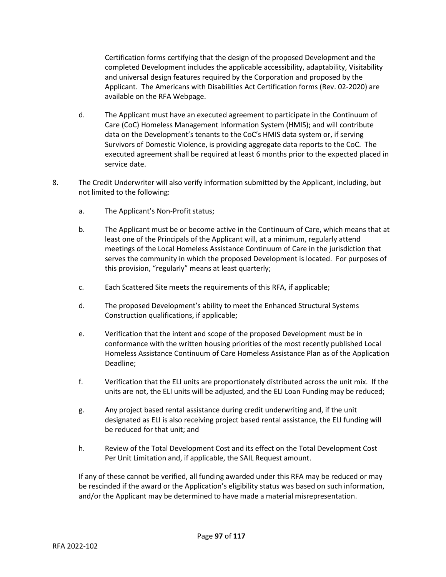Certification forms certifying that the design of the proposed Development and the completed Development includes the applicable accessibility, adaptability, Visitability and universal design features required by the Corporation and proposed by the Applicant. The Americans with Disabilities Act Certification forms (Rev. 02-2020) are available on the RFA Webpage.

- d. The Applicant must have an executed agreement to participate in the Continuum of Care (CoC) Homeless Management Information System (HMIS); and will contribute data on the Development's tenants to the CoC's HMIS data system or, if serving Survivors of Domestic Violence, is providing aggregate data reports to the CoC. The executed agreement shall be required at least 6 months prior to the expected placed in service date.
- 8. The Credit Underwriter will also verify information submitted by the Applicant, including, but not limited to the following:
	- a. The Applicant's Non-Profit status;
	- b. The Applicant must be or become active in the Continuum of Care, which means that at least one of the Principals of the Applicant will, at a minimum, regularly attend meetings of the Local Homeless Assistance Continuum of Care in the jurisdiction that serves the community in which the proposed Development is located. For purposes of this provision, "regularly" means at least quarterly;
	- c. Each Scattered Site meets the requirements of this RFA, if applicable;
	- d. The proposed Development's ability to meet the Enhanced Structural Systems Construction qualifications, if applicable;
	- e. Verification that the intent and scope of the proposed Development must be in conformance with the written housing priorities of the most recently published Local Homeless Assistance Continuum of Care Homeless Assistance Plan as of the Application Deadline;
	- f. Verification that the ELI units are proportionately distributed across the unit mix. If the units are not, the ELI units will be adjusted, and the ELI Loan Funding may be reduced;
	- g. Any project based rental assistance during credit underwriting and, if the unit designated as ELI is also receiving project based rental assistance, the ELI funding will be reduced for that unit; and
	- h. Review of the Total Development Cost and its effect on the Total Development Cost Per Unit Limitation and, if applicable, the SAIL Request amount.

If any of these cannot be verified, all funding awarded under this RFA may be reduced or may be rescinded if the award or the Application's eligibility status was based on such information, and/or the Applicant may be determined to have made a material misrepresentation.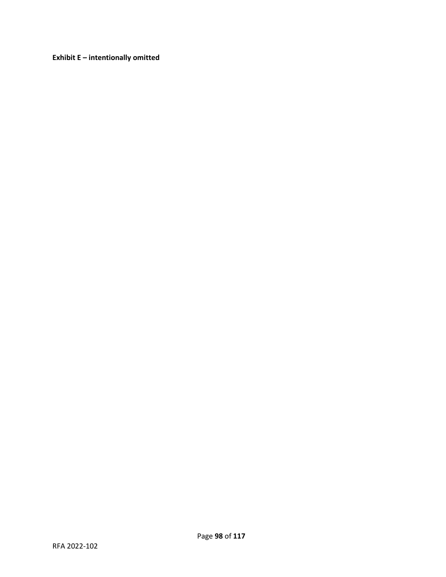**Exhibit E – intentionally omitted**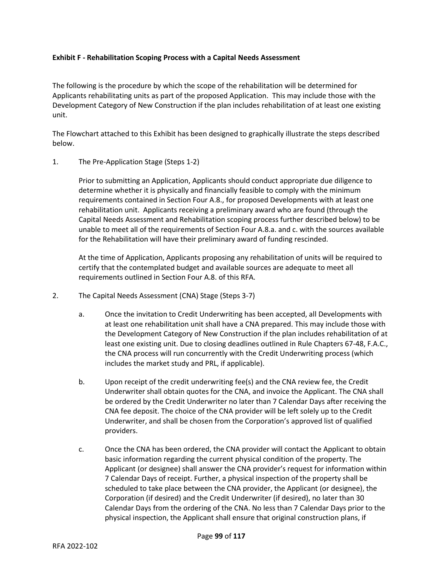## **Exhibit F - Rehabilitation Scoping Process with a Capital Needs Assessment**

The following is the procedure by which the scope of the rehabilitation will be determined for Applicants rehabilitating units as part of the proposed Application. This may include those with the Development Category of New Construction if the plan includes rehabilitation of at least one existing unit.

The Flowchart attached to this Exhibit has been designed to graphically illustrate the steps described below.

## 1. The Pre-Application Stage (Steps 1-2)

Prior to submitting an Application, Applicants should conduct appropriate due diligence to determine whether it is physically and financially feasible to comply with the minimum requirements contained in Section Four A.8., for proposed Developments with at least one rehabilitation unit. Applicants receiving a preliminary award who are found (through the Capital Needs Assessment and Rehabilitation scoping process further described below) to be unable to meet all of the requirements of Section Four A.8.a. and c. with the sources available for the Rehabilitation will have their preliminary award of funding rescinded.

At the time of Application, Applicants proposing any rehabilitation of units will be required to certify that the contemplated budget and available sources are adequate to meet all requirements outlined in Section Four A.8. of this RFA.

- 2. The Capital Needs Assessment (CNA) Stage (Steps 3-7)
	- a. Once the invitation to Credit Underwriting has been accepted, all Developments with at least one rehabilitation unit shall have a CNA prepared. This may include those with the Development Category of New Construction if the plan includes rehabilitation of at least one existing unit. Due to closing deadlines outlined in Rule Chapters 67-48, F.A.C., the CNA process will run concurrently with the Credit Underwriting process (which includes the market study and PRL, if applicable).
	- b. Upon receipt of the credit underwriting fee(s) and the CNA review fee, the Credit Underwriter shall obtain quotes for the CNA, and invoice the Applicant. The CNA shall be ordered by the Credit Underwriter no later than 7 Calendar Days after receiving the CNA fee deposit. The choice of the CNA provider will be left solely up to the Credit Underwriter, and shall be chosen from the Corporation's approved list of qualified providers.
	- c. Once the CNA has been ordered, the CNA provider will contact the Applicant to obtain basic information regarding the current physical condition of the property. The Applicant (or designee) shall answer the CNA provider's request for information within 7 Calendar Days of receipt. Further, a physical inspection of the property shall be scheduled to take place between the CNA provider, the Applicant (or designee), the Corporation (if desired) and the Credit Underwriter (if desired), no later than 30 Calendar Days from the ordering of the CNA. No less than 7 Calendar Days prior to the physical inspection, the Applicant shall ensure that original construction plans, if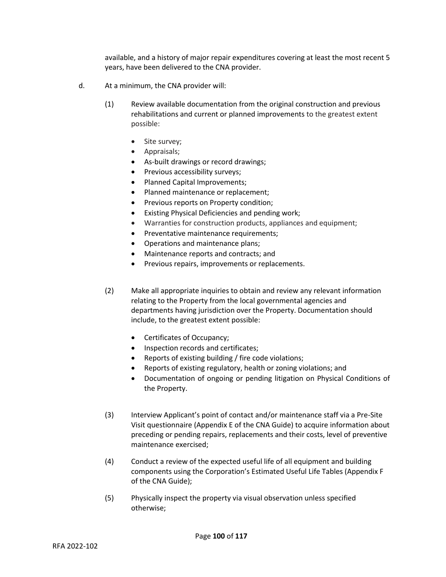available, and a history of major repair expenditures covering at least the most recent 5 years, have been delivered to the CNA provider.

- d. At a minimum, the CNA provider will:
	- (1) Review available documentation from the original construction and previous rehabilitations and current or planned improvements to the greatest extent possible:
		- Site survey;
		- Appraisals;
		- As-built drawings or record drawings;
		- Previous accessibility surveys;
		- Planned Capital Improvements;
		- Planned maintenance or replacement;
		- Previous reports on Property condition;
		- Existing Physical Deficiencies and pending work;
		- Warranties for construction products, appliances and equipment;
		- Preventative maintenance requirements;
		- Operations and maintenance plans;
		- Maintenance reports and contracts; and
		- Previous repairs, improvements or replacements.
	- (2) Make all appropriate inquiries to obtain and review any relevant information relating to the Property from the local governmental agencies and departments having jurisdiction over the Property. Documentation should include, to the greatest extent possible:
		- Certificates of Occupancy;
		- Inspection records and certificates;
		- Reports of existing building / fire code violations;
		- Reports of existing regulatory, health or zoning violations; and
		- Documentation of ongoing or pending litigation on Physical Conditions of the Property.
	- (3) Interview Applicant's point of contact and/or maintenance staff via a Pre-Site Visit questionnaire (Appendix E of the CNA Guide) to acquire information about preceding or pending repairs, replacements and their costs, level of preventive maintenance exercised;
	- (4) Conduct a review of the expected useful life of all equipment and building components using the Corporation's Estimated Useful Life Tables (Appendix F of the CNA Guide);
	- (5) Physically inspect the property via visual observation unless specified otherwise;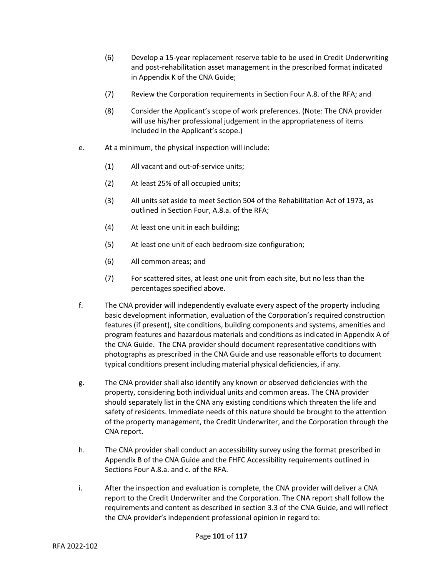- (6) Develop a 15-year replacement reserve table to be used in Credit Underwriting and post-rehabilitation asset management in the prescribed format indicated in Appendix K of the CNA Guide;
- (7) Review the Corporation requirements in Section Four A.8. of the RFA; and
- (8) Consider the Applicant's scope of work preferences. (Note: The CNA provider will use his/her professional judgement in the appropriateness of items included in the Applicant's scope.)
- e. At a minimum, the physical inspection will include:
	- (1) All vacant and out-of-service units;
	- (2) At least 25% of all occupied units;
	- (3) All units set aside to meet Section 504 of the Rehabilitation Act of 1973, as outlined in Section Four, A.8.a. of the RFA;
	- (4) At least one unit in each building;
	- (5) At least one unit of each bedroom-size configuration;
	- (6) All common areas; and
	- (7) For scattered sites, at least one unit from each site, but no less than the percentages specified above.
- f. The CNA provider will independently evaluate every aspect of the property including basic development information, evaluation of the Corporation's required construction features (if present), site conditions, building components and systems, amenities and program features and hazardous materials and conditions as indicated in Appendix A of the CNA Guide. The CNA provider should document representative conditions with photographs as prescribed in the CNA Guide and use reasonable efforts to document typical conditions present including material physical deficiencies, if any.
- g. The CNA provider shall also identify any known or observed deficiencies with the property, considering both individual units and common areas. The CNA provider should separately list in the CNA any existing conditions which threaten the life and safety of residents. Immediate needs of this nature should be brought to the attention of the property management, the Credit Underwriter, and the Corporation through the CNA report.
- h. The CNA provider shall conduct an accessibility survey using the format prescribed in Appendix B of the CNA Guide and the FHFC Accessibility requirements outlined in Sections Four A.8.a. and c. of the RFA.
- i. After the inspection and evaluation is complete, the CNA provider will deliver a CNA report to the Credit Underwriter and the Corporation. The CNA report shall follow the requirements and content as described in section 3.3 of the CNA Guide, and will reflect the CNA provider's independent professional opinion in regard to: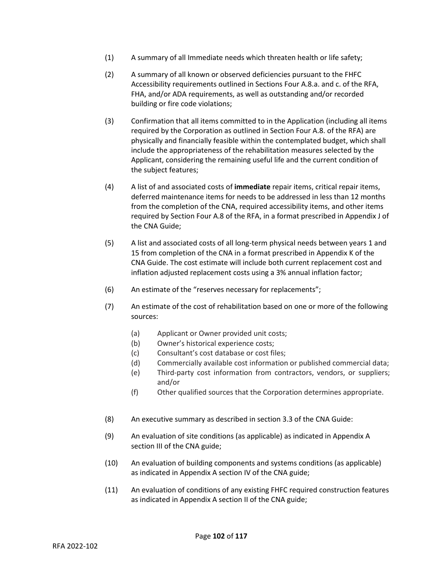- (1) A summary of all Immediate needs which threaten health or life safety;
- (2) A summary of all known or observed deficiencies pursuant to the FHFC Accessibility requirements outlined in Sections Four A.8.a. and c. of the RFA, FHA, and/or ADA requirements, as well as outstanding and/or recorded building or fire code violations;
- (3) Confirmation that all items committed to in the Application (including all items required by the Corporation as outlined in Section Four A.8. of the RFA) are physically and financially feasible within the contemplated budget, which shall include the appropriateness of the rehabilitation measures selected by the Applicant, considering the remaining useful life and the current condition of the subject features;
- (4) A list of and associated costs of **immediate** repair items, critical repair items, deferred maintenance items for needs to be addressed in less than 12 months from the completion of the CNA, required accessibility items, and other items required by Section Four A.8 of the RFA, in a format prescribed in Appendix J of the CNA Guide;
- (5) A list and associated costs of all long-term physical needs between years 1 and 15 from completion of the CNA in a format prescribed in Appendix K of the CNA Guide. The cost estimate will include both current replacement cost and inflation adjusted replacement costs using a 3% annual inflation factor;
- (6) An estimate of the "reserves necessary for replacements";
- (7) An estimate of the cost of rehabilitation based on one or more of the following sources:
	- (a) Applicant or Owner provided unit costs;
	- (b) Owner's historical experience costs;
	- (c) Consultant's cost database or cost files;
	- (d) Commercially available cost information or published commercial data;
	- (e) Third-party cost information from contractors, vendors, or suppliers; and/or
	- (f) Other qualified sources that the Corporation determines appropriate.
- (8) An executive summary as described in section 3.3 of the CNA Guide:
- (9) An evaluation of site conditions (as applicable) as indicated in Appendix A section III of the CNA guide;
- (10) An evaluation of building components and systems conditions (as applicable) as indicated in Appendix A section IV of the CNA guide;
- (11) An evaluation of conditions of any existing FHFC required construction features as indicated in Appendix A section II of the CNA guide;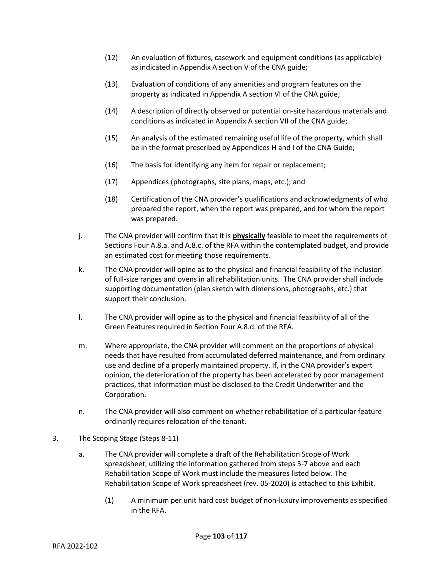- (12) An evaluation of fixtures, casework and equipment conditions (as applicable) as indicated in Appendix A section V of the CNA guide;
- (13) Evaluation of conditions of any amenities and program features on the property as indicated in Appendix A section VI of the CNA guide;
- (14) A description of directly observed or potential on-site hazardous materials and conditions as indicated in Appendix A section VII of the CNA guide;
- (15) An analysis of the estimated remaining useful life of the property, which shall be in the format prescribed by Appendices H and I of the CNA Guide;
- (16) The basis for identifying any item for repair or replacement;
- (17) Appendices (photographs, site plans, maps, etc.); and
- (18) Certification of the CNA provider's qualifications and acknowledgments of who prepared the report, when the report was prepared, and for whom the report was prepared.
- j. The CNA provider will confirm that it is **physically** feasible to meet the requirements of Sections Four A.8.a. and A.8.c. of the RFA within the contemplated budget, and provide an estimated cost for meeting those requirements.
- k. The CNA provider will opine as to the physical and financial feasibility of the inclusion of full-size ranges and ovens in all rehabilitation units. The CNA provider shall include supporting documentation (plan sketch with dimensions, photographs, etc.) that support their conclusion.
- l. The CNA provider will opine as to the physical and financial feasibility of all of the Green Features required in Section Four A.8.d. of the RFA.
- m. Where appropriate, the CNA provider will comment on the proportions of physical needs that have resulted from accumulated deferred maintenance, and from ordinary use and decline of a properly maintained property. If, in the CNA provider's expert opinion, the deterioration of the property has been accelerated by poor management practices, that information must be disclosed to the Credit Underwriter and the Corporation.
- n. The CNA provider will also comment on whether rehabilitation of a particular feature ordinarily requires relocation of the tenant.
- 3. The Scoping Stage (Steps 8-11)
	- a. The CNA provider will complete a draft of the Rehabilitation Scope of Work spreadsheet, utilizing the information gathered from steps 3-7 above and each Rehabilitation Scope of Work must include the measures listed below. The Rehabilitation Scope of Work spreadsheet (rev. 05-2020) is attached to this Exhibit.
		- (1) A minimum per unit hard cost budget of non-luxury improvements as specified in the RFA.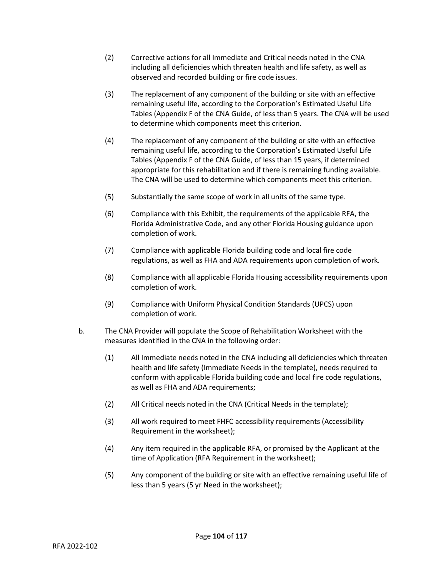- (2) Corrective actions for all Immediate and Critical needs noted in the CNA including all deficiencies which threaten health and life safety, as well as observed and recorded building or fire code issues.
- (3) The replacement of any component of the building or site with an effective remaining useful life, according to the Corporation's Estimated Useful Life Tables (Appendix F of the CNA Guide, of less than 5 years. The CNA will be used to determine which components meet this criterion.
- (4) The replacement of any component of the building or site with an effective remaining useful life, according to the Corporation's Estimated Useful Life Tables (Appendix F of the CNA Guide, of less than 15 years, if determined appropriate for this rehabilitation and if there is remaining funding available. The CNA will be used to determine which components meet this criterion.
- (5) Substantially the same scope of work in all units of the same type.
- (6) Compliance with this Exhibit, the requirements of the applicable RFA, the Florida Administrative Code, and any other Florida Housing guidance upon completion of work.
- (7) Compliance with applicable Florida building code and local fire code regulations, as well as FHA and ADA requirements upon completion of work.
- (8) Compliance with all applicable Florida Housing accessibility requirements upon completion of work.
- (9) Compliance with Uniform Physical Condition Standards (UPCS) upon completion of work.
- b. The CNA Provider will populate the Scope of Rehabilitation Worksheet with the measures identified in the CNA in the following order:
	- (1) All Immediate needs noted in the CNA including all deficiencies which threaten health and life safety (Immediate Needs in the template), needs required to conform with applicable Florida building code and local fire code regulations, as well as FHA and ADA requirements;
	- (2) All Critical needs noted in the CNA (Critical Needs in the template);
	- (3) All work required to meet FHFC accessibility requirements (Accessibility Requirement in the worksheet);
	- (4) Any item required in the applicable RFA, or promised by the Applicant at the time of Application (RFA Requirement in the worksheet);
	- (5) Any component of the building or site with an effective remaining useful life of less than 5 years (5 yr Need in the worksheet);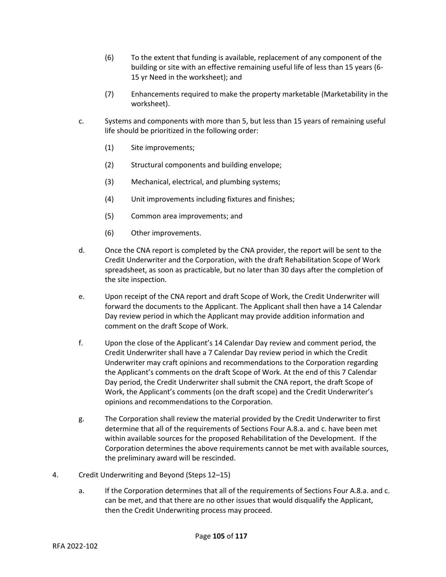- (6) To the extent that funding is available, replacement of any component of the building or site with an effective remaining useful life of less than 15 years (6- 15 yr Need in the worksheet); and
- (7) Enhancements required to make the property marketable (Marketability in the worksheet).
- c. Systems and components with more than 5, but less than 15 years of remaining useful life should be prioritized in the following order:
	- (1) Site improvements;
	- (2) Structural components and building envelope;
	- (3) Mechanical, electrical, and plumbing systems;
	- (4) Unit improvements including fixtures and finishes;
	- (5) Common area improvements; and
	- (6) Other improvements.
- d. Once the CNA report is completed by the CNA provider, the report will be sent to the Credit Underwriter and the Corporation, with the draft Rehabilitation Scope of Work spreadsheet, as soon as practicable, but no later than 30 days after the completion of the site inspection.
- e. Upon receipt of the CNA report and draft Scope of Work, the Credit Underwriter will forward the documents to the Applicant. The Applicant shall then have a 14 Calendar Day review period in which the Applicant may provide addition information and comment on the draft Scope of Work.
- f. Upon the close of the Applicant's 14 Calendar Day review and comment period, the Credit Underwriter shall have a 7 Calendar Day review period in which the Credit Underwriter may craft opinions and recommendations to the Corporation regarding the Applicant's comments on the draft Scope of Work. At the end of this 7 Calendar Day period, the Credit Underwriter shall submit the CNA report, the draft Scope of Work, the Applicant's comments (on the draft scope) and the Credit Underwriter's opinions and recommendations to the Corporation.
- g. The Corporation shall review the material provided by the Credit Underwriter to first determine that all of the requirements of Sections Four A.8.a. and c. have been met within available sources for the proposed Rehabilitation of the Development. If the Corporation determines the above requirements cannot be met with available sources, the preliminary award will be rescinded.
- 4. Credit Underwriting and Beyond (Steps 12–15)
	- a. If the Corporation determines that all of the requirements of Sections Four A.8.a. and c. can be met, and that there are no other issues that would disqualify the Applicant, then the Credit Underwriting process may proceed.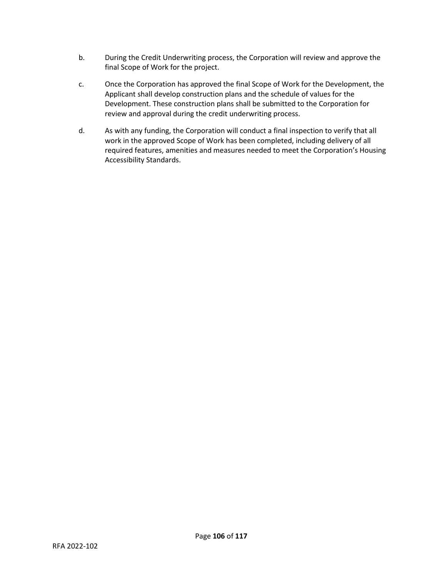- b. During the Credit Underwriting process, the Corporation will review and approve the final Scope of Work for the project.
- c. Once the Corporation has approved the final Scope of Work for the Development, the Applicant shall develop construction plans and the schedule of values for the Development. These construction plans shall be submitted to the Corporation for review and approval during the credit underwriting process.
- d. As with any funding, the Corporation will conduct a final inspection to verify that all work in the approved Scope of Work has been completed, including delivery of all required features, amenities and measures needed to meet the Corporation's Housing Accessibility Standards.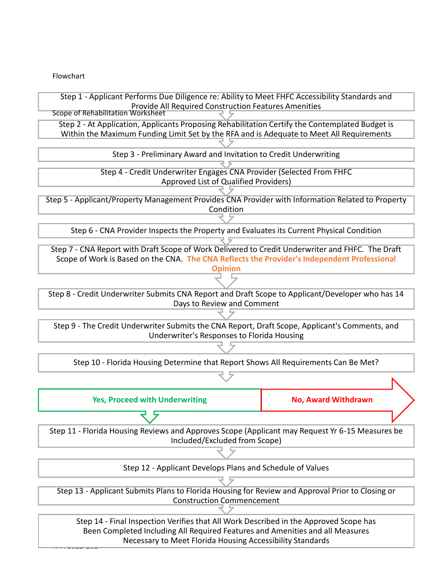Flowchart

RFA 2022-102



Page **107** of **117** Necessary to Meet Florida Housing Accessibility Standards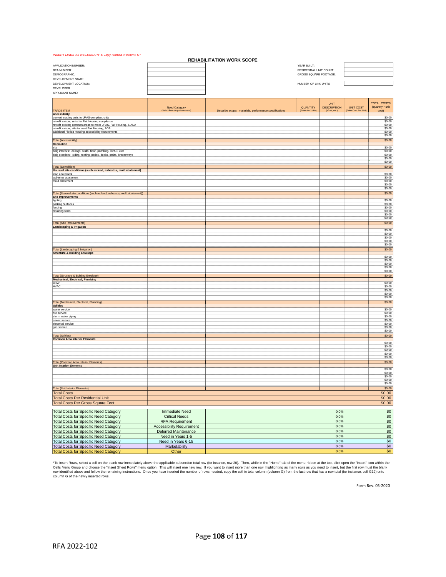#### *INSERT LINES AS NECESSARY & Copy formula in column G\**

| <b>REHABILITATION WORK SCOPE</b>                                                                      |                                                      |                                                       |                                |                                     |                                          |                               |
|-------------------------------------------------------------------------------------------------------|------------------------------------------------------|-------------------------------------------------------|--------------------------------|-------------------------------------|------------------------------------------|-------------------------------|
| APPLICATION NUMBER:                                                                                   |                                                      |                                                       | YEAR BUILT:                    |                                     |                                          |                               |
| RFA NUMBER:                                                                                           |                                                      | RESIDENTIAL UNIT COUNT:<br>GROSS SQUARE FOOTAGE:      |                                |                                     |                                          |                               |
| DEMOGRAPHIC:                                                                                          |                                                      |                                                       |                                |                                     |                                          |                               |
| DEVELOPMENT NAME:<br>DEVELOPMENT LOCATION:                                                            |                                                      |                                                       | NUMBER OF LINK UNITS           |                                     |                                          |                               |
| DEVELOPER:                                                                                            |                                                      |                                                       |                                |                                     |                                          |                               |
| APPLICANT NAME:                                                                                       |                                                      |                                                       |                                |                                     |                                          |                               |
|                                                                                                       |                                                      |                                                       |                                |                                     |                                          |                               |
|                                                                                                       |                                                      |                                                       |                                | <b>UNIT</b>                         |                                          | <b>TOTAL COSTS</b>            |
| <b>TRADE ITEM</b>                                                                                     | <b>Need Category</b><br>(Select from drop-down menu) | Describe scope: materials, performance specifications | QUANTITY<br>(Enter # of Units) | <b>DESCRIPTION</b><br>(sf, ea, etc. | <b>UNIT COST</b><br>Enter Cost Per Unit) | (quantity * unit<br>cost)     |
| <b>Accessibility</b>                                                                                  |                                                      |                                                       |                                |                                     |                                          |                               |
| convert existing units to UFAS-compliant units<br>retrofit existing units for Fair Housing compliance |                                                      |                                                       |                                |                                     |                                          | \$0.00<br>\$0.00              |
| retrofit existing common areas to meet UFAS, Fair Housing, & ADA                                      |                                                      |                                                       |                                |                                     |                                          | \$0.00                        |
| retrofit existing site to meet Fair Housing, ADA                                                      |                                                      |                                                       |                                |                                     |                                          | \$0.00                        |
| additional Florida Housing accessibility requirements                                                 |                                                      |                                                       |                                |                                     |                                          | \$0.00<br>\$0.00              |
| <b>Total (Accessibility)</b>                                                                          |                                                      |                                                       |                                |                                     |                                          | \$0.00                        |
| <b>Demolition</b>                                                                                     |                                                      |                                                       |                                |                                     |                                          |                               |
| site<br>bldg interiors: ceilings, walls, floor, plumbing, HVAC, elec                                  |                                                      |                                                       |                                |                                     |                                          | \$0.00<br>\$0.00              |
| bldg exteriors: siding, roofing, patios, decks, stairs, breezeways                                    |                                                      |                                                       |                                |                                     |                                          | \$0.00                        |
|                                                                                                       |                                                      |                                                       |                                |                                     |                                          | \$0.00                        |
|                                                                                                       |                                                      |                                                       |                                |                                     |                                          | \$0.00                        |
| <b>Total (Demolition)</b><br>Unusual site conditions (such as lead, asbestos, mold abatement)         |                                                      |                                                       |                                |                                     |                                          | \$0.00                        |
| lead abatement                                                                                        |                                                      |                                                       |                                |                                     |                                          | \$0.00                        |
| asbestos abatement<br>mold abatement                                                                  |                                                      |                                                       |                                |                                     |                                          | \$0.00<br>\$0.00              |
|                                                                                                       |                                                      |                                                       |                                |                                     |                                          | \$0.00                        |
|                                                                                                       |                                                      |                                                       |                                |                                     |                                          | \$0.00                        |
| Total (Unusual site conditions (such as lead, asbestos, mold abatement))                              |                                                      |                                                       |                                |                                     |                                          | \$0.00                        |
| <b>Site Improvements</b><br>lighting                                                                  |                                                      |                                                       |                                |                                     |                                          | \$0.00                        |
| parking Surfaces                                                                                      |                                                      |                                                       |                                |                                     |                                          | \$0.00                        |
| fencing<br>retaining walls                                                                            |                                                      |                                                       |                                |                                     |                                          | \$0.00<br>\$0.00              |
|                                                                                                       |                                                      |                                                       |                                |                                     |                                          | \$0.00                        |
|                                                                                                       |                                                      |                                                       |                                |                                     |                                          | \$0.00                        |
| <b>Total (Site Improvements)</b>                                                                      |                                                      |                                                       |                                |                                     |                                          | \$0.00                        |
| <b>Landscaping &amp; Irrigation</b>                                                                   |                                                      |                                                       |                                |                                     |                                          | \$0.00                        |
|                                                                                                       |                                                      |                                                       |                                |                                     |                                          | \$0.00                        |
|                                                                                                       |                                                      |                                                       |                                |                                     |                                          | \$0.00<br>\$0.00              |
|                                                                                                       |                                                      |                                                       |                                |                                     |                                          | \$0.00                        |
| <b>Total (Landscaping &amp; Irrigation)</b>                                                           |                                                      |                                                       |                                |                                     |                                          | \$0.00                        |
| <b>Structure &amp; Building Envelope</b>                                                              |                                                      |                                                       |                                |                                     |                                          | \$0.00                        |
|                                                                                                       |                                                      |                                                       |                                |                                     |                                          | \$0.00                        |
|                                                                                                       |                                                      |                                                       |                                |                                     |                                          | \$0.00                        |
|                                                                                                       |                                                      |                                                       |                                |                                     |                                          | \$0.00<br>\$0.00              |
| Total (Structure & Building Envelope)                                                                 |                                                      |                                                       |                                |                                     |                                          | \$0.00                        |
| <b>Mechanical, Electrical, Plumbing</b><br>DHW                                                        |                                                      |                                                       |                                |                                     |                                          |                               |
| <b>HVAC</b>                                                                                           |                                                      |                                                       |                                |                                     |                                          | \$0.00<br>\$0.00              |
|                                                                                                       |                                                      |                                                       |                                |                                     |                                          | \$0.00                        |
|                                                                                                       |                                                      |                                                       |                                |                                     |                                          | \$0.00<br>\$0.00              |
| Total (Mechanical, Electrical, Plumbing)                                                              |                                                      |                                                       |                                |                                     |                                          | \$0.00                        |
| <b>Utilities</b>                                                                                      |                                                      |                                                       |                                |                                     |                                          |                               |
| water service<br>fire service                                                                         |                                                      |                                                       |                                |                                     |                                          | \$0.00<br>\$0.00              |
| storm water piping                                                                                    |                                                      |                                                       |                                |                                     |                                          | \$0.00                        |
| sewer service                                                                                         |                                                      |                                                       |                                |                                     |                                          | \$0.00<br>\$0.00              |
| electrical service<br>gas service                                                                     |                                                      |                                                       |                                |                                     |                                          | \$0.00                        |
|                                                                                                       |                                                      |                                                       |                                |                                     |                                          | \$0.00                        |
| <b>Total (Utilities)</b>                                                                              |                                                      |                                                       |                                |                                     |                                          | \$0.00                        |
| <b>Common Area Interior Elements</b>                                                                  |                                                      |                                                       |                                |                                     |                                          | \$0.00                        |
|                                                                                                       |                                                      |                                                       |                                |                                     |                                          | \$0.00                        |
|                                                                                                       |                                                      |                                                       |                                |                                     |                                          | \$0.00<br>\$0.00              |
|                                                                                                       |                                                      |                                                       |                                |                                     |                                          | \$0.00                        |
| <b>Total (Common Area Interior Elements)</b>                                                          |                                                      |                                                       |                                |                                     |                                          | \$0.00                        |
| <b>Unit Interior Elements</b>                                                                         |                                                      |                                                       |                                |                                     |                                          | \$0.00                        |
|                                                                                                       |                                                      |                                                       |                                |                                     |                                          | \$0.00                        |
|                                                                                                       |                                                      |                                                       |                                |                                     |                                          | \$0.00                        |
|                                                                                                       |                                                      |                                                       |                                |                                     |                                          | \$0.00<br>\$0.00              |
| <b>Total (Unit Interior Elements)</b>                                                                 |                                                      |                                                       |                                |                                     |                                          | \$0.00                        |
| <b>Total Costs</b>                                                                                    |                                                      |                                                       |                                |                                     |                                          | \$0.00                        |
| <b>Total Costs Per Residential Unit</b>                                                               |                                                      |                                                       |                                |                                     |                                          | \$0.00                        |
| <b>Total Costs Per Gross Square Foot</b>                                                              |                                                      |                                                       |                                |                                     |                                          | \$0.00                        |
|                                                                                                       |                                                      |                                                       |                                |                                     |                                          |                               |
| <b>Total Costs for Specific Need Category</b>                                                         | <b>Immediate Need</b>                                |                                                       |                                | 0.0%                                |                                          | \$0                           |
| <b>Total Costs for Specific Need Category</b><br><b>Total Costs for Specific Need Category</b>        | <b>Critical Needs</b>                                |                                                       |                                | 0.0%                                |                                          | $\frac{$0}{$0}$               |
|                                                                                                       | <b>RFA Requirement</b>                               |                                                       |                                | 0.0%                                |                                          |                               |
| <b>Total Costs for Specific Need Category</b>                                                         | <b>Accessibility Requirement</b>                     |                                                       |                                | 0.0%<br>0.0%                        |                                          |                               |
| <b>Total Costs for Specific Need Category</b>                                                         | Deferred Maintenance                                 |                                                       |                                |                                     |                                          | $rac{1}{100}$<br>$rac{1}{50}$ |
| <b>Total Costs for Specific Need Category</b>                                                         | Need in Years 1-5<br>Need in Years 6-15              |                                                       |                                | 0.0%                                |                                          |                               |
| <b>Total Costs for Specific Need Category</b>                                                         |                                                      |                                                       |                                | 0.0%<br>0.0%                        |                                          | $\frac{$0}{$0}$               |
| <b>Total Costs for Specific Need Category</b><br><b>Total Costs for Specific Need Category</b>        | Marketability<br>Other                               |                                                       |                                | 0.0%                                |                                          | \$0                           |
|                                                                                                       |                                                      |                                                       |                                |                                     |                                          |                               |

"To Insert Rows, select a cell on the blank row immediately above the applicable subsection total row (for insance, row 20). Then, while in the "Home" tab of the menu ribbon at the top, click open the "Insert" icon within

Form Rev. 05-2020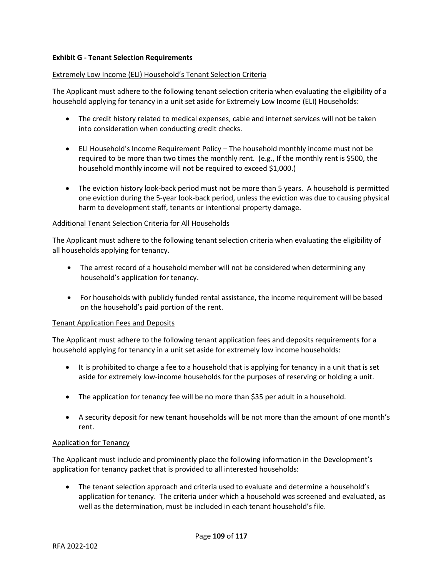# **Exhibit G - Tenant Selection Requirements**

### Extremely Low Income (ELI) Household's Tenant Selection Criteria

The Applicant must adhere to the following tenant selection criteria when evaluating the eligibility of a household applying for tenancy in a unit set aside for Extremely Low Income (ELI) Households:

- The credit history related to medical expenses, cable and internet services will not be taken into consideration when conducting credit checks.
- ELI Household's Income Requirement Policy The household monthly income must not be required to be more than two times the monthly rent. (e.g., If the monthly rent is \$500, the household monthly income will not be required to exceed \$1,000.)
- The eviction history look-back period must not be more than 5 years. A household is permitted one eviction during the 5-year look-back period, unless the eviction was due to causing physical harm to development staff, tenants or intentional property damage.

# Additional Tenant Selection Criteria for All Households

The Applicant must adhere to the following tenant selection criteria when evaluating the eligibility of all households applying for tenancy.

- The arrest record of a household member will not be considered when determining any household's application for tenancy.
- For households with publicly funded rental assistance, the income requirement will be based on the household's paid portion of the rent.

### Tenant Application Fees and Deposits

The Applicant must adhere to the following tenant application fees and deposits requirements for a household applying for tenancy in a unit set aside for extremely low income households:

- It is prohibited to charge a fee to a household that is applying for tenancy in a unit that is set aside for extremely low-income households for the purposes of reserving or holding a unit.
- The application for tenancy fee will be no more than \$35 per adult in a household.
- A security deposit for new tenant households will be not more than the amount of one month's rent.

# Application for Tenancy

The Applicant must include and prominently place the following information in the Development's application for tenancy packet that is provided to all interested households:

• The tenant selection approach and criteria used to evaluate and determine a household's application for tenancy. The criteria under which a household was screened and evaluated, as well as the determination, must be included in each tenant household's file.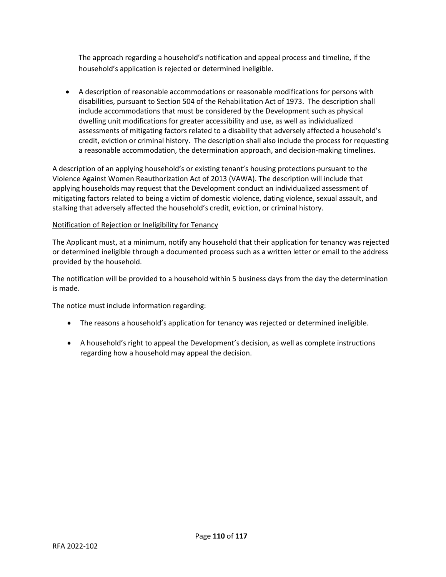The approach regarding a household's notification and appeal process and timeline, if the household's application is rejected or determined ineligible.

• A description of reasonable accommodations or reasonable modifications for persons with disabilities, pursuant to Section 504 of the Rehabilitation Act of 1973. The description shall include accommodations that must be considered by the Development such as physical dwelling unit modifications for greater accessibility and use, as well as individualized assessments of mitigating factors related to a disability that adversely affected a household's credit, eviction or criminal history. The description shall also include the process for requesting a reasonable accommodation, the determination approach, and decision-making timelines.

A description of an applying household's or existing tenant's housing protections pursuant to the Violence Against Women Reauthorization Act of 2013 (VAWA). The description will include that applying households may request that the Development conduct an individualized assessment of mitigating factors related to being a victim of domestic violence, dating violence, sexual assault, and stalking that adversely affected the household's credit, eviction, or criminal history.

# Notification of Rejection or Ineligibility for Tenancy

The Applicant must, at a minimum, notify any household that their application for tenancy was rejected or determined ineligible through a documented process such as a written letter or email to the address provided by the household.

The notification will be provided to a household within 5 business days from the day the determination is made.

The notice must include information regarding:

- The reasons a household's application for tenancy was rejected or determined ineligible.
- A household's right to appeal the Development's decision, as well as complete instructions regarding how a household may appeal the decision.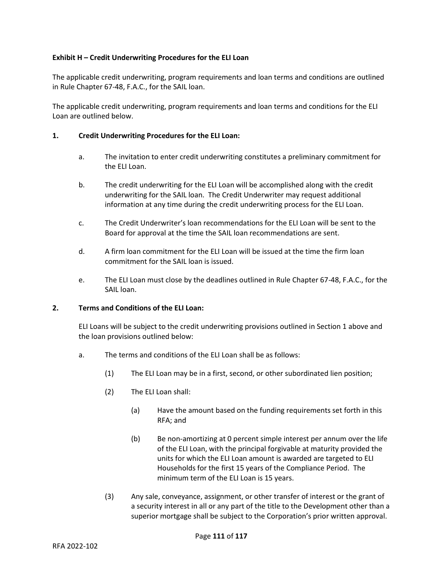# **Exhibit H – Credit Underwriting Procedures for the ELI Loan**

The applicable credit underwriting, program requirements and loan terms and conditions are outlined in Rule Chapter 67-48, F.A.C., for the SAIL loan.

The applicable credit underwriting, program requirements and loan terms and conditions for the ELI Loan are outlined below.

### **1. Credit Underwriting Procedures for the ELI Loan:**

- a. The invitation to enter credit underwriting constitutes a preliminary commitment for the ELI Loan.
- b. The credit underwriting for the ELI Loan will be accomplished along with the credit underwriting for the SAIL loan. The Credit Underwriter may request additional information at any time during the credit underwriting process for the ELI Loan.
- c. The Credit Underwriter's loan recommendations for the ELI Loan will be sent to the Board for approval at the time the SAIL loan recommendations are sent.
- d. A firm loan commitment for the ELI Loan will be issued at the time the firm loan commitment for the SAIL loan is issued.
- e. The ELI Loan must close by the deadlines outlined in Rule Chapter 67-48, F.A.C., for the SAIL loan.

# **2. Terms and Conditions of the ELI Loan:**

ELI Loans will be subject to the credit underwriting provisions outlined in Section 1 above and the loan provisions outlined below:

- a. The terms and conditions of the ELI Loan shall be as follows:
	- (1) The ELI Loan may be in a first, second, or other subordinated lien position;
	- (2) The ELI Loan shall:
		- (a) Have the amount based on the funding requirements set forth in this RFA; and
		- (b) Be non-amortizing at 0 percent simple interest per annum over the life of the ELI Loan, with the principal forgivable at maturity provided the units for which the ELI Loan amount is awarded are targeted to ELI Households for the first 15 years of the Compliance Period. The minimum term of the ELI Loan is 15 years.
	- (3) Any sale, conveyance, assignment, or other transfer of interest or the grant of a security interest in all or any part of the title to the Development other than a superior mortgage shall be subject to the Corporation's prior written approval.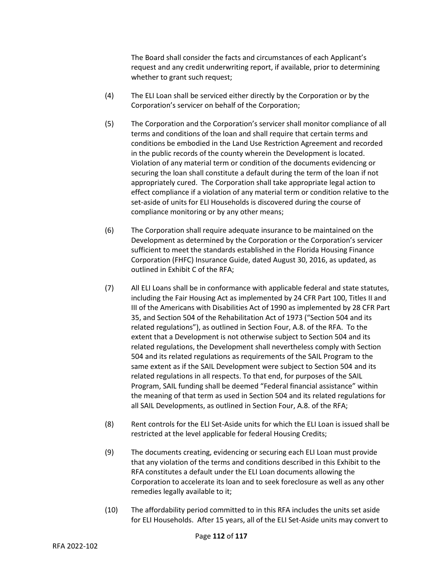The Board shall consider the facts and circumstances of each Applicant's request and any credit underwriting report, if available, prior to determining whether to grant such request;

- (4) The ELI Loan shall be serviced either directly by the Corporation or by the Corporation's servicer on behalf of the Corporation;
- (5) The Corporation and the Corporation's servicer shall monitor compliance of all terms and conditions of the loan and shall require that certain terms and conditions be embodied in the Land Use Restriction Agreement and recorded in the public records of the county wherein the Development is located. Violation of any material term or condition of the documents evidencing or securing the loan shall constitute a default during the term of the loan if not appropriately cured. The Corporation shall take appropriate legal action to effect compliance if a violation of any material term or condition relative to the set-aside of units for ELI Households is discovered during the course of compliance monitoring or by any other means;
- (6) The Corporation shall require adequate insurance to be maintained on the Development as determined by the Corporation or the Corporation's servicer sufficient to meet the standards established in the Florida Housing Finance Corporation (FHFC) Insurance Guide, dated August 30, 2016, as updated, as outlined in Exhibit C of the RFA;
- (7) All ELI Loans shall be in conformance with applicable federal and state statutes, including the Fair Housing Act as implemented by 24 CFR Part 100, Titles II and III of the Americans with Disabilities Act of 1990 as implemented by 28 CFR Part 35, and Section 504 of the Rehabilitation Act of 1973 ("Section 504 and its related regulations"), as outlined in Section Four, A.8. of the RFA. To the extent that a Development is not otherwise subject to Section 504 and its related regulations, the Development shall nevertheless comply with Section 504 and its related regulations as requirements of the SAIL Program to the same extent as if the SAIL Development were subject to Section 504 and its related regulations in all respects. To that end, for purposes of the SAIL Program, SAIL funding shall be deemed "Federal financial assistance" within the meaning of that term as used in Section 504 and its related regulations for all SAIL Developments, as outlined in Section Four, A.8. of the RFA;
- (8) Rent controls for the ELI Set-Aside units for which the ELI Loan is issued shall be restricted at the level applicable for federal Housing Credits;
- (9) The documents creating, evidencing or securing each ELI Loan must provide that any violation of the terms and conditions described in this Exhibit to the RFA constitutes a default under the ELI Loan documents allowing the Corporation to accelerate its loan and to seek foreclosure as well as any other remedies legally available to it;
- (10) The affordability period committed to in this RFA includes the units set aside for ELI Households. After 15 years, all of the ELI Set-Aside units may convert to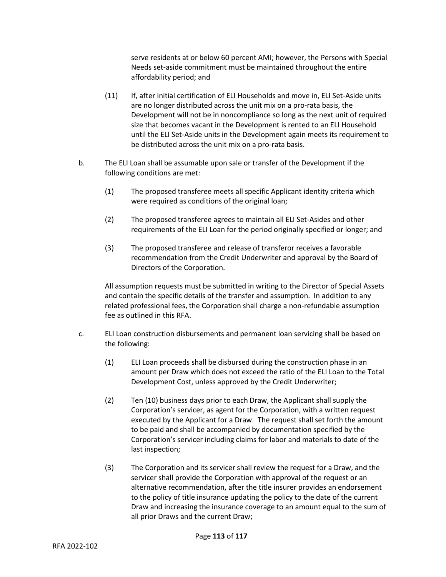serve residents at or below 60 percent AMI; however, the Persons with Special Needs set-aside commitment must be maintained throughout the entire affordability period; and

- (11) If, after initial certification of ELI Households and move in, ELI Set-Aside units are no longer distributed across the unit mix on a pro-rata basis, the Development will not be in noncompliance so long as the next unit of required size that becomes vacant in the Development is rented to an ELI Household until the ELI Set-Aside units in the Development again meets its requirement to be distributed across the unit mix on a pro-rata basis.
- b. The ELI Loan shall be assumable upon sale or transfer of the Development if the following conditions are met:
	- (1) The proposed transferee meets all specific Applicant identity criteria which were required as conditions of the original loan;
	- (2) The proposed transferee agrees to maintain all ELI Set-Asides and other requirements of the ELI Loan for the period originally specified or longer; and
	- (3) The proposed transferee and release of transferor receives a favorable recommendation from the Credit Underwriter and approval by the Board of Directors of the Corporation.

All assumption requests must be submitted in writing to the Director of Special Assets and contain the specific details of the transfer and assumption. In addition to any related professional fees, the Corporation shall charge a non-refundable assumption fee as outlined in this RFA.

- c. ELI Loan construction disbursements and permanent loan servicing shall be based on the following:
	- (1) ELI Loan proceeds shall be disbursed during the construction phase in an amount per Draw which does not exceed the ratio of the ELI Loan to the Total Development Cost, unless approved by the Credit Underwriter;
	- (2) Ten (10) business days prior to each Draw, the Applicant shall supply the Corporation's servicer, as agent for the Corporation, with a written request executed by the Applicant for a Draw. The request shall set forth the amount to be paid and shall be accompanied by documentation specified by the Corporation's servicer including claims for labor and materials to date of the last inspection;
	- (3) The Corporation and its servicer shall review the request for a Draw, and the servicer shall provide the Corporation with approval of the request or an alternative recommendation, after the title insurer provides an endorsement to the policy of title insurance updating the policy to the date of the current Draw and increasing the insurance coverage to an amount equal to the sum of all prior Draws and the current Draw;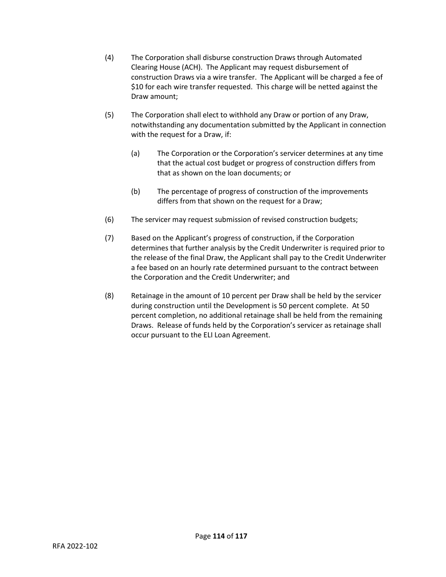- (4) The Corporation shall disburse construction Draws through Automated Clearing House (ACH). The Applicant may request disbursement of construction Draws via a wire transfer. The Applicant will be charged a fee of \$10 for each wire transfer requested. This charge will be netted against the Draw amount;
- (5) The Corporation shall elect to withhold any Draw or portion of any Draw, notwithstanding any documentation submitted by the Applicant in connection with the request for a Draw, if:
	- (a) The Corporation or the Corporation's servicer determines at any time that the actual cost budget or progress of construction differs from that as shown on the loan documents; or
	- (b) The percentage of progress of construction of the improvements differs from that shown on the request for a Draw;
- (6) The servicer may request submission of revised construction budgets;
- (7) Based on the Applicant's progress of construction, if the Corporation determines that further analysis by the Credit Underwriter is required prior to the release of the final Draw, the Applicant shall pay to the Credit Underwriter a fee based on an hourly rate determined pursuant to the contract between the Corporation and the Credit Underwriter; and
- (8) Retainage in the amount of 10 percent per Draw shall be held by the servicer during construction until the Development is 50 percent complete. At 50 percent completion, no additional retainage shall be held from the remaining Draws. Release of funds held by the Corporation's servicer as retainage shall occur pursuant to the ELI Loan Agreement.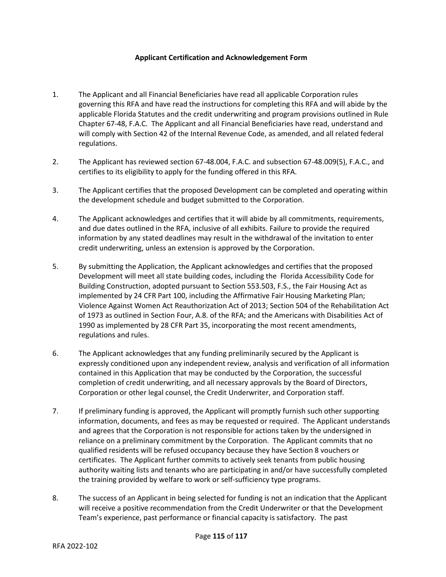### **Applicant Certification and Acknowledgement Form**

- 1. The Applicant and all Financial Beneficiaries have read all applicable Corporation rules governing this RFA and have read the instructions for completing this RFA and will abide by the applicable Florida Statutes and the credit underwriting and program provisions outlined in Rule Chapter 67-48, F.A.C. The Applicant and all Financial Beneficiaries have read, understand and will comply with Section 42 of the Internal Revenue Code, as amended, and all related federal regulations.
- 2. The Applicant has reviewed section 67-48.004, F.A.C. and subsection 67-48.009(5), F.A.C., and certifies to its eligibility to apply for the funding offered in this RFA.
- 3. The Applicant certifies that the proposed Development can be completed and operating within the development schedule and budget submitted to the Corporation.
- 4. The Applicant acknowledges and certifies that it will abide by all commitments, requirements, and due dates outlined in the RFA, inclusive of all exhibits. Failure to provide the required information by any stated deadlines may result in the withdrawal of the invitation to enter credit underwriting, unless an extension is approved by the Corporation.
- 5. By submitting the Application, the Applicant acknowledges and certifies that the proposed Development will meet all state building codes, including the Florida Accessibility Code for Building Construction, adopted pursuant to Section 553.503, F.S., the Fair Housing Act as implemented by 24 CFR Part 100, including the Affirmative Fair Housing Marketing Plan; Violence Against Women Act Reauthorization Act of 2013; Section 504 of the Rehabilitation Act of 1973 as outlined in Section Four, A.8. of the RFA; and the Americans with Disabilities Act of 1990 as implemented by 28 CFR Part 35, incorporating the most recent amendments, regulations and rules.
- 6. The Applicant acknowledges that any funding preliminarily secured by the Applicant is expressly conditioned upon any independent review, analysis and verification of all information contained in this Application that may be conducted by the Corporation, the successful completion of credit underwriting, and all necessary approvals by the Board of Directors, Corporation or other legal counsel, the Credit Underwriter, and Corporation staff.
- 7. If preliminary funding is approved, the Applicant will promptly furnish such other supporting information, documents, and fees as may be requested or required. The Applicant understands and agrees that the Corporation is not responsible for actions taken by the undersigned in reliance on a preliminary commitment by the Corporation. The Applicant commits that no qualified residents will be refused occupancy because they have Section 8 vouchers or certificates. The Applicant further commits to actively seek tenants from public housing authority waiting lists and tenants who are participating in and/or have successfully completed the training provided by welfare to work or self-sufficiency type programs.
- 8. The success of an Applicant in being selected for funding is not an indication that the Applicant will receive a positive recommendation from the Credit Underwriter or that the Development Team's experience, past performance or financial capacity is satisfactory. The past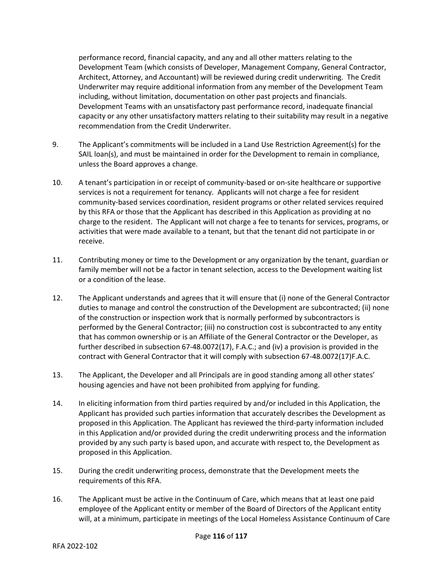performance record, financial capacity, and any and all other matters relating to the Development Team (which consists of Developer, Management Company, General Contractor, Architect, Attorney, and Accountant) will be reviewed during credit underwriting. The Credit Underwriter may require additional information from any member of the Development Team including, without limitation, documentation on other past projects and financials. Development Teams with an unsatisfactory past performance record, inadequate financial capacity or any other unsatisfactory matters relating to their suitability may result in a negative recommendation from the Credit Underwriter.

- 9. The Applicant's commitments will be included in a Land Use Restriction Agreement(s) for the SAIL loan(s), and must be maintained in order for the Development to remain in compliance, unless the Board approves a change.
- 10. A tenant's participation in or receipt of community-based or on-site healthcare or supportive services is not a requirement for tenancy. Applicants will not charge a fee for resident community-based services coordination, resident programs or other related services required by this RFA or those that the Applicant has described in this Application as providing at no charge to the resident. The Applicant will not charge a fee to tenants for services, programs, or activities that were made available to a tenant, but that the tenant did not participate in or receive.
- 11. Contributing money or time to the Development or any organization by the tenant, guardian or family member will not be a factor in tenant selection, access to the Development waiting list or a condition of the lease.
- 12. The Applicant understands and agrees that it will ensure that (i) none of the General Contractor duties to manage and control the construction of the Development are subcontracted; (ii) none of the construction or inspection work that is normally performed by subcontractors is performed by the General Contractor; (iii) no construction cost is subcontracted to any entity that has common ownership or is an Affiliate of the General Contractor or the Developer, as further described in subsection 67-48.0072(17), F.A.C.; and (iv) a provision is provided in the contract with General Contractor that it will comply with subsection 67-48.0072(17)F.A.C.
- 13. The Applicant, the Developer and all Principals are in good standing among all other states' housing agencies and have not been prohibited from applying for funding.
- 14. In eliciting information from third parties required by and/or included in this Application, the Applicant has provided such parties information that accurately describes the Development as proposed in this Application. The Applicant has reviewed the third-party information included in this Application and/or provided during the credit underwriting process and the information provided by any such party is based upon, and accurate with respect to, the Development as proposed in this Application.
- 15. During the credit underwriting process, demonstrate that the Development meets the requirements of this RFA.
- 16. The Applicant must be active in the Continuum of Care, which means that at least one paid employee of the Applicant entity or member of the Board of Directors of the Applicant entity will, at a minimum, participate in meetings of the Local Homeless Assistance Continuum of Care